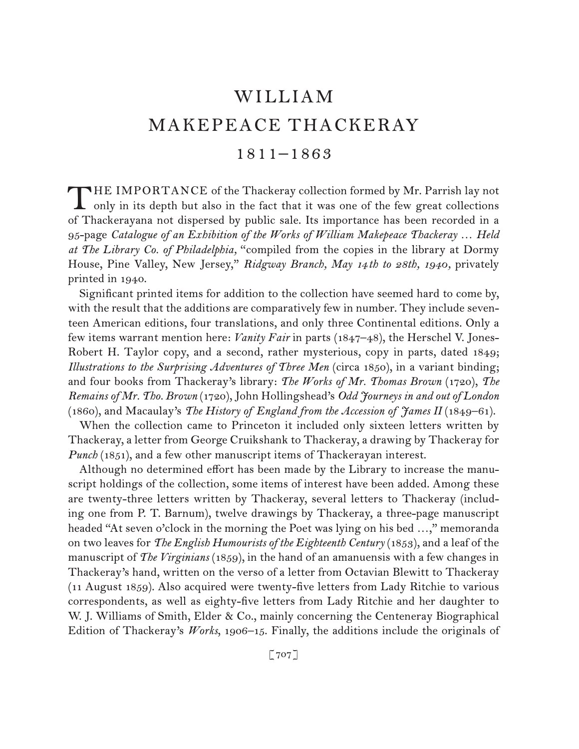# **WILLIAM** MAKEPEACE THACKERAY

### 1811–1863

HE IMPORTANCE of the Thackeray collection formed by Mr. Parrish lay not only in its depth but also in the fact that it was one of the few great collections of Thackerayana not dispersed by public sale. Its importance has been recorded in a 95-page *Catalogue of an Exhibition of the Works of William Makepeace Thackeray … Held at The Library Co. of Philadelphia,* "compiled from the copies in the library at Dormy House, Pine Valley, New Jersey," *Ridgway Branch, May 14 th to 28th, 1940,* privately printed in 1940. T

Significant printed items for addition to the collection have seemed hard to come by, with the result that the additions are comparatively few in number. They include seventeen American editions, four translations, and only three Continental editions. Only a few items warrant mention here: *Vanity Fair* in parts (1847–48), the Herschel V. Jones-Robert H. Taylor copy, and a second, rather mysterious, copy in parts, dated 1849; *Illustrations to the Surprising Adventures of Three Men* (circa 1850), in a variant binding; and four books from Thackeray's library: *The Works of Mr. Thomas Brown* (1720), *The Remains of Mr. Tho. Brown* (1720), John Hollingshead's *Odd Journeys in and out of London*  (1860), and Macaulay's *The History of England from the Accession of James II* (1849–61).

When the collection came to Princeton it included only sixteen letters written by Thackeray, a letter from George Cruikshank to Thackeray, a drawing by Thackeray for *Punch* (1851), and a few other manuscript items of Thackerayan interest.

Although no determined effort has been made by the Library to increase the manuscript holdings of the collection, some items of interest have been added. Among these are twenty-three letters written by Thackeray, several letters to Thackeray (including one from P. T. Barnum), twelve drawings by Thackeray, a three-page manuscript headed "At seven o'clock in the morning the Poet was lying on his bed ...," memoranda on two leaves for *The English Humourists of the Eighteenth Century* (1853), and a leaf of the manuscript of *The Virginians* (1859), in the hand of an amanuensis with a few changes in Thackeray's hand, written on the verso of a letter from Octavian Blewitt to Thackeray (11 August 1859). Also acquired were twenty-five letters from Lady Ritchie to various correspondents, as well as eighty-five letters from Lady Ritchie and her daughter to W. J. Williams of Smith, Elder & Co., mainly concerning the Centeneray Biographical Edition of Thackeray's *Works*, 1906–15. Finally, the additions include the originals of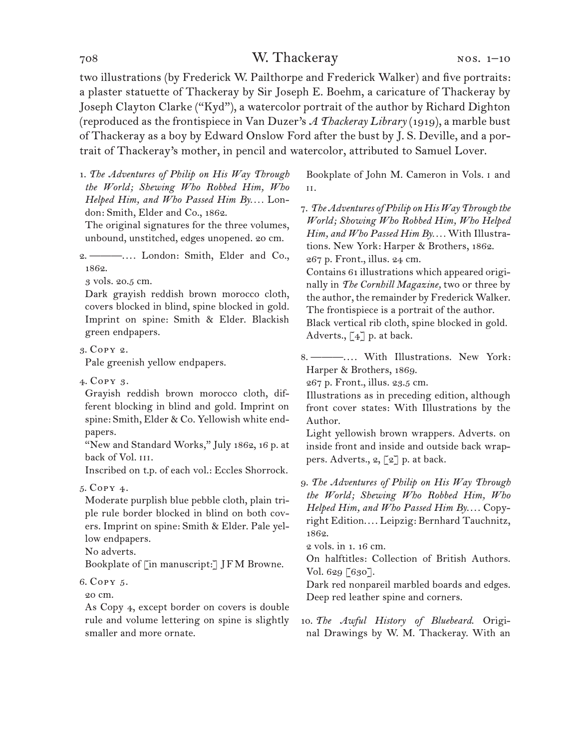### 708 W. Thackeray

two illustrations (by Frederick W. Pailthorpe and Frederick Walker) and five portraits: a plaster statuette of Thackeray by Sir Joseph E. Boehm, a caricature of Thackeray by Joseph Clayton Clarke ("Kyd"), a watercolor portrait of the author by Richard Dighton (reproduced as the frontispiece in Van Duzer's *A Thackeray Library* (1919), a marble bust of Thackeray as a boy by Edward Onslow Ford after the bust by J. S. Deville, and a portrait of Thackeray's mother, in pencil and watercolor, attributed to Samuel Lover.

1. *The Adventures of Philip on His Way Through the World; Shewing Who Robbed Him, Who Helped Him, and Who Passed Him By. . . .* London: Smith, Elder and Co., 1862.

The original signatures for the three volumes, unbound, unstitched, edges unopened. 20 cm.

2. ———. . . . London: Smith, Elder and Co., 1862.

3 vols. 20.5 cm.

Dark grayish reddish brown morocco cloth, covers blocked in blind, spine blocked in gold. Imprint on spine: Smith & Elder. Blackish green endpapers.

3. Copy 2.

Pale greenish yellow endpapers.

4. Copy 3.

Grayish reddish brown morocco cloth, different blocking in blind and gold. Imprint on spine: Smith, Elder & Co. Yellowish white endpapers.

"New and Standard Works," July 1862, 16 p. at back of Vol. III.

Inscribed on t.p. of each vol.: Eccles Shorrock.

#### 5. Copy 4.

Moderate purplish blue pebble cloth, plain triple rule border blocked in blind on both covers. Imprint on spine: Smith & Elder. Pale yellow endpapers.

No adverts.

Bookplate of [in manuscript:] JFM Browne.

#### 6. Copy 5.

20 cm.

As Copy 4, except border on covers is double rule and volume lettering on spine is slightly smaller and more ornate.

Bookplate of John M. Cameron in Vols. i and ii.

7. *The Adventures of Philip on His Way Through the World; Showing Who Robbed Him, Who Helped Him, and Who Passed Him By. . . .* With Illustrations. New York: Harper & Brothers, 1862. 267 p. Front., illus. 24 cm.

Contains 61 illustrations which appeared originally in *The Cornhill Magazine,* two or three by the author, the remainder by Frederick Walker. The frontispiece is a portrait of the author. Black vertical rib cloth, spine blocked in gold. Adverts.,  $\lceil 4 \rceil$  p. at back.

8. ---------.... With Illustrations. New York: Harper & Brothers, 1869.

267 p. Front., illus. 23.5 cm.

Illustrations as in preceding edition, although front cover states: With Illustrations by the Author.

Light yellowish brown wrappers. Adverts. on inside front and inside and outside back wrappers. Adverts.,  $2, \lceil 2 \rceil$  p. at back.

9. *The Adventures of Philip on His Way Through the World; Shewing Who Robbed Him, Who Helped Him, and Who Passed Him By....* Copyright Edition.... Leipzig: Bernhard Tauchnitz, 1862.

2 vols. in 1. 16 cm.

On halftitles: Collection of British Authors. Vol. 629 [630].

Dark red nonpareil marbled boards and edges. Deep red leather spine and corners.

10. *The Awful History of Bluebeard*. Original Drawings by W. M. Thackeray. With an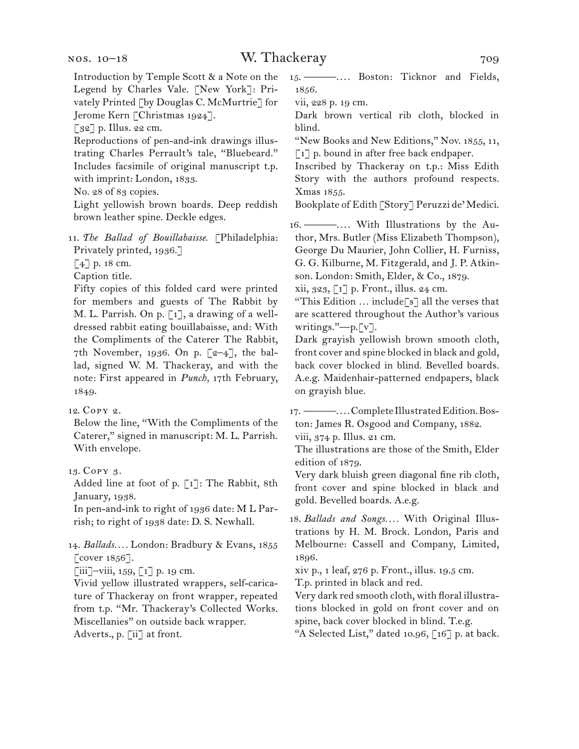Introduction by Temple Scott & a Note on the Legend by Charles Vale. [New York]: Privately Printed [by Douglas C. McMurtrie] for Jerome Kern [Christmas 1924].

 $\lceil 32 \rceil$  p. Illus. 22 cm.

Reproductions of pen-and-ink drawings illustrating Charles Perrault's tale, "Bluebeard." Includes facsimile of original manuscript t.p. with imprint: London, 1833.

No. 28 of 83 copies.

Light yellowish brown boards. Deep reddish brown leather spine. Deckle edges.

11. *The Ballad of Bouillabaisse*. [Philadelphia: Privately printed, 1936.]

[4] p. 18 cm.

Caption title.

Fifty copies of this folded card were printed for members and guests of The Rabbit by M. L. Parrish. On p. [1], a drawing of a welldressed rabbit eating bouillabaisse, and: With the Compliments of the Caterer The Rabbit, 7th November, 1936. On p.  $[2-4]$ , the ballad, signed W. M. Thackeray, and with the note: First appeared in *Punch,* 17th February, 1849.

12. Copy 2.

Below the line, "With the Compliments of the Caterer," signed in manuscript: M. L. Parrish. With envelope.

13. Copy 3.

Added line at foot of p. [1]: The Rabbit, 8th January, 1938.

In pen-and-ink to right of 1936 date: M L Parrish; to right of 1938 date: D. S. Newhall.

14. *Ballads. . . .* London: Bradbury & Evans, 1855 [cover 1856].

[iii]–viii, 159, [1] p. 19 cm.

Vivid yellow illustrated wrappers, self-caricature of Thackeray on front wrapper, repeated from t.p. "Mr. Thackeray's Collected Works. Miscellanies" on outside back wrapper. Adverts., p. [ii] at front.

15. ---------.... Boston: Ticknor and Fields, 1856.

vii, 228 p. 19 cm.

Dark brown vertical rib cloth, blocked in blind.

"New Books and New Editions," Nov. 1855, 11, [1] p. bound in after free back endpaper.

Inscribed by Thackeray on t.p.: Miss Edith Story with the authors profound respects. Xmas 1855.

Bookplate of Edith [Story] Peruzzi de' Medici.

16. ———. . . . With Illustrations by the Author, Mrs. Butler (Miss Elizabeth Thompson), George Du Maurier, John Collier, H. Furniss, G. G. Kilburne, M. Fitzgerald, and J. P. Atkinson. London: Smith, Elder, & Co., 1879.

xii, 323, [1] p. Front., illus. 24 cm.

"This Edition … include[s] all the verses that are scattered throughout the Author's various writings."—p.[v].

Dark grayish yellowish brown smooth cloth, front cover and spine blocked in black and gold, back cover blocked in blind. Bevelled boards. A.e.g. Maidenhair-patterned endpapers, black on grayish blue.

17. ———....Complete Illustrated Edition. Boston: James R. Osgood and Company, 1882.

viii, 374 p. Illus. 21 cm.

The illustrations are those of the Smith, Elder edition of 1879.

Very dark bluish green diagonal fine rib cloth, front cover and spine blocked in black and gold. Bevelled boards. A.e.g.

18. *Ballads and Songs. . . .* With Original Illustrations by H. M. Brock. London, Paris and Melbourne: Cassell and Company, Limited, 1896.

xiv p., 1 leaf, 276 p. Front., illus. 19.5 cm.

T.p. printed in black and red.

Very dark red smooth cloth, with floral illustrations blocked in gold on front cover and on spine, back cover blocked in blind. T.e.g.

"A Selected List," dated 10.96, [16] p. at back.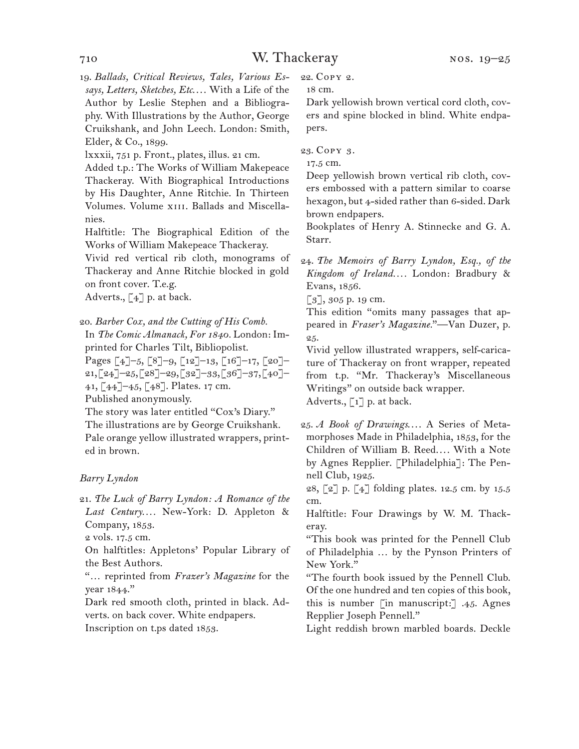19. *Ballads, Critical Reviews, Tales, Various Essays, Letters, Sketches, Etc*. . . . With a Life of the Author by Leslie Stephen and a Bibliography. With Illustrations by the Author, George Cruikshank, and John Leech. London: Smith, Elder, & Co., 1899.

lxxxii, 751 p. Front., plates, illus. 21 cm.

Added t.p.: The Works of William Makepeace Thackeray. With Biographical Introductions by His Daughter, Anne Ritchie. In Thirteen Volumes. Volume xiii. Ballads and Miscellanies.

Halftitle: The Biographical Edition of the Works of William Makepeace Thackeray.

Vivid red vertical rib cloth, monograms of Thackeray and Anne Ritchie blocked in gold on front cover. T.e.g.

Adverts.,  $\lceil 4 \rceil$  p. at back.

20. *Barber Cox, and the Cutting of His Comb.*

In *The Comic Almanack, For 1840.* London: Imprinted for Charles Tilt, Bibliopolist.

Pages [4]–5, [8]–9, [12]–13, [16]–17, [20]– 21, [24]–25, [28]–29, [32]–33, [36]–37, [40]– 41, [44]–45, [48]. Plates. 17 cm.

Published anonymously.

The story was later entitled "Cox's Diary." The illustrations are by George Cruikshank. Pale orange yellow illustrated wrappers, printed in brown.

#### *Barry Lyndon*

21. *The Luck of Barry Lyndon: A Romance of the Last Century. . . .* New-York: D. Appleton & Company, 1853.

2 vols. 17.5 cm.

On halftitles: Appletons' Popular Library of the Best Authors.

"… reprinted from *Frazer's Magazine* for the year 1844."

Dark red smooth cloth, printed in black. Adverts. on back cover. White endpapers.

Inscription on t.ps dated 1853.

22. Copy 2.

18 cm.

Dark yellowish brown vertical cord cloth, covers and spine blocked in blind. White endpapers.

23. Copy 3.

17.5 cm.

Deep yellowish brown vertical rib cloth, covers embossed with a pattern similar to coarse hexagon, but 4-sided rather than 6-sided. Dark brown endpapers.

Bookplates of Henry A. Stinnecke and G. A. Starr.

24. *The Memoirs of Barry Lyndon, Esq., of the Kingdom of Ireland. . . .* London: Bradbury & Evans, 1856.

[3], 305 p. 19 cm.

This edition "omits many passages that appeared in *Fraser's Magazine.*"—Van Duzer, p. 25.

Vivid yellow illustrated wrappers, self-caricature of Thackeray on front wrapper, repeated from t.p. "Mr. Thackeray's Miscellaneous Writings" on outside back wrapper. Adverts.,  $\lceil 1 \rceil$  p. at back.

25. *A Book of Drawings....* A Series of Metamorphoses Made in Philadelphia, 1853, for the Children of William B. Reed.... With a Note by Agnes Repplier. [Philadelphia]: The Pennell Club, 1925.

28, [2] p. [4] folding plates. 12.5 cm. by 15.5 cm.

Halftitle: Four Drawings by W. M. Thackeray.

"This book was printed for the Pennell Club of Philadelphia … by the Pynson Printers of New York."

"The fourth book issued by the Pennell Club. Of the one hundred and ten copies of this book, this is number [in manuscript:] .45. Agnes Repplier Joseph Pennell."

Light reddish brown marbled boards. Deckle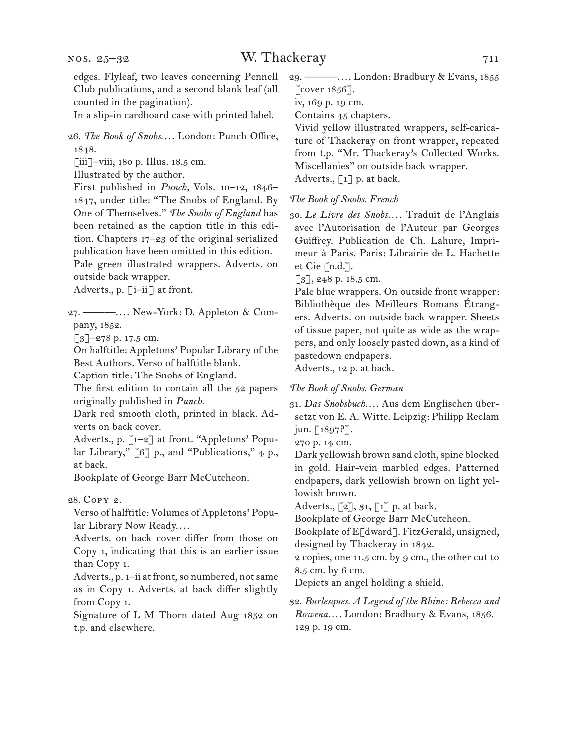In a slip-in cardboard case with printed label.

26. The Book of Snobs.... London: Punch Office, 1848.

 $\lceil$ iii]–viii, 180 p. Illus. 18.5 cm.

Illustrated by the author.

First published in *Punch,* Vols. 10–12, 1846– 1847, under title: "The Snobs of England. By One of Themselves." *The Snobs of England* has been retained as the caption title in this edition. Chapters 17–23 of the original serialized publication have been omitted in this edition. Pale green illustrated wrappers. Adverts. on outside back wrapper.

Adverts., p. [i–ii] at front.

27. ———. . . . New-York: D. Appleton & Company, 1852.

 $\lceil 3 \rceil$ –278 p. 17.5 cm.

On halftitle: Appletons' Popular Library of the Best Authors. Verso of halftitle blank.

Caption title: The Snobs of England.

The first edition to contain all the 52 papers originally published in *Punch.*

Dark red smooth cloth, printed in black. Adverts on back cover.

Adverts., p. [1–2] at front. "Appletons' Popular Library," [6] p., and "Publications," 4 p., at back.

Bookplate of George Barr McCutcheon.

28. Copy 2.

Verso of halftitle: Volumes of Appletons' Popular Library Now Ready....

Adverts. on back cover differ from those on Copy 1, indicating that this is an earlier issue than Copy 1.

Adverts., p. 1–ii at front, so numbered, not same as in Copy 1. Adverts. at back differ slightly from Copy 1.

Signature of L M Thorn dated Aug 1852 on t.p. and elsewhere.

29. ———. . . . London: Bradbury & Evans, 1855 [ $cover 1856$ ].

iv, 169 p. 19 cm.

Contains 45 chapters.

Vivid yellow illustrated wrappers, self-caricature of Thackeray on front wrapper, repeated from t.p. "Mr. Thackeray's Collected Works. Miscellanies" on outside back wrapper. Adverts.,  $\lceil 1 \rceil$  p. at back.

#### *The Book of Snobs. French*

30. *Le Livre des Snobs. . . .* Traduit de l'Anglais avec l'Autorisation de l'Auteur par Georges Guiffrey. Publication de Ch. Lahure, Imprimeur à Paris. Paris: Librairie de L. Hachette et Cie [n.d.].

 $\lceil 3 \rceil$ , 248 p. 18.5 cm.

Pale blue wrappers. On outside front wrapper: Bibliothèque des Meilleurs Romans Étrangers. Adverts. on outside back wrapper. Sheets of tissue paper, not quite as wide as the wrappers, and only loosely pasted down, as a kind of pastedown endpapers.

Adverts., 12 p. at back.

#### *The Book of Snobs. German*

31. Das Snobsbuch.... Aus dem Englischen übersetzt von E. A. Witte. Leipzig: Philipp Reclam jun. [1897?].

270 p. 14 cm.

Dark yellowish brown sand cloth, spine blocked in gold. Hair-vein marbled edges. Patterned endpapers, dark yellowish brown on light yellowish brown.

Adverts.,  $\lbrack 2 \rbrack$ ,  $31$ ,  $\lbrack 1 \rbrack$  p. at back.

Bookplate of George Barr McCutcheon.

Bookplate of E[dward]. FitzGerald, unsigned, designed by Thackeray in 1842.

2 copies, one 11.5 cm. by 9 cm., the other cut to 8.5 cm. by 6 cm.

Depicts an angel holding a shield.

### 32. *Burlesques. A Legend of the Rhine: Rebecca and Rowena. . . .* London: Bradbury & Evans, 1856. 129 p. 19 cm.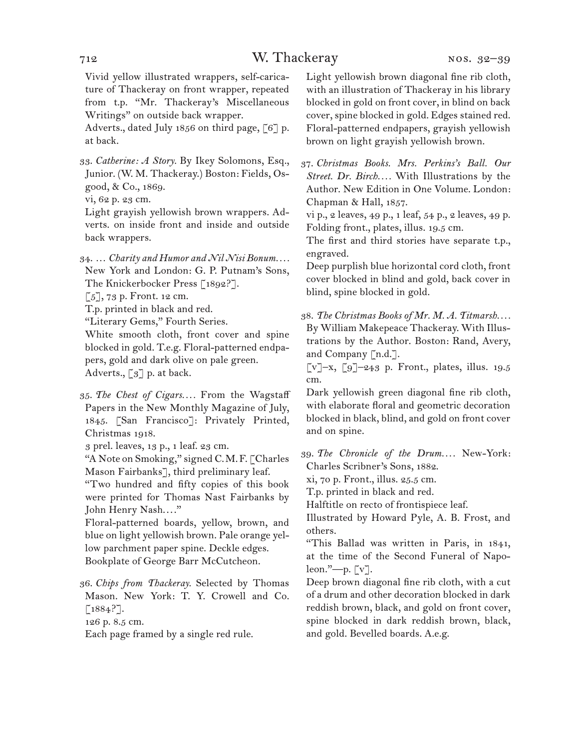## 712 W. Thackeray

Vivid yellow illustrated wrappers, self-caricature of Thackeray on front wrapper, repeated from t.p. "Mr. Thackeray's Miscellaneous Writings" on outside back wrapper.

Adverts., dated July 1856 on third page, [6] p. at back.

- 33. *Catherine: A Story.* By Ikey Solomons, Esq., Junior. (W. M. Thackeray.) Boston: Fields, Osgood, & Co., 1869.
- vi, 62 p. 23 cm.

Light grayish yellowish brown wrappers. Adverts. on inside front and inside and outside back wrappers.

34. … *Charity and Humor and Nil Nisi Bonum. . . .* New York and London: G. P. Putnam's Sons, The Knickerbocker Press [1892?].

 $\lceil 5 \rceil$ , 73 p. Front. 12 cm.

T.p. printed in black and red.

"Literary Gems," Fourth Series.

White smooth cloth, front cover and spine blocked in gold. T.e.g. Floral-patterned endpapers, gold and dark olive on pale green. Adverts., [3] p. at back.

35. *The Chest of Cigars. . . .* From the Wagstaff Papers in the New Monthly Magazine of July, 1845. [San Francisco]: Privately Printed, Christmas 1918.

3 prel. leaves, 13 p., 1 leaf. 23 cm.

"A Note on Smoking," signed C.M.F. [Charles Mason Fairbanks], third preliminary leaf.

"Two hundred and fifty copies of this book were printed for Thomas Nast Fairbanks by John Henry Nash...."

Floral-patterned boards, yellow, brown, and blue on light yellowish brown. Pale orange yellow parchment paper spine. Deckle edges. Bookplate of George Barr McCutcheon.

36. *Chips from Thackeray.* Selected by Thomas Mason. New York: T. Y. Crowell and Co.  $[1884?].$ 

126 p. 8.5 cm.

Each page framed by a single red rule.

Light yellowish brown diagonal fine rib cloth, with an illustration of Thackeray in his library blocked in gold on front cover, in blind on back cover, spine blocked in gold. Edges stained red. Floral-patterned endpapers, grayish yellowish brown on light grayish yellowish brown.

37. *Christmas Books. Mrs. Perkins's Ball. Our Street. Dr. Birch. . . .* With Illustrations by the Author. New Edition in One Volume. London: Chapman & Hall, 1857.

vi p., 2 leaves, 49 p., 1 leaf, 54 p., 2 leaves, 49 p. Folding front., plates, illus. 19.5 cm.

The first and third stories have separate t.p., engraved.

Deep purplish blue horizontal cord cloth, front cover blocked in blind and gold, back cover in blind, spine blocked in gold.

38. *The Christmas Books of Mr. M. A. Titmarsh. . . .* By William Makepeace Thackeray. With Illustrations by the Author. Boston: Rand, Avery, and Company [n.d.].

 $\lbrack \mathbf{v} \rbrack - \mathbf{x}, \lbrack \mathbf{9} \rbrack - 243$  p. Front., plates, illus. 19.5 cm.

Dark yellowish green diagonal fine rib cloth, with elaborate floral and geometric decoration blocked in black, blind, and gold on front cover and on spine.

39. *The Chronicle of the Drum. . . .* New-York: Charles Scribner's Sons, 1882.

xi, 70 p. Front., illus. 25.5 cm.

T.p. printed in black and red.

Halftitle on recto of frontispiece leaf.

Illustrated by Howard Pyle, A. B. Frost, and others.

"This Ballad was written in Paris, in 1841, at the time of the Second Funeral of Napoleon."—p. [v].

Deep brown diagonal fine rib cloth, with a cut of a drum and other decoration blocked in dark reddish brown, black, and gold on front cover, spine blocked in dark reddish brown, black, and gold. Bevelled boards. A.e.g.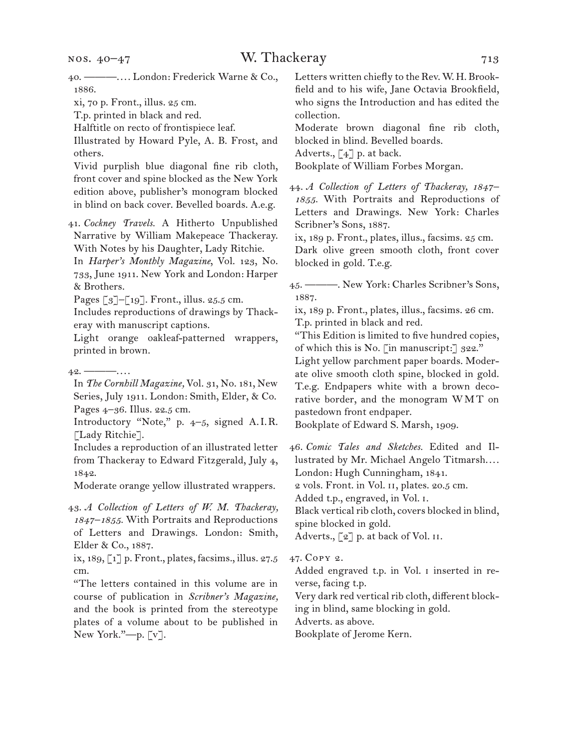xi, 70 p. Front., illus. 25 cm.

T.p. printed in black and red.

Halftitle on recto of frontispiece leaf.

Illustrated by Howard Pyle, A. B. Frost, and others.

Vivid purplish blue diagonal fine rib cloth, front cover and spine blocked as the New York edition above, publisher's monogram blocked in blind on back cover. Bevelled boards. A.e.g.

41. *Cockney Travels.* A Hitherto Unpublished Narrative by William Makepeace Thackeray. With Notes by his Daughter, Lady Ritchie.

In *Harper's Monthly Magazine*, Vol. 123, No. 733, June 1911. New York and London: Harper & Brothers.

Pages [3]–[19]. Front., illus. 25.5 cm.

Includes reproductions of drawings by Thackeray with manuscript captions.

Light orange oakleaf-patterned wrappers, printed in brown.

In *The Cornhill Magazine,* Vol. 31, No. 181, New Series, July 1911. London: Smith, Elder, & Co. Pages 4–36. Illus. 22.5 cm.

Introductory "Note," p. 4–5, signed A.I.R. [Lady Ritchie].

Includes a reproduction of an illustrated letter from Thackeray to Edward Fitzgerald, July 4, 1842.

Moderate orange yellow illustrated wrappers.

43. *A Collection of Letters of W. M. Thackeray, 1847–1855.* With Portraits and Reproductions of Letters and Drawings. London: Smith, Elder & Co., 1887.

ix, 189, [1] p. Front., plates, facsims., illus. 27.5 cm.

"The letters contained in this volume are in course of publication in *Scribner's Magazine,*  and the book is printed from the stereotype plates of a volume about to be published in New York."—p. [v].

Letters written chiefly to the Rev. W. H. Brookfield and to his wife, Jane Octavia Brookfield, who signs the Introduction and has edited the collection.

Moderate brown diagonal fine rib cloth, blocked in blind. Bevelled boards.

Adverts.,  $\lceil 4 \rceil$  p. at back.

Bookplate of William Forbes Morgan.

44. *A Collection of Letters of Thackeray, 1847– 1855.* With Portraits and Reproductions of Letters and Drawings. New York: Charles Scribner's Sons, 1887.

ix, 189 p. Front., plates, illus., facsims. 25 cm. Dark olive green smooth cloth, front cover blocked in gold. T.e.g.

45. ———. New York: Charles Scribner's Sons, 1887.

ix, 189 p. Front., plates, illus., facsims. 26 cm. T.p. printed in black and red.

"This Edition is limited to five hundred copies, of which this is No. [in manuscript:] 322." Light yellow parchment paper boards. Moderate olive smooth cloth spine, blocked in gold. T.e.g. Endpapers white with a brown decorative border, and the monogram WMT on pastedown front endpaper.

Bookplate of Edward S. Marsh, 1909.

46. *Comic Tales and Sketches.* Edited and Illustrated by Mr. Michael Angelo Titmarsh.... London: Hugh Cunningham, 1841.

2 vols. Front. in Vol. ii, plates. 20.5 cm.

Added t.p., engraved, in Vol. i.

Black vertical rib cloth, covers blocked in blind, spine blocked in gold.

Adverts.,  $\lceil 2 \rceil$  p. at back of Vol. II.

#### 47. Copy 2.

Added engraved t.p. in Vol. i inserted in reverse, facing t.p.

Very dark red vertical rib cloth, different block-

ing in blind, same blocking in gold.

Adverts. as above.

Bookplate of Jerome Kern.

 $42.$  ———....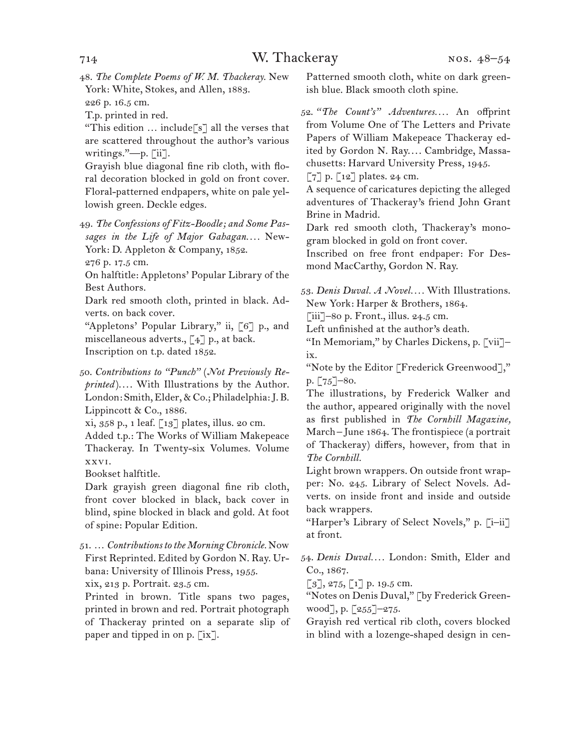48. *The Complete Poems of W. M. Thackeray.* New York: White, Stokes, and Allen, 1883. 226 p. 16.5 cm.

T.p. printed in red.

"This edition  $\ldots$  include [s] all the verses that are scattered throughout the author's various writings."—p. [ii].

Grayish blue diagonal fine rib cloth, with floral decoration blocked in gold on front cover. Floral-patterned endpapers, white on pale yellowish green. Deckle edges.

49. *The Confessions of Fitz-Boodle; and Some Passages in the Life of Major Gahagan. . . .* New-York: D. Appleton & Company, 1852.

276 p. 17.5 cm.

On halftitle: Appletons' Popular Library of the Best Authors.

Dark red smooth cloth, printed in black. Adverts. on back cover.

"Appletons' Popular Library," ii, [6] p., and miscellaneous adverts.,  $\lceil 4 \rceil$  p., at back. Inscription on t.p. dated 1852.

50. *Contributions to "Punch"* (*Not Previously Reprinted*).... With Illustrations by the Author. London: Smith, Elder, & Co.; Philadelphia: J. B. Lippincott & Co., 1886.

xi, 358 p., 1 leaf. [13] plates, illus. 20 cm.

Added t.p.: The Works of William Makepeace Thackeray. In Twenty-six Volumes. Volume xxvi.

Bookset halftitle.

Dark grayish green diagonal fine rib cloth, front cover blocked in black, back cover in blind, spine blocked in black and gold. At foot of spine: Popular Edition.

51. … *Contributions to the Morning Chronicle.* Now First Reprinted. Edited by Gordon N. Ray. Urbana: University of Illinois Press, 1955.

xix, 213 p. Portrait. 23.5 cm.

Printed in brown. Title spans two pages, printed in brown and red. Portrait photograph of Thackeray printed on a separate slip of paper and tipped in on p. [ix].

Patterned smooth cloth, white on dark greenish blue. Black smooth cloth spine.

52. *"The Count's" Adventures. . . .* An offprint from Volume One of The Letters and Private Papers of William Makepeace Thackeray edited by Gordon N. Ray.... Cambridge, Massachusetts: Harvard University Press, 1945.

 $\lceil 7 \rceil$  p.  $\lceil 12 \rceil$  plates. 24 cm.

A sequence of caricatures depicting the alleged adventures of Thackeray's friend John Grant Brine in Madrid.

Dark red smooth cloth, Thackeray's monogram blocked in gold on front cover.

Inscribed on free front endpaper: For Desmond MacCarthy, Gordon N. Ray.

53. *Denis Duval. A Novel. . . .* With Illustrations. New York: Harper & Brothers, 1864.

[iii]–80 p. Front., illus. 24.5 cm.

Left unfinished at the author's death.

"In Memoriam," by Charles Dickens, p. [vii]– ix.

"Note by the Editor [Frederick Greenwood]," p. [75]–80.

The illustrations, by Frederick Walker and the author, appeared originally with the novel as first published in *The Cornhill Magazine,*  March– June 1864. The frontispiece (a portrait of Thackeray) differs, however, from that in *The Cornhill.*

Light brown wrappers. On outside front wrapper: No. 245. Library of Select Novels. Adverts. on inside front and inside and outside back wrappers.

"Harper's Library of Select Novels," p. [i–ii] at front.

54. *Denis Duval. . . .* London: Smith, Elder and Co., 1867.

 $[3]$ , 275,  $[1]$  p. 19.5 cm.

"Notes on Denis Duval," [by Frederick Greenwood], p.  $\lceil 255 \rceil - 275$ .

Grayish red vertical rib cloth, covers blocked in blind with a lozenge-shaped design in cen-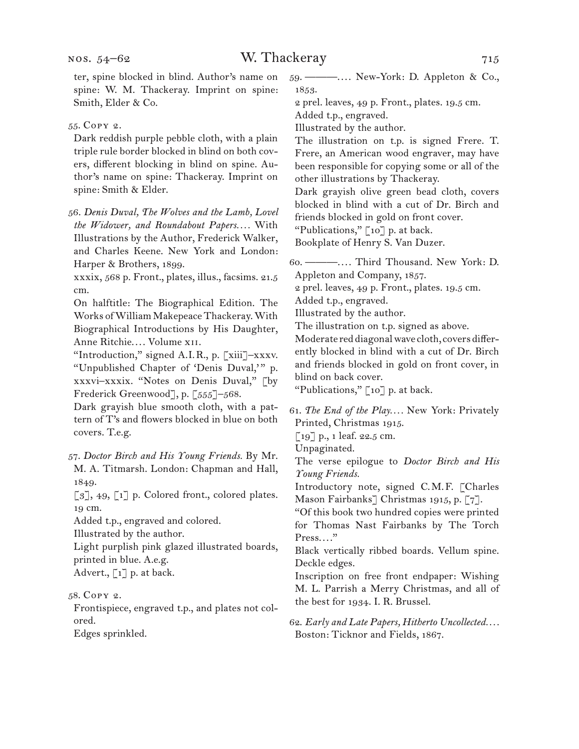ter, spine blocked in blind. Author's name on spine: W. M. Thackeray. Imprint on spine: Smith, Elder & Co.

#### 55. Copy 2.

Dark reddish purple pebble cloth, with a plain triple rule border blocked in blind on both covers, different blocking in blind on spine. Author's name on spine: Thackeray. Imprint on spine: Smith & Elder.

56. *Denis Duval, The Wolves and the Lamb, Lovel the Widower, and Roundabout Papers. . . .* With Illustrations by the Author, Frederick Walker, and Charles Keene. New York and London: Harper & Brothers, 1899.

xxxix, 568 p. Front., plates, illus., facsims. 21.5 cm.

On halftitle: The Biographical Edition. The Works of William Makepeace Thackeray. With Biographical Introductions by His Daughter, Anne Ritchie.... Volume XII.

"Introduction," signed A.I.R., p. [xiii]–xxxv. "Unpublished Chapter of 'Denis Duval,'" p. xxxvi–xxxix. "Notes on Denis Duval," [by Frederick Greenwood], p. [555]–568.

Dark grayish blue smooth cloth, with a pattern of T's and flowers blocked in blue on both covers. T.e.g.

57. *Doctor Birch and His Young Friends.* By Mr. M. A. Titmarsh. London: Chapman and Hall, 1849.

 $\lbrack 3 \rbrack$ , 49,  $\lbrack 1 \rbrack$  p. Colored front., colored plates. 19 cm.

Added t.p., engraved and colored.

Illustrated by the author.

Light purplish pink glazed illustrated boards, printed in blue. A.e.g.

Advert., [1] p. at back.

### 58. Copy 2.

Frontispiece, engraved t.p., and plates not colored.

Edges sprinkled.

59. ———. . . . New-York: D. Appleton & Co., 1853.

2 prel. leaves, 49 p. Front., plates. 19.5 cm. Added t.p., engraved.

Illustrated by the author.

The illustration on t.p. is signed Frere. T. Frere, an American wood engraver, may have been responsible for copying some or all of the other illustrations by Thackeray.

Dark grayish olive green bead cloth, covers blocked in blind with a cut of Dr. Birch and friends blocked in gold on front cover.

"Publications," [10] p. at back.

Bookplate of Henry S. Van Duzer.

60. ———. . . . Third Thousand. New York: D. Appleton and Company, 1857.

2 prel. leaves, 49 p. Front., plates. 19.5 cm.

Added t.p., engraved.

Illustrated by the author.

The illustration on t.p. signed as above.

Moderate red diagonal wave cloth, covers differently blocked in blind with a cut of Dr. Birch and friends blocked in gold on front cover, in blind on back cover.

"Publications," [10] p. at back.

61. *The End of the Play. . . .* New York: Privately Printed, Christmas 1915.

[19] p., 1 leaf. 22.5 cm.

Unpaginated.

The verse epilogue to *Doctor Birch and His Young Friends.* 

Introductory note, signed C.M.F. [Charles Mason Fairbanks] Christmas 1915, p. [7].

"Of this book two hundred copies were printed for Thomas Nast Fairbanks by The Torch Press...."

Black vertically ribbed boards. Vellum spine. Deckle edges.

Inscription on free front endpaper: Wishing M. L. Parrish a Merry Christmas, and all of the best for 1934. I. R. Brussel.

62. *Early and Late Papers, Hitherto Uncollected. . . .* Boston: Ticknor and Fields, 1867.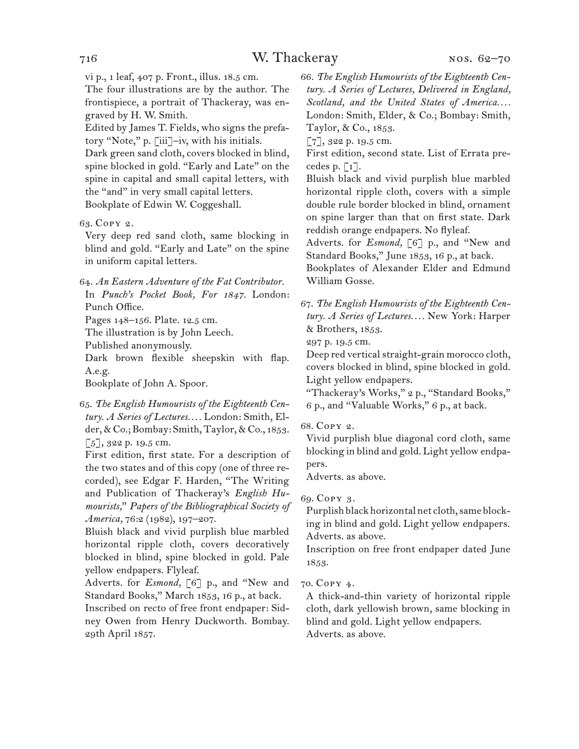vi p., 1 leaf, 407 p. Front., illus. 18.5 cm.

The four illustrations are by the author. The frontispiece, a portrait of Thackeray, was engraved by H. W. Smith.

Edited by James T. Fields, who signs the prefatory "Note," p. [iii]–iv, with his initials.

Dark green sand cloth, covers blocked in blind, spine blocked in gold. "Early and Late" on the spine in capital and small capital letters, with the "and" in very small capital letters. Bookplate of Edwin W. Coggeshall.

#### 63. Copy 2.

Very deep red sand cloth, same blocking in blind and gold. "Early and Late" on the spine in uniform capital letters.

64. *An Eastern Adventure of the Fat Contributor.* In *Punch's Pocket Book, For 1847.* London: Punch Office.

Pages 148–156. Plate. 12.5 cm.

The illustration is by John Leech.

Published anonymously.

Dark brown flexible sheepskin with flap. A.e.g.

Bookplate of John A. Spoor.

65. *The English Humourists of the Eighteenth Century. A Series of Lectures. . . .* London: Smith, Elder, & Co.; Bombay: Smith, Taylor, & Co., 1853. [5], 322 p. 19.5 cm.

First edition, first state. For a description of the two states and of this copy (one of three recorded), see Edgar F. Harden, "The Writing and Publication of Thackeray's *English Humourists,*" *Papers of the Bibliographical Society of America,* 76:2 (1982), 197–207.

Bluish black and vivid purplish blue marbled horizontal ripple cloth, covers decoratively blocked in blind, spine blocked in gold. Pale yellow endpapers. Flyleaf.

Adverts. for *Esmond,* [6] p., and "New and Standard Books," March 1853, 16 p., at back.

Inscribed on recto of free front endpaper: Sidney Owen from Henry Duckworth. Bombay. 29th April 1857.

66. *The English Humourists of the Eighteenth Century. A Series of Lectures, Delivered in England, Scotland, and the United States of America. . . .*  London: Smith, Elder, & Co.; Bombay: Smith, Taylor, & Co., 1853.

[7], 322 p. 19.5 cm.

First edition, second state. List of Errata precedes p.  $\lceil 1 \rceil$ .

Bluish black and vivid purplish blue marbled horizontal ripple cloth, covers with a simple double rule border blocked in blind, ornament on spine larger than that on first state. Dark reddish orange endpapers. No flyleaf.

Adverts. for *Esmond,* [6] p., and "New and Standard Books," June 1853, 16 p., at back.

Bookplates of Alexander Elder and Edmund William Gosse.

67. *The English Humourists of the Eighteenth Century. A Series of Lectures. . . .* New York: Harper & Brothers, 1853.

297 p. 19.5 cm.

Deep red vertical straight-grain morocco cloth, covers blocked in blind, spine blocked in gold. Light yellow endpapers.

"Thackeray's Works," 2 p., "Standard Books," 6 p., and "Valuable Works," 6 p., at back.

#### 68. Copy 2.

Vivid purplish blue diagonal cord cloth, same blocking in blind and gold. Light yellow endpapers.

Adverts. as above.

#### 69. Copy 3.

Purplish black horizontal net cloth, same blocking in blind and gold. Light yellow endpapers. Adverts. as above.

Inscription on free front endpaper dated June 1853.

#### 70. Copy 4.

A thick-and-thin variety of horizontal ripple cloth, dark yellowish brown, same blocking in blind and gold. Light yellow endpapers. Adverts. as above.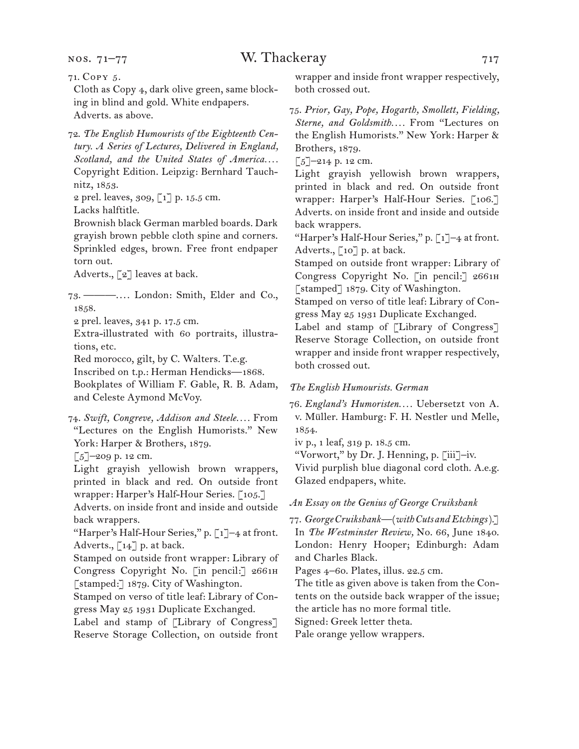nos. 71–77

Cloth as Copy 4, dark olive green, same blocking in blind and gold. White endpapers. Adverts. as above.

72. *The English Humourists of the Eighteenth Century. A Series of Lectures, Delivered in England, Scotland, and the United States of America. . . .* Copyright Edition. Leipzig: Bernhard Tauchnitz, 1853.

2 prel. leaves, 309, [1] p. 15.5 cm.

Lacks halftitle.

Brownish black German marbled boards. Dark grayish brown pebble cloth spine and corners. Sprinkled edges, brown. Free front endpaper torn out.

Adverts., [2] leaves at back.

73. ———. . . . London: Smith, Elder and Co., 1858.

2 prel. leaves, 341 p. 17.5 cm.

Extra-illustrated with 60 portraits, illustrations, etc.

Red morocco, gilt, by C. Walters. T.e.g.

Inscribed on t.p.: Herman Hendicks—1868.

Bookplates of William F. Gable, R. B. Adam, and Celeste Aymond McVoy.

74. *Swift, Congreve, Addison and Steele. . . .* From "Lectures on the English Humorists." New York: Harper & Brothers, 1879.

[5]–209 p. 12 cm.

Light grayish yellowish brown wrappers, printed in black and red. On outside front wrapper: Harper's Half-Hour Series. [105.]

Adverts. on inside front and inside and outside back wrappers.

"Harper's Half-Hour Series," p. [1]–4 at front. Adverts., [14] p. at back.

Stamped on outside front wrapper: Library of Congress Copyright No. [in pencil:] 2661h [stamped:] 1879. City of Washington.

Stamped on verso of title leaf: Library of Congress May 25 1931 Duplicate Exchanged.

Label and stamp of [Library of Congress] Reserve Storage Collection, on outside front wrapper and inside front wrapper respectively, both crossed out.

75. *Prior, Gay, Pope, Hogarth, Smollett, Fielding, Sterne, and Goldsmith. . . .* From "Lectures on the English Humorists." New York: Harper & Brothers, 1879.

 $\lceil 5 \rceil$ -214 p. 12 cm.

Light grayish yellowish brown wrappers, printed in black and red. On outside front wrapper: Harper's Half-Hour Series. [106.] Adverts. on inside front and inside and outside back wrappers.

"Harper's Half-Hour Series," p. [1]–4 at front. Adverts., [10] p. at back.

Stamped on outside front wrapper: Library of Congress Copyright No. [in pencil:] 2661h [stamped] 1879. City of Washington.

Stamped on verso of title leaf: Library of Congress May 25 1931 Duplicate Exchanged.

Label and stamp of [Library of Congress] Reserve Storage Collection, on outside front wrapper and inside front wrapper respectively, both crossed out.

#### *The English Humourists. German*

76. *England's Humoristen. . . .* Uebersetzt von A. v. Müller. Hamburg: F. H. Nestler und Melle, 1854.

iv p., 1 leaf, 319 p. 18.5 cm.

"Vorwort," by Dr. J. Henning, p. [iii]–iv.

Vivid purplish blue diagonal cord cloth. A.e.g. Glazed endpapers, white.

#### *An Essay on the Genius of George Cruikshank*

77. *George Cruikshank—*(*with Cuts and Etchings*).] In *The Westminster Review,* No. 66, June 1840. London: Henry Hooper; Edinburgh: Adam and Charles Black.

Pages 4–60. Plates, illus. 22.5 cm.

The title as given above is taken from the Contents on the outside back wrapper of the issue; the article has no more formal title.

Signed: Greek letter theta.

Pale orange yellow wrappers.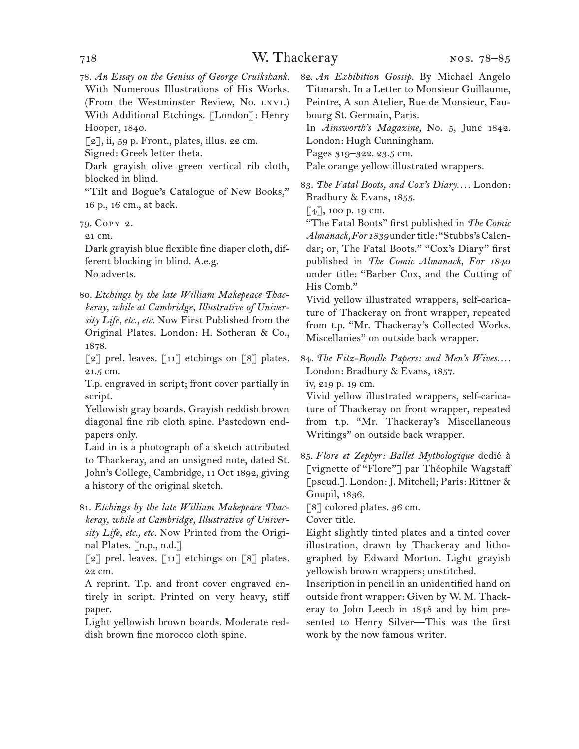78. *An Essay on the Genius of George Cruikshank.* With Numerous Illustrations of His Works. (From the Westminster Review, No. lxvi.) With Additional Etchings. [London]: Henry Hooper, 1840.

 $\lceil 2 \rceil$ , ii, 59 p. Front., plates, illus. 22 cm.

Signed: Greek letter theta.

Dark grayish olive green vertical rib cloth, blocked in blind.

"Tilt and Bogue's Catalogue of New Books," 16 p., 16 cm., at back.

79. Copy 2.

21 cm.

Dark grayish blue flexible fine diaper cloth, different blocking in blind. A.e.g. No adverts.

80. *Etchings by the late William Makepeace Thackeray, while at Cambridge, Illustrative of University Life, etc., etc.* Now First Published from the Original Plates. London: H. Sotheran & Co., 1878.

[2] prel. leaves. [11] etchings on [8] plates. 21.5 cm.

T.p. engraved in script; front cover partially in script.

Yellowish gray boards. Grayish reddish brown diagonal fine rib cloth spine. Pastedown endpapers only.

Laid in is a photograph of a sketch attributed to Thackeray, and an unsigned note, dated St. John's College, Cambridge, 11 Oct 1892, giving a history of the original sketch.

81. *Etchings by the late William Makepeace Thackeray, while at Cambridge, Illustrative of University Life, etc., etc.* Now Printed from the Original Plates. [n.p., n.d.]

 $\lceil 2 \rceil$  prel. leaves.  $\lceil 11 \rceil$  etchings on  $\lceil 8 \rceil$  plates. 22 cm.

A reprint. T.p. and front cover engraved entirely in script. Printed on very heavy, stiff paper.

Light yellowish brown boards. Moderate reddish brown fine morocco cloth spine.

82. *An Exhibition Gossip.* By Michael Angelo Titmarsh. In a Letter to Monsieur Guillaume, Peintre, A son Atelier, Rue de Monsieur, Faubourg St. Germain, Paris.

In *Ainsworth's Magazine,* No. 5, June 1842. London: Hugh Cunningham.

Pages 319–322. 23.5 cm.

Pale orange yellow illustrated wrappers.

83. *The Fatal Boots, and Cox's Diary. . . .* London: Bradbury & Evans, 1855.

 $[4]$ , 100 p. 19 cm.

"The Fatal Boots" first published in *The Comic Almanack, For 1839* under title: "Stubbs's Calendar; or, The Fatal Boots." "Cox's Diary" first published in *The Comic Almanack, For 1840*  under title: "Barber Cox, and the Cutting of His Comb."

Vivid yellow illustrated wrappers, self-caricature of Thackeray on front wrapper, repeated from t.p. "Mr. Thackeray's Collected Works. Miscellanies" on outside back wrapper.

84. *The Fitz-Boodle Papers: and Men's Wives. . . .* London: Bradbury & Evans, 1857.

iv, 219 p. 19 cm.

Vivid yellow illustrated wrappers, self-caricature of Thackeray on front wrapper, repeated from t.p. "Mr. Thackeray's Miscellaneous Writings" on outside back wrapper.

85. *Flore et Zephyr: Ballet Mythologique* dedié à [vignette of "Flore"] par Théophile Wagstaff [pseud.]. London: J. Mitchell; Paris: Rittner & Goupil, 1836.

[8] colored plates. 36 cm.

Cover title.

Eight slightly tinted plates and a tinted cover illustration, drawn by Thackeray and lithographed by Edward Morton. Light grayish yellowish brown wrappers; unstitched.

Inscription in pencil in an unidentified hand on outside front wrapper: Given by W. M. Thackeray to John Leech in 1848 and by him presented to Henry Silver—This was the first work by the now famous writer.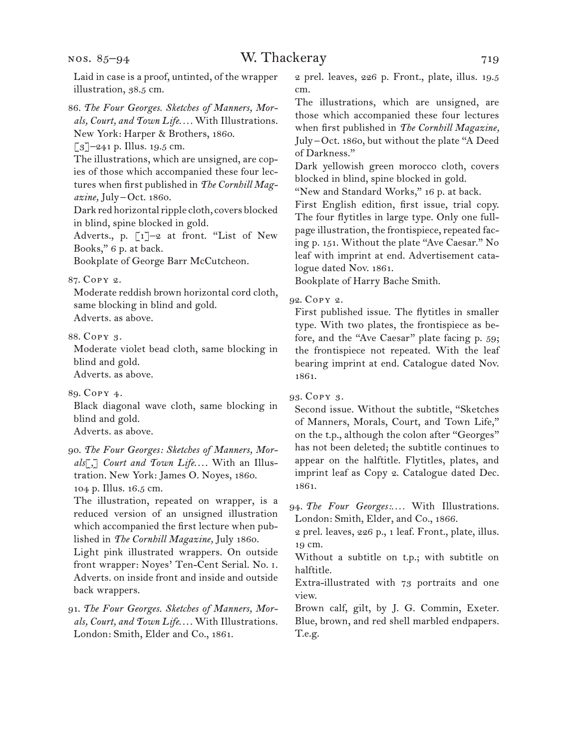nos. 85–94

86. *The Four Georges. Sketches of Manners, Morals, Court, and Town Life. . . .* With Illustrations. New York: Harper & Brothers, 1860.

 $\lceil 3 \rceil$ –241 p. Illus. 19.5 cm.

The illustrations, which are unsigned, are copies of those which accompanied these four lectures when first published in *The Cornhill Magazine,* July –Oct. 1860.

Dark red horizontal ripple cloth, covers blocked in blind, spine blocked in gold.

Adverts., p.  $\lceil 1 \rceil$ -2 at front. "List of New Books," 6 p. at back.

Bookplate of George Barr McCutcheon.

#### 87. Copy 2.

Moderate reddish brown horizontal cord cloth, same blocking in blind and gold.

Adverts. as above.

88. Copy 3.

Moderate violet bead cloth, same blocking in blind and gold. Adverts. as above.

89. Copy 4.

Black diagonal wave cloth, same blocking in blind and gold. Adverts. as above.

90. *The Four Georges: Sketches of Manners, Mor*als[,] Court and Town Life.... With an Illustration. New York: James O. Noyes, 1860. 104 p. Illus. 16.5 cm.

The illustration, repeated on wrapper, is a reduced version of an unsigned illustration which accompanied the first lecture when published in *The Cornhill Magazine,* July 1860.

Light pink illustrated wrappers. On outside front wrapper: Noyes' Ten-Cent Serial. No. i. Adverts. on inside front and inside and outside back wrappers.

91. *The Four Georges. Sketches of Manners, Mor*als, Court, and Town Life.... With Illustrations. London: Smith, Elder and Co., 1861.

2 prel. leaves, 226 p. Front., plate, illus. 19.5 cm.

The illustrations, which are unsigned, are those which accompanied these four lectures when first published in *The Cornhill Magazine,*  July –Oct. 1860, but without the plate "A Deed of Darkness."

Dark yellowish green morocco cloth, covers blocked in blind, spine blocked in gold.

"New and Standard Works," 16 p. at back.

First English edition, first issue, trial copy. The four flytitles in large type. Only one fullpage illustration, the frontispiece, repeated facing p. 151. Without the plate "Ave Caesar." No leaf with imprint at end. Advertisement catalogue dated Nov. 1861.

Bookplate of Harry Bache Smith.

#### 92. Copy 2.

First published issue. The flytitles in smaller type. With two plates, the frontispiece as before, and the "Ave Caesar" plate facing p. 59; the frontispiece not repeated. With the leaf bearing imprint at end. Catalogue dated Nov. 1861.

93. Copy 3.

Second issue. Without the subtitle, "Sketches of Manners, Morals, Court, and Town Life," on the t.p., although the colon after "Georges" has not been deleted; the subtitle continues to appear on the halftitle. Flytitles, plates, and imprint leaf as Copy 2. Catalogue dated Dec. 1861.

94. *The Four Georges:. . . .* With Illustrations. London: Smith, Elder, and Co., 1866.

2 prel. leaves, 226 p., 1 leaf. Front., plate, illus. 19 cm.

Without a subtitle on t.p.; with subtitle on halftitle.

Extra-illustrated with 73 portraits and one view.

Brown calf, gilt, by J. G. Commin, Exeter. Blue, brown, and red shell marbled endpapers. T.e.g.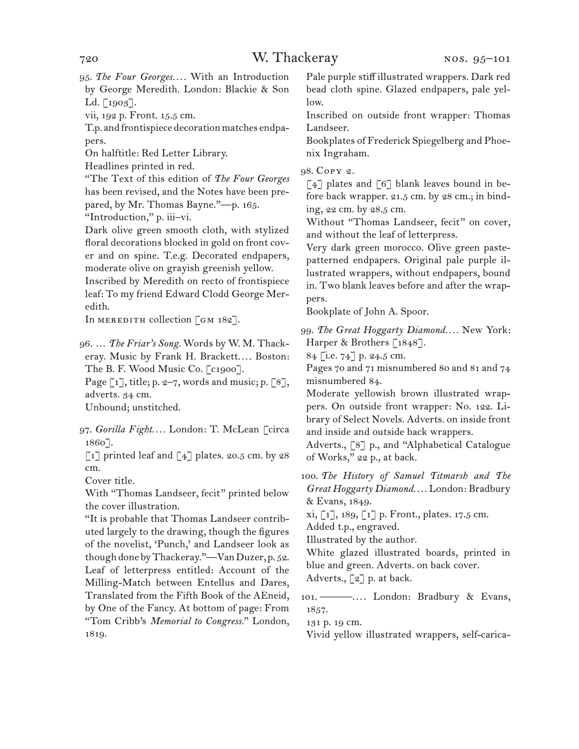95. *The Four Georges. . . .* With an Introduction by George Meredith. London: Blackie & Son Ld. [1903].

vii, 192 p. Front. 15.5 cm.

T.p. and frontispiece decoration matches endpapers.

On halftitle: Red Letter Library.

Headlines printed in red.

"The Text of this edition of *The Four Georges*  has been revised, and the Notes have been prepared, by Mr. Thomas Bayne."—p. 165.

"Introduction," p. iii–vi.

Dark olive green smooth cloth, with stylized floral decorations blocked in gold on front cover and on spine. T.e.g. Decorated endpapers, moderate olive on grayish greenish yellow. Inscribed by Meredith on recto of frontispiece leaf: To my friend Edward Clodd George Mer-

edith.

In MEREDITH collection  $\lceil$  GM 182].

96. … *The Friar's Song.* Words by W. M. Thackeray. Music by Frank H. Brackett.... Boston: The B. F. Wood Music Co. [c1900].

Page  $\lceil 1 \rceil$ , title; p. 2-7, words and music; p.  $\lceil 8 \rceil$ , adverts. 34 cm.

Unbound; unstitched.

97. *Gorilla Fight. . . .* London: T. McLean [circa 1860].

 $\lceil 1 \rceil$  printed leaf and  $\lceil 4 \rceil$  plates. 20.5 cm. by 28 cm.

Cover title.

With "Thomas Landseer, fecit" printed below the cover illustration.

"It is probable that Thomas Landseer contributed largely to the drawing, though the figures of the novelist, 'Punch,' and Landseer look as though done by Thackeray."—Van Duzer, p. 52. Leaf of letterpress entitled: Account of the Milling-Match between Entellus and Dares, Translated from the Fifth Book of the AEneid, by One of the Fancy. At bottom of page: From "Tom Cribb's *Memorial to Congress.*" London, 1819.

Pale purple stiff illustrated wrappers. Dark red bead cloth spine. Glazed endpapers, pale yellow.

Inscribed on outside front wrapper: Thomas Landseer.

Bookplates of Frederick Spiegelberg and Phoenix Ingraham.

98. Copy 2.

 $\lceil 4 \rceil$  plates and  $\lceil 6 \rceil$  blank leaves bound in before back wrapper. 21.5 cm. by 28 cm.; in binding, 22 cm. by 28.5 cm.

Without "Thomas Landseer, fecit" on cover, and without the leaf of letterpress.

Very dark green morocco. Olive green pastepatterned endpapers. Original pale purple illustrated wrappers, without endpapers, bound in. Two blank leaves before and after the wrappers.

Bookplate of John A. Spoor.

99. *The Great Hoggarty Diamond. . . .* New York: Harper & Brothers [1848].

84 [i.e. 74] p. 24.5 cm.

Pages 70 and 71 misnumbered 80 and 81 and 74 misnumbered 84.

Moderate yellowish brown illustrated wrappers. On outside front wrapper: No. 122. Library of Select Novels. Adverts. on inside front and inside and outside back wrappers.

Adverts., [8] p., and "Alphabetical Catalogue of Works," 22 p., at back.

100. *The History of Samuel Titmarsh and The Great Hoggarty Diamond. . . .* London: Bradbury & Evans, 1849.

xi, [1], 189, [1] p. Front., plates. 17.5 cm. Added t.p., engraved.

Illustrated by the author.

White glazed illustrated boards, printed in blue and green. Adverts. on back cover.

Adverts., [2] p. at back.

101. ———. . . . London: Bradbury & Evans, 1857.

131 p. 19 cm.

Vivid yellow illustrated wrappers, self-carica-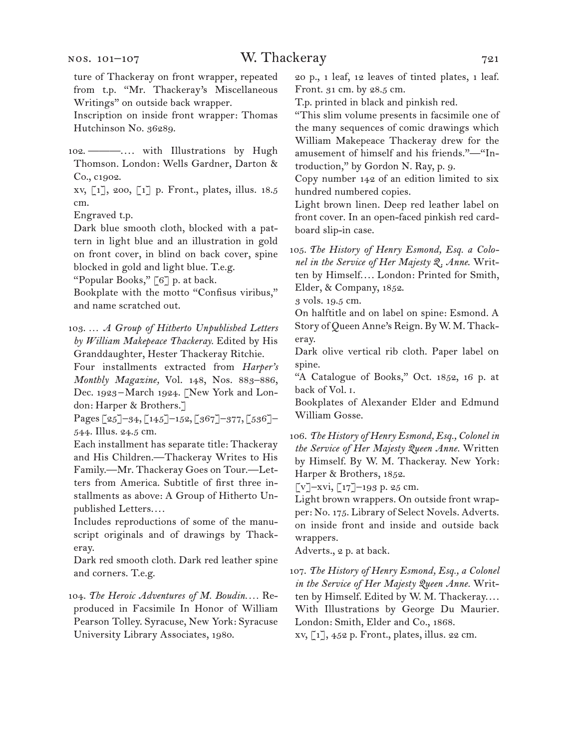ture of Thackeray on front wrapper, repeated from t.p. "Mr. Thackeray's Miscellaneous Writings" on outside back wrapper.

Inscription on inside front wrapper: Thomas Hutchinson No. 36289.

102. ———.... with Illustrations by Hugh Thomson. London: Wells Gardner, Darton & Co., c1902.

xv, [1], 200, [1] p. Front., plates, illus. 18.5 cm.

Engraved t.p.

Dark blue smooth cloth, blocked with a pattern in light blue and an illustration in gold on front cover, in blind on back cover, spine blocked in gold and light blue. T.e.g.

"Popular Books," [6] p. at back.

Bookplate with the motto "Confisus viribus," and name scratched out.

103. … *A Group of Hitherto Unpublished Letters by William Makepeace Thackeray.* Edited by His Granddaughter, Hester Thackeray Ritchie.

Four installments extracted from *Harper's Monthly Magazine,* Vol. 148, Nos. 883–886, Dec. 1923-March 1924. [New York and London: Harper & Brothers.]

Pages [25]–34, [145]–152, [367]–377, [536]– 544. Illus. 24.5 cm.

Each installment has separate title: Thackeray and His Children.—Thackeray Writes to His Family.—Mr. Thackeray Goes on Tour.—Letters from America. Subtitle of first three installments as above: A Group of Hitherto Unpublished Letters....

Includes reproductions of some of the manuscript originals and of drawings by Thackeray.

Dark red smooth cloth. Dark red leather spine and corners. T.e.g.

104. *The Heroic Adventures of M. Boudin. . . .* Reproduced in Facsimile In Honor of William Pearson Tolley. Syracuse, New York: Syracuse University Library Associates, 1980.

20 p., 1 leaf, 12 leaves of tinted plates, 1 leaf. Front. 31 cm. by 28.5 cm.

T.p. printed in black and pinkish red.

"This slim volume presents in facsimile one of the many sequences of comic drawings which William Makepeace Thackeray drew for the amusement of himself and his friends."—"Introduction," by Gordon N. Ray, p. 9.

Copy number 142 of an edition limited to six hundred numbered copies.

Light brown linen. Deep red leather label on front cover. In an open-faced pinkish red cardboard slip-in case.

105. *The History of Henry Esmond, Esq. a Colonel in the Service of Her Majesty Q. Anne*. Written by Himself.... London: Printed for Smith, Elder, & Company, 1852.

3 vols. 19.5 cm.

On halftitle and on label on spine: Esmond. A Story of Queen Anne's Reign. By W. M. Thackeray.

Dark olive vertical rib cloth. Paper label on spine.

"A Catalogue of Books," Oct. 1852, 16 p. at back of Vol. i.

Bookplates of Alexander Elder and Edmund William Gosse.

106. *The History of Henry Esmond, Esq., Colonel in the Service of Her Majesty Queen Anne.* Written by Himself. By W. M. Thackeray. New York: Harper & Brothers, 1852.

 $[v]$ –xvi,  $[17]$ –193 p. 25 cm.

Light brown wrappers. On outside front wrapper: No. 175. Library of Select Novels. Adverts. on inside front and inside and outside back wrappers.

Adverts., 2 p. at back.

107. *The History of Henry Esmond, Esq., a Colonel in the Service of Her Majesty Queen Anne.* Written by Himself. Edited by W. M. Thackeray.... With Illustrations by George Du Maurier. London: Smith, Elder and Co., 1868. xv, [1], 452 p. Front., plates, illus. 22 cm.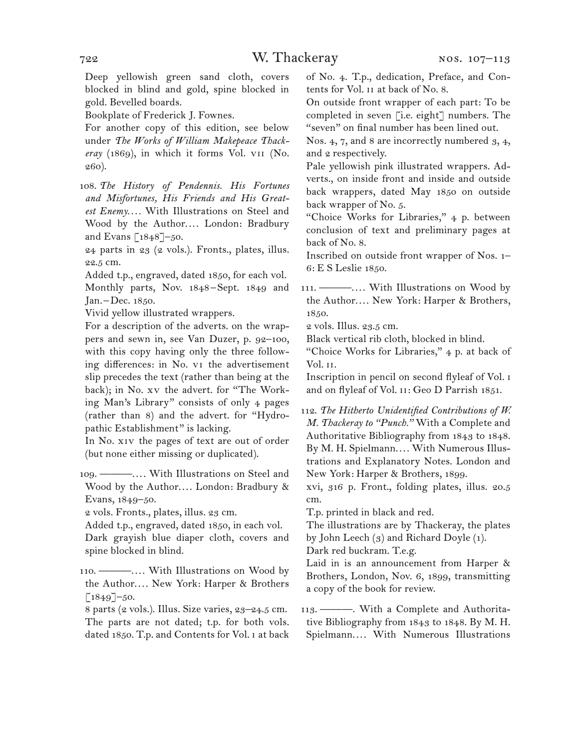Deep yellowish green sand cloth, covers blocked in blind and gold, spine blocked in gold. Bevelled boards.

Bookplate of Frederick J. Fownes.

For another copy of this edition, see below under *The Works of William Makepeace Thackeray* (1869), in which it forms Vol. vii (No. 260).

108. *The History of Pendennis. His Fortunes and Misfortunes, His Friends and His Greatest Enemy. . . .* With Illustrations on Steel and Wood by the Author.... London: Bradbury and Evans  $\lceil 1848 \rceil - 50$ .

24 parts in 23 (2 vols.). Fronts., plates, illus. 22.5 cm.

Added t.p., engraved, dated 1850, for each vol. Monthly parts, Nov. 1848–Sept. 1849 and Jan. –Dec. 1850.

Vivid yellow illustrated wrappers.

For a description of the adverts. on the wrappers and sewn in, see Van Duzer, p. 92–100, with this copy having only the three following differences: in No. vi the advertisement slip precedes the text (rather than being at the back); in No. xv the advert. for "The Working Man's Library" consists of only 4 pages (rather than 8) and the advert. for "Hydropathic Establishment" is lacking.

In No. xiv the pages of text are out of order (but none either missing or duplicated).

109. ———. . . . With Illustrations on Steel and Wood by the Author.... London: Bradbury & Evans, 1849–50.

2 vols. Fronts., plates, illus. 23 cm.

Added t.p., engraved, dated 1850, in each vol. Dark grayish blue diaper cloth, covers and spine blocked in blind.

110. ———. . . . With Illustrations on Wood by the Author.... New York: Harper & Brothers  $[1849]$ –50.

8 parts (2 vols.). Illus. Size varies, 23–24.5 cm. The parts are not dated; t.p. for both vols. dated 1850. T.p. and Contents for Vol. i at back of No. 4. T.p., dedication, Preface, and Contents for Vol. ii at back of No. 8.

On outside front wrapper of each part: To be completed in seven [i.e. eight] numbers. The "seven" on final number has been lined out.

Nos. 4, 7, and 8 are incorrectly numbered 3, 4, and 2 respectively.

Pale yellowish pink illustrated wrappers. Adverts., on inside front and inside and outside back wrappers, dated May 1850 on outside back wrapper of No. 5.

"Choice Works for Libraries," 4 p. between conclusion of text and preliminary pages at back of No. 8.

Inscribed on outside front wrapper of Nos. 1– 6: E S Leslie 1850.

111. ———.... With Illustrations on Wood by the Author.... New York: Harper & Brothers, 1850.

2 vols. Illus. 23.5 cm.

Black vertical rib cloth, blocked in blind.

"Choice Works for Libraries," 4 p. at back of Vol. ii.

Inscription in pencil on second flyleaf of Vol. i and on flyleaf of Vol. II: Geo D Parrish 1851.

112. *The Hitherto Unidentified Contributions of W. M. Thackeray to "Punch."* With a Complete and Authoritative Bibliography from 1843 to 1848. By M. H. Spielmann.... With Numerous Illustrations and Explanatory Notes. London and New York: Harper & Brothers, 1899.

xvi, 316 p. Front., folding plates, illus. 20.5 cm.

T.p. printed in black and red.

The illustrations are by Thackeray, the plates by John Leech (3) and Richard Doyle (1).

Dark red buckram. T.e.g.

Laid in is an announcement from Harper & Brothers, London, Nov. 6, 1899, transmitting a copy of the book for review.

113. ———. With a Complete and Authoritative Bibliography from 1843 to 1848. By M. H. Spielmann.... With Numerous Illustrations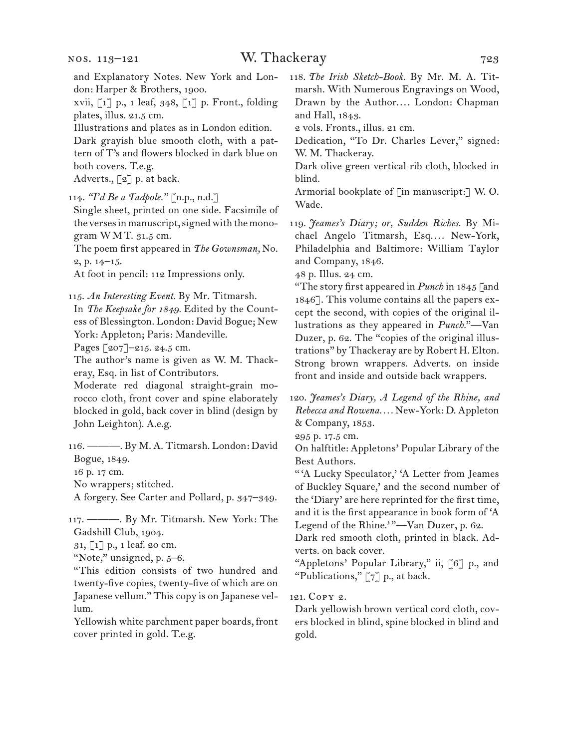xvii, [1] p., 1 leaf, 348, [1] p. Front., folding plates, illus. 21.5 cm.

Illustrations and plates as in London edition.

Dark grayish blue smooth cloth, with a pattern of T's and flowers blocked in dark blue on both covers. T.e.g.

Adverts., [2] p. at back.

114. *"I'd Be a Tadpole."* [n.p., n.d.]

Single sheet, printed on one side. Facsimile of the verses in manuscript, signed with the monogram WMT. 31.5 cm.

The poem first appeared in *The Gownsman,* No. 2, p. 14–15.

At foot in pencil: 112 Impressions only.

115. *An Interesting Event.* By Mr. Titmarsh.

In *The Keepsake for 1849.* Edited by the Countess of Blessington. London: David Bogue; New York: Appleton; Paris: Mandeville.

Pages [207]–215. 24.5 cm.

The author's name is given as W. M. Thackeray, Esq. in list of Contributors.

Moderate red diagonal straight-grain morocco cloth, front cover and spine elaborately blocked in gold, back cover in blind (design by John Leighton). A.e.g.

116. ———. By M. A. Titmarsh. London: David Bogue, 1849.

16 p. 17 cm.

No wrappers; stitched.

A forgery. See Carter and Pollard, p. 347–349.

117. ———. By Mr. Titmarsh. New York: The Gadshill Club, 1904.

31, [1] p., 1 leaf. 20 cm.

"Note," unsigned, p.  $5-6$ .

"This edition consists of two hundred and twenty-five copies, twenty-five of which are on Japanese vellum." This copy is on Japanese vellum.

Yellowish white parchment paper boards, front cover printed in gold. T.e.g.

118. *The Irish Sketch-Book.* By Mr. M. A. Titmarsh. With Numerous Engravings on Wood, Drawn by the Author.... London: Chapman and Hall, 1843.

2 vols. Fronts., illus. 21 cm.

Dedication, "To Dr. Charles Lever," signed: W. M. Thackeray.

Dark olive green vertical rib cloth, blocked in blind.

Armorial bookplate of [in manuscript:] W. O. Wade.

119. *Jeames's Diary; or, Sudden Riches.* By Michael Angelo Titmarsh, Esq.... New-York, Philadelphia and Baltimore: William Taylor and Company, 1846.

48 p. Illus. 24 cm.

"The story first appeared in *Punch* in 1845 [and 1846]. This volume contains all the papers except the second, with copies of the original illustrations as they appeared in *Punch.*"—Van Duzer, p. 62. The "copies of the original illustrations" by Thackeray are by Robert H. Elton. Strong brown wrappers. Adverts. on inside front and inside and outside back wrappers.

120. *Jeames's Diary, A Legend of the Rhine, and Rebecca and Rowena. . . .* New-York: D. Appleton & Company, 1853.

295 p. 17.5 cm.

On halftitle: Appletons' Popular Library of the Best Authors.

"'A Lucky Speculator,' 'A Letter from Jeames of Buckley Square,' and the second number of the 'Diary' are here reprinted for the first time, and it is the first appearance in book form of 'A Legend of the Rhine.'"-Van Duzer, p. 62.

Dark red smooth cloth, printed in black. Adverts. on back cover.

"Appletons' Popular Library," ii, [6] p., and "Publications," [7] p., at back.

121. Copy 2.

Dark yellowish brown vertical cord cloth, covers blocked in blind, spine blocked in blind and gold.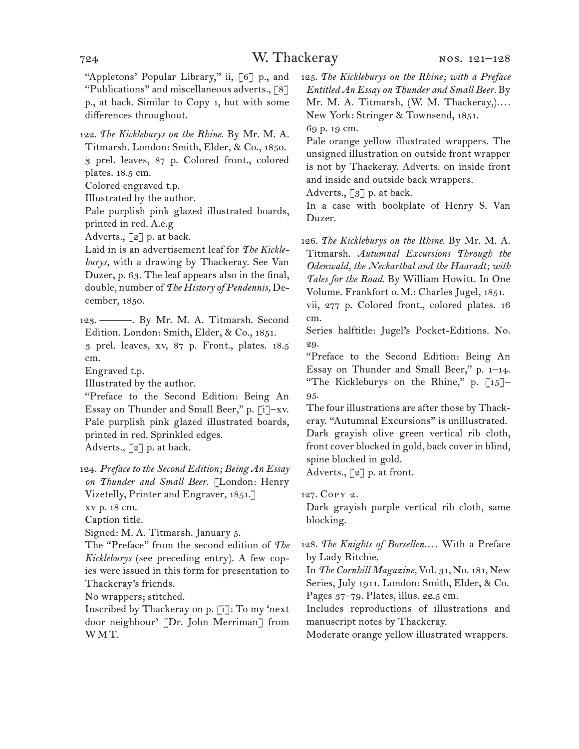"Appletons' Popular Library," ii, [6] p., and "Publications" and miscellaneous adverts., [8] p., at back. Similar to Copy 1, but with some differences throughout.

122. *The Kickleburys on the Rhine.* By Mr. M. A. Titmarsh. London: Smith, Elder, & Co., 1850. 3 prel. leaves, 87 p. Colored front., colored plates. 18.5 cm.

Colored engraved t.p.

Illustrated by the author.

Pale purplish pink glazed illustrated boards, printed in red. A.e.g

Adverts.,  $\lceil 2 \rceil$  p. at back.

Laid in is an advertisement leaf for *The Kickleburys,* with a drawing by Thackeray. See Van Duzer, p. 63. The leaf appears also in the final, double, number of *The History of Pendennis,* December, 1850.

123. ———. By Mr. M. A. Titmarsh. Second Edition. London: Smith, Elder, & Co., 1851.

3 prel. leaves, xv, 87 p. Front., plates. 18.5 cm.

Engraved t.p.

Illustrated by the author.

"Preface to the Second Edition: Being An Essay on Thunder and Small Beer," p. [i]–xv. Pale purplish pink glazed illustrated boards, printed in red. Sprinkled edges.

Adverts., [2] p. at back.

124. *Preface to the Second Edition; Being An Essay on Thunder and Small Beer.* [London: Henry Vizetelly, Printer and Engraver, 1851.] xv p. 18 cm.

Caption title.

Signed: M. A. Titmarsh. January 5.

The "Preface" from the second edition of *The Kickleburys* (see preceding entry). A few copies were issued in this form for presentation to Thackeray's friends.

No wrappers; stitched.

Inscribed by Thackeray on p. [i]: To my 'next door neighbour' [Dr. John Merriman] from WMT.

125. *The Kickleburys on the Rhine; with a Preface Entitled An Essay on Thunder and Small Beer.* By Mr. M. A. Titmarsh, (W. M. Thackeray,).... New York: Stringer & Townsend, 1851.

69 p. 19 cm.

Pale orange yellow illustrated wrappers. The unsigned illustration on outside front wrapper is not by Thackeray. Adverts. on inside front and inside and outside back wrappers.

Adverts.,  $\lceil 3 \rceil$  p. at back.

In a case with bookplate of Henry S. Van Duzer.

126. *The Kickleburys on the Rhine.* By Mr. M. A. Titmarsh. *Autumnal Excursions Through the Odenwald, the Neckarthal and the Haaradt; with Tales for the Road.* By William Howitt. In One Volume. Frankfort o.M.: Charles Jugel, 1851.

vii, 277 p. Colored front., colored plates. 16 cm.

Series halftitle: Jugel's Pocket-Editions. No. 29.

"Preface to the Second Edition: Being An Essay on Thunder and Small Beer," p. 1–14. "The Kickleburys on the Rhine," p.  $\lceil 15 \rceil$ -95.

The four illustrations are after those by Thackeray. "Autumnal Excursions" is unillustrated. Dark grayish olive green vertical rib cloth, front cover blocked in gold, back cover in blind,

spine blocked in gold.

Adverts., [2] p. at front.

127. Copy 2.

Dark grayish purple vertical rib cloth, same blocking.

128. The Knights of Borsellen.... With a Preface by Lady Ritchie.

In *The Cornhill Magazine,* Vol. 31, No. 181, New Series, July 1911. London: Smith, Elder, & Co. Pages 37–79. Plates, illus. 22.5 cm.

Includes reproductions of illustrations and manuscript notes by Thackeray.

Moderate orange yellow illustrated wrappers.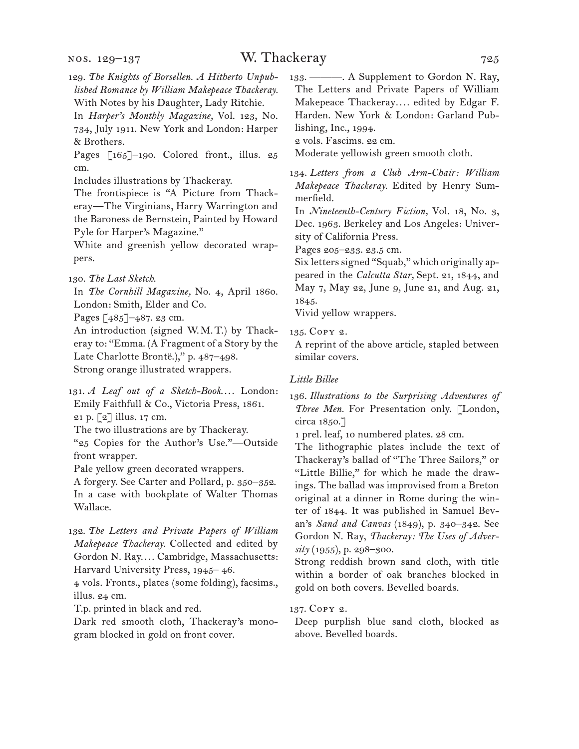### W. Thackeray 725

- 129. *The Knights of Borsellen. A Hitherto Unpublished Romance by William Makepeace Thackeray.* With Notes by his Daughter, Lady Ritchie.
- In *Harper's Monthly Magazine,* Vol. 123, No. 734, July 1911. New York and London: Harper & Brothers.
- Pages [165]-190. Colored front., illus. 25 cm.
- Includes illustrations by Thackeray.
- The frontispiece is "A Picture from Thackeray—The Virginians, Harry Warrington and the Baroness de Bernstein, Painted by Howard Pyle for Harper's Magazine."
- White and greenish yellow decorated wrappers.
- 130. *The Last Sketch*.
- In *The Cornhill Magazine,* No. 4, April 1860. London: Smith, Elder and Co.
- Pages [485]–487. 23 cm.
- An introduction (signed W.M.T.) by Thackeray to: "Emma. (A Fragment of a Story by the Late Charlotte Brontë.)," p. 487–498. Strong orange illustrated wrappers.
- 131. *A Leaf out of a Sketch-Book....* London: Emily Faithfull & Co., Victoria Press, 1861. 21 p. [2] illus. 17 cm.
- The two illustrations are by Thackeray. "25 Copies for the Author's Use."—Outside
- front wrapper.
- Pale yellow green decorated wrappers.
- A forgery. See Carter and Pollard, p. 350–352. In a case with bookplate of Walter Thomas Wallace.
- 132. *The Letters and Private Papers of William Makepeace Thackeray.* Collected and edited by Gordon N. Ray.... Cambridge, Massachusetts: Harvard University Press, 1945– 46.
- 4 vols. Fronts., plates (some folding), facsims., illus. 24 cm.
- T.p. printed in black and red.
- Dark red smooth cloth, Thackeray's monogram blocked in gold on front cover.
- 133. ———. A Supplement to Gordon N. Ray, The Letters and Private Papers of William Makepeace Thackeray*. . . .* edited by Edgar F. Harden. New York & London: Garland Publishing, Inc., 1994.
- 2 vols. Fascims. 22 cm.
- Moderate yellowish green smooth cloth.
- 134. *Letters from a Club Arm-Chair: William Makepeace Thackeray.* Edited by Henry Summerfield.
- In *Nineteenth-Century Fiction,* Vol. 18, No. 3, Dec. 1963. Berkeley and Los Angeles: University of California Press.
- Pages 205–233. 23.5 cm.
- Six letters signed "Squab," which originally appeared in the *Calcutta Star,* Sept. 21, 1844, and May 7, May 22, June 9, June 21, and Aug. 21, 1845.
- Vivid yellow wrappers.
- 135. Copy 2.
- A reprint of the above article, stapled between similar covers.
- *Little Billee*
- 136. *Illustrations to the Surprising Adventures of Three Men.* For Presentation only. [London, circa 1850.]
- 1 prel. leaf, 10 numbered plates. 28 cm.
- The lithographic plates include the text of Thackeray's ballad of "The Three Sailors," or "Little Billie," for which he made the drawings. The ballad was improvised from a Breton original at a dinner in Rome during the winter of 1844. It was published in Samuel Bevan's *Sand and Canvas* (1849), p. 340–342. See Gordon N. Ray, *Thackeray: The Uses of Adversity* (1955), p. 298–300.
- Strong reddish brown sand cloth, with title within a border of oak branches blocked in gold on both covers. Bevelled boards.
- 137. Copy 2.
- Deep purplish blue sand cloth, blocked as above. Bevelled boards.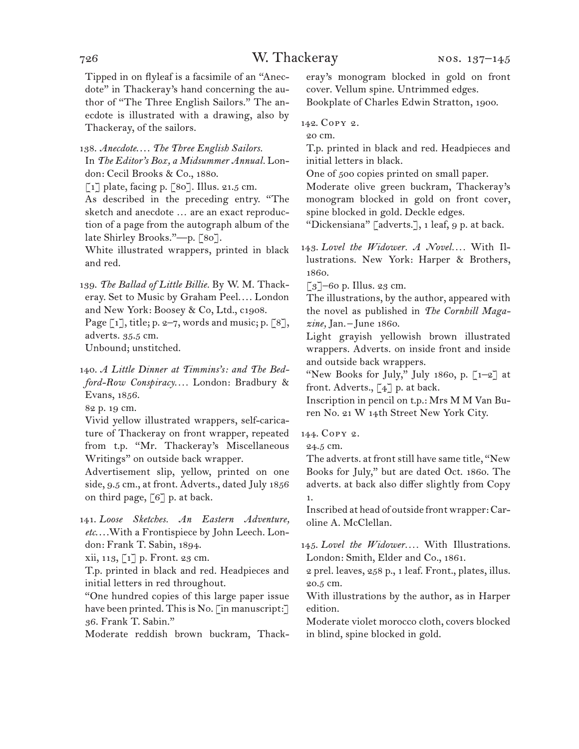Tipped in on flyleaf is a facsimile of an "Anecdote" in Thackeray's hand concerning the author of "The Three English Sailors." The anecdote is illustrated with a drawing, also by Thackeray, of the sailors.

138. *Anecdote*. . . . *The Three English Sailors.* In *The Editor's Box, a Midsummer Annual.* London: Cecil Brooks & Co., 1880.

[1] plate, facing p. [80]. Illus. 21.5 cm.

As described in the preceding entry. "The sketch and anecdote … are an exact reproduction of a page from the autograph album of the late Shirley Brooks."—p. [80].

White illustrated wrappers, printed in black and red.

139. *The Ballad of Little Billie.* By W. M. Thackeray. Set to Music by Graham Peel.... London and New York: Boosey & Co, Ltd., c1908.

Page  $\lceil 1 \rceil$ , title; p. 2–7, words and music; p.  $\lceil 8 \rceil$ , adverts. 35.5 cm.

Unbound; unstitched.

140. *A Little Dinner at Timmins's: and The Bedford-Row Conspiracy. . . .* London: Bradbury & Evans, 1856.

82 p. 19 cm.

Vivid yellow illustrated wrappers, self-caricature of Thackeray on front wrapper, repeated from t.p. "Mr. Thackeray's Miscellaneous Writings" on outside back wrapper.

Advertisement slip, yellow, printed on one side, 9.5 cm., at front. Adverts., dated July 1856 on third page, [6] p. at back.

141. *Loose Sketches. An Eastern Adventure, etc*. . . .With a Frontispiece by John Leech. London: Frank T. Sabin, 1894.

xii, 113, [1] p. Front. 23 cm.

T.p. printed in black and red. Headpieces and initial letters in red throughout.

"One hundred copies of this large paper issue have been printed. This is No. [in manuscript:] 36. Frank T. Sabin."

Moderate reddish brown buckram, Thack-

eray's monogram blocked in gold on front cover. Vellum spine. Untrimmed edges. Bookplate of Charles Edwin Stratton, 1900.

142. Copy 2.

20 cm.

T.p. printed in black and red. Headpieces and initial letters in black.

One of 500 copies printed on small paper.

Moderate olive green buckram, Thackeray's monogram blocked in gold on front cover, spine blocked in gold. Deckle edges.

"Dickensiana" [adverts.], 1 leaf, 9 p. at back.

143. Lovel the Widower. A Novel.... With Illustrations. New York: Harper & Brothers, 1860.

[3]–60 p. Illus. 23 cm.

The illustrations, by the author, appeared with the novel as published in *The Cornhill Magazine,* Jan.–June 1860.

Light grayish yellowish brown illustrated wrappers. Adverts. on inside front and inside and outside back wrappers.

"New Books for July," July 1860, p. [1–2] at front. Adverts.,  $\lceil 4 \rceil$  p. at back.

Inscription in pencil on t.p.: Mrs M M Van Buren No. 21 W 14th Street New York City.

144. Copy 2.

24.5 cm.

The adverts. at front still have same title, "New Books for July," but are dated Oct. 1860. The adverts. at back also differ slightly from Copy 1.

Inscribed at head of outside front wrapper: Caroline A. McClellan.

145. *Lovel the Widower. . . .* With Illustrations. London: Smith, Elder and Co., 1861.

2 prel. leaves, 258 p., 1 leaf. Front., plates, illus. 20.5 cm.

With illustrations by the author, as in Harper edition.

Moderate violet morocco cloth, covers blocked in blind, spine blocked in gold.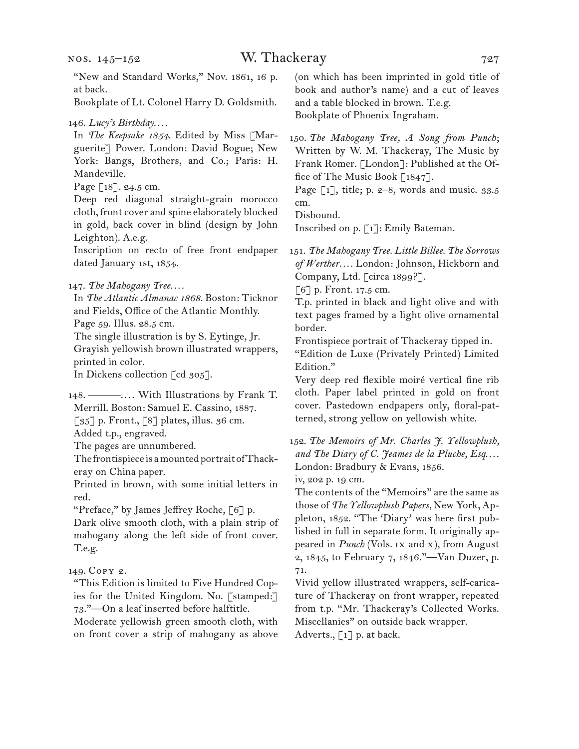"New and Standard Works," Nov. 1861, 16 p. at back.

Bookplate of Lt. Colonel Harry D. Goldsmith.

146. *Lucy's Birthday. . . .*

In *The Keepsake 1854.* Edited by Miss [Marguerite] Power. London: David Bogue; New York: Bangs, Brothers, and Co.; Paris: H. Mandeville.

Page [18]. 24.5 cm.

Deep red diagonal straight-grain morocco cloth, front cover and spine elaborately blocked in gold, back cover in blind (design by John Leighton). A.e.g.

Inscription on recto of free front endpaper dated January 1st, 1854.

147. *The Mahogany Tree. . . .*

In *The Atlantic Almanac 1868.* Boston: Ticknor and Fields, Office of the Atlantic Monthly.

Page 59. Illus. 28.5 cm.

The single illustration is by S. Eytinge, Jr. Grayish yellowish brown illustrated wrappers, printed in color.

In Dickens collection [cd 305].

148. ———.... With Illustrations by Frank T. Merrill. Boston: Samuel E. Cassino, 1887.  $\lceil 35 \rceil$  p. Front.,  $\lceil 8 \rceil$  plates, illus. 36 cm.

Added t.p., engraved.

The pages are unnumbered.

The frontispiece is a mounted portrait of Thackeray on China paper.

Printed in brown, with some initial letters in red.

"Preface," by James Jeffrey Roche, [6] p.

Dark olive smooth cloth, with a plain strip of mahogany along the left side of front cover. T.e.g.

149. Copy 2.

"This Edition is limited to Five Hundred Copies for the United Kingdom. No. [stamped:] 73."—On a leaf inserted before halftitle.

Moderate yellowish green smooth cloth, with on front cover a strip of mahogany as above

(on which has been imprinted in gold title of book and author's name) and a cut of leaves and a table blocked in brown. T.e.g. Bookplate of Phoenix Ingraham.

150. *The Mahogany Tree, A Song from Punch*; Written by W. M. Thackeray, The Music by Frank Romer. [London]: Published at the Office of The Music Book [1847].

Page  $\lceil 1 \rceil$ , title; p. 2–8, words and music. 33.5 cm.

Disbound.

Inscribed on p. [1]: Emily Bateman.

151. *The Mahogany Tree. Little Billee. The Sorrows of Werther. . . .* London: Johnson, Hickborn and Company, Ltd. [circa 1899?].

[6] p. Front. 17.5 cm.

T.p. printed in black and light olive and with text pages framed by a light olive ornamental border.

Frontispiece portrait of Thackeray tipped in. "Edition de Luxe (Privately Printed) Limited Edition."

Very deep red flexible moiré vertical fine rib cloth. Paper label printed in gold on front cover. Pastedown endpapers only, floral-patterned, strong yellow on yellowish white.

152. *The Memoirs of Mr. Charles J. Yellowplush, and The Diary of C. Jeames de la Pluche, Esq*. . . . London: Bradbury & Evans, 1856.

iv, 202 p. 19 cm.

The contents of the "Memoirs" are the same as those of *The Yellowplush Papers,* New York, Appleton, 1852. "The 'Diary' was here first published in full in separate form. It originally appeared in *Punch* (Vols. ix and x), from August 2, 1845, to February 7, 1846."—Van Duzer, p. 71.

Vivid yellow illustrated wrappers, self-caricature of Thackeray on front wrapper, repeated from t.p. "Mr. Thackeray's Collected Works. Miscellanies" on outside back wrapper. Adverts., [1] p. at back.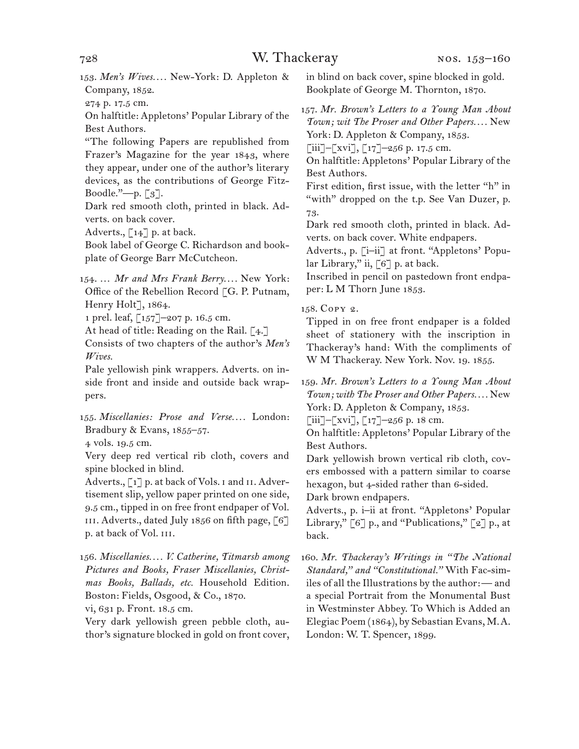153. *Men's Wives. . . .* New-York: D. Appleton & Company, 1852.

274 p. 17.5 cm.

On halftitle: Appletons' Popular Library of the Best Authors.

"The following Papers are republished from Frazer's Magazine for the year 1843, where they appear, under one of the author's literary devices, as the contributions of George Fitz-Boodle."—p. [3].

Dark red smooth cloth, printed in black. Adverts. on back cover.

Adverts.,  $\lceil 14 \rceil$  p. at back.

Book label of George C. Richardson and bookplate of George Barr McCutcheon.

154. … *Mr and Mrs Frank Berry. . . .* New York: Office of the Rebellion Record [G. P. Putnam, Henry Holt], 1864.

1 prel. leaf, [157]-207 p. 16.5 cm.

At head of title: Reading on the Rail. [4.]

Consists of two chapters of the author's *Men's Wives.* 

Pale yellowish pink wrappers. Adverts. on inside front and inside and outside back wrappers.

155. *Miscellanies: Prose and Verse. . . .* London: Bradbury & Evans, 1855–57.

4 vols. 19.5 cm.

Very deep red vertical rib cloth, covers and spine blocked in blind.

Adverts., [1] p. at back of Vols. i and ii. Advertisement slip, yellow paper printed on one side, 9.5 cm., tipped in on free front endpaper of Vol. III. Adverts., dated July 1856 on fifth page,  $\lceil 6 \rceil$ p. at back of Vol. iii.

156. *Miscellanies. . . . V. Catherine, Titmarsh among Pictures and Books, Fraser Miscellanies, Christmas Books, Ballads, etc.* Household Edition. Boston: Fields, Osgood, & Co., 1870.

vi, 631 p. Front. 18.5 cm.

Very dark yellowish green pebble cloth, author's signature blocked in gold on front cover, in blind on back cover, spine blocked in gold. Bookplate of George M. Thornton, 1870.

157. *Mr. Brown's Letters to a Young Man About Town; wit The Proser and Other Papers. . . .* New York: D. Appleton & Company, 1853.

 $\lceil$ iii]– $\lceil$ xvi],  $\lceil$ 17]–256 p. 17.5 cm.

On halftitle: Appletons' Popular Library of the Best Authors.

First edition, first issue, with the letter "h" in "with" dropped on the t.p. See Van Duzer, p. 73.

Dark red smooth cloth, printed in black. Adverts. on back cover. White endpapers.

Adverts., p. [i–ii] at front. "Appletons' Popular Library," ii,  $\lceil 6 \rceil$  p. at back.

Inscribed in pencil on pastedown front endpaper: L M Thorn June 1853.

158. Copy 2.

Tipped in on free front endpaper is a folded sheet of stationery with the inscription in Thackeray's hand: With the compliments of W M Thackeray. New York. Nov. 19. 1855.

159. *Mr. Brown's Letters to a Young Man About Town; with The Proser and Other Papers. . . .* New York: D. Appleton & Company, 1853.

 $[iii]$ – $[xvi]$ ,  $[i7]$ –256 p. 18 cm.

On halftitle: Appletons' Popular Library of the Best Authors.

Dark yellowish brown vertical rib cloth, covers embossed with a pattern similar to coarse hexagon, but 4-sided rather than 6-sided.

Dark brown endpapers.

Adverts., p. i–ii at front. "Appletons' Popular Library,"  $[6]$  p., and "Publications,"  $[2]$  p., at back.

160. *Mr. Thackeray's Writings in "The National Standard," and "Constitutional."* With Fac-similes of all the Illustrations by the author:— and a special Portrait from the Monumental Bust in Westminster Abbey. To Which is Added an Elegiac Poem (1864), by Sebastian Evans, M.A. London: W. T. Spencer, 1899.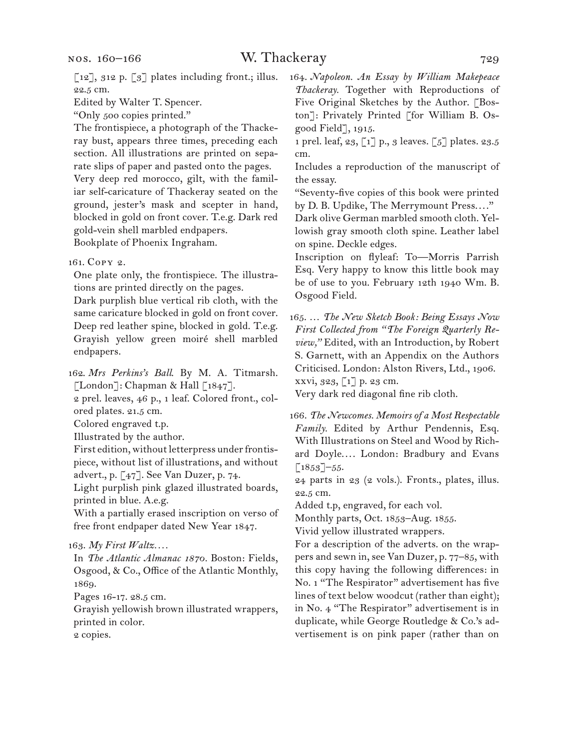$\left[\begin{smallmatrix}12\end{smallmatrix}\right]$ , 312 p.  $\left[\begin{smallmatrix}3\end{smallmatrix}\right]$  plates including front.; illus. 22.5 cm.

Edited by Walter T. Spencer.

"Only 500 copies printed."

The frontispiece, a photograph of the Thackeray bust, appears three times, preceding each section. All illustrations are printed on separate slips of paper and pasted onto the pages.

Very deep red morocco, gilt, with the familiar self-caricature of Thackeray seated on the ground, jester's mask and scepter in hand, blocked in gold on front cover. T.e.g. Dark red gold-vein shell marbled endpapers.

Bookplate of Phoenix Ingraham.

161. Copy 2.

One plate only, the frontispiece. The illustrations are printed directly on the pages.

Dark purplish blue vertical rib cloth, with the same caricature blocked in gold on front cover. Deep red leather spine, blocked in gold. T.e.g. Grayish yellow green moiré shell marbled endpapers.

162. *Mrs Perkins's Ball*. By M. A. Titmarsh.  $\lceil$ London $\rceil$ : Chapman & Hall  $\lceil 1847 \rceil$ .

2 prel. leaves, 46 p., 1 leaf. Colored front., colored plates. 21.5 cm.

Colored engraved t.p.

Illustrated by the author.

First edition, without letterpress under frontispiece, without list of illustrations, and without advert., p. [47]. See Van Duzer, p. 74.

Light purplish pink glazed illustrated boards, printed in blue. A.e.g.

With a partially erased inscription on verso of free front endpaper dated New Year 1847.

163. *My First Waltz. . . .*

In *The Atlantic Almanac 1870.* Boston: Fields, Osgood, & Co., Office of the Atlantic Monthly, 1869.

Pages 16-17. 28.5 cm.

Grayish yellowish brown illustrated wrappers, printed in color.

2 copies.

164. *Napoleon. An Essay by William Makepeace Thackeray.* Together with Reproductions of Five Original Sketches by the Author. [Boston]: Privately Printed [for William B. Osgood Field], 1915.

1 prel. leaf, 23, [1] p., 3 leaves. [5] plates. 23.5 cm.

Includes a reproduction of the manuscript of the essay.

"Seventy-five copies of this book were printed by D. B. Updike, The Merrymount Press. . . ."

Dark olive German marbled smooth cloth. Yellowish gray smooth cloth spine. Leather label on spine. Deckle edges.

Inscription on flyleaf: To—Morris Parrish Esq. Very happy to know this little book may be of use to you. February 12th 1940 Wm. B. Osgood Field.

165. … *The New Sketch Book: Being Essays Now First Collected from "The Foreign Quarterly Review,"* Edited, with an Introduction, by Robert S. Garnett, with an Appendix on the Authors Criticised. London: Alston Rivers, Ltd., 1906. xxvi, 323, [1] p. 23 cm.

Very dark red diagonal fine rib cloth.

166. *The Newcomes. Memoirs of a Most Respectable Family.* Edited by Arthur Pendennis, Esq. With Illustrations on Steel and Wood by Richard Doyle.... London: Bradbury and Evans  $\lceil 1853 \rceil - 55.$ 

24 parts in 23 (2 vols.). Fronts., plates, illus. 22.5 cm.

Added t.p, engraved, for each vol.

Monthly parts, Oct. 1853–Aug. 1855.

Vivid yellow illustrated wrappers.

For a description of the adverts. on the wrappers and sewn in, see Van Duzer, p. 77–85, with this copy having the following differences: in No. 1 "The Respirator" advertisement has five lines of text below woodcut (rather than eight); in No. 4 "The Respirator" advertisement is in duplicate, while George Routledge & Co.'s advertisement is on pink paper (rather than on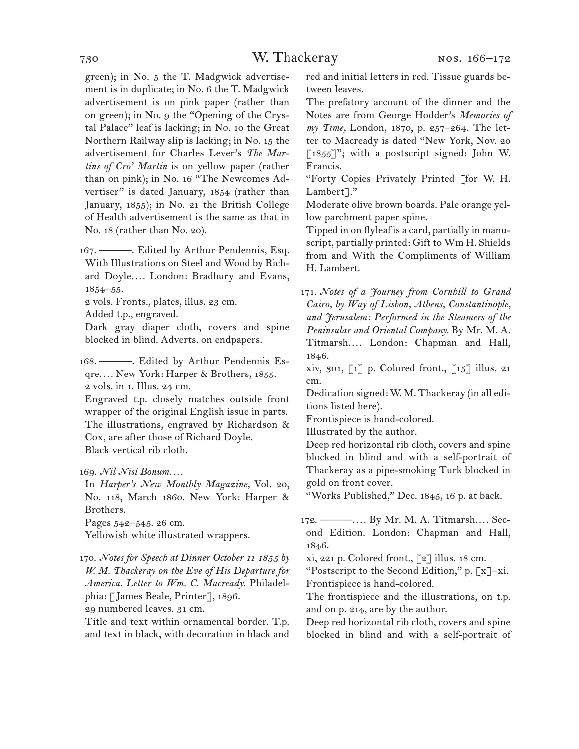green); in No. 5 the T. Madgwick advertisement is in duplicate; in No. 6 the T. Madgwick advertisement is on pink paper (rather than on green); in No. 9 the "Opening of the Crystal Palace" leaf is lacking; in No. 10 the Great Northern Railway slip is lacking; in No. 15 the advertisement for Charles Lever's *The Martins of Cro' Martin* is on yellow paper (rather than on pink); in No. 16 "The Newcomes Advertiser" is dated January, 1854 (rather than January, 1855); in No. 21 the British College of Health advertisement is the same as that in No. 18 (rather than No. 20).

167. ———. Edited by Arthur Pendennis, Esq. With Illustrations on Steel and Wood by Richard Doyle*. . . .* London: Bradbury and Evans, 1854–55.

2 vols. Fronts., plates, illus. 23 cm.

Added t.p., engraved.

Dark gray diaper cloth, covers and spine blocked in blind. Adverts. on endpapers.

168. ———. Edited by Arthur Pendennis Esqre*. . . .* New York: Harper & Brothers, 1855. 2 vols. in 1. Illus. 24 cm.

Engraved t.p. closely matches outside front wrapper of the original English issue in parts. The illustrations, engraved by Richardson & Cox, are after those of Richard Doyle. Black vertical rib cloth.

169. *Nil Nisi Bonum. . . .*

In *Harper's New Monthly Magazine,* Vol. 20, No. 118, March 1860. New York: Harper & Brothers.

Pages 542–545. 26 cm.

Yellowish white illustrated wrappers.

170. *Notes for Speech at Dinner October 11 1855 by W. M. Thackeray on the Eve of His Departure for America. Letter to Wm. C. Macready.* Philadelphia: [James Beale, Printer], 1896.

29 numbered leaves. 31 cm.

Title and text within ornamental border. T.p. and text in black, with decoration in black and red and initial letters in red. Tissue guards between leaves.

The prefatory account of the dinner and the Notes are from George Hodder's *Memories of my Time,* London, 1870, p. 257–264. The letter to Macready is dated "New York, Nov. 20  $[1855]$ "; with a postscript signed: John W. Francis.

"Forty Copies Privately Printed [for W. H. Lambert]."

Moderate olive brown boards. Pale orange yellow parchment paper spine.

Tipped in on flyleaf is a card, partially in manuscript, partially printed: Gift to Wm H. Shields from and With the Compliments of William H. Lambert.

171. *Notes of a Journey from Cornhill to Grand Cairo, by Way of Lisbon, Athens, Constantinople, and Jerusalem: Performed in the Steamers of the Peninsular and Oriental Company.* By Mr. M. A. Titmarsh.... London: Chapman and Hall, 1846.

xiv, 301,  $\begin{bmatrix} 1 \end{bmatrix}$  p. Colored front.,  $\begin{bmatrix} 15 \end{bmatrix}$  illus. 21 cm.

Dedication signed: W. M. Thackeray (in all editions listed here).

Frontispiece is hand-colored.

Illustrated by the author.

Deep red horizontal rib cloth, covers and spine blocked in blind and with a self-portrait of Thackeray as a pipe-smoking Turk blocked in gold on front cover.

"Works Published," Dec. 1845, 16 p. at back.

172. ———.... By Mr. M. A. Titmarsh.... Second Edition. London: Chapman and Hall, 1846.

xi, 221 p. Colored front.,  $\lceil 2 \rceil$  illus. 18 cm.

"Postscript to the Second Edition," p. [x]–xi. Frontispiece is hand-colored.

The frontispiece and the illustrations, on t.p. and on p. 214, are by the author.

Deep red horizontal rib cloth, covers and spine blocked in blind and with a self-portrait of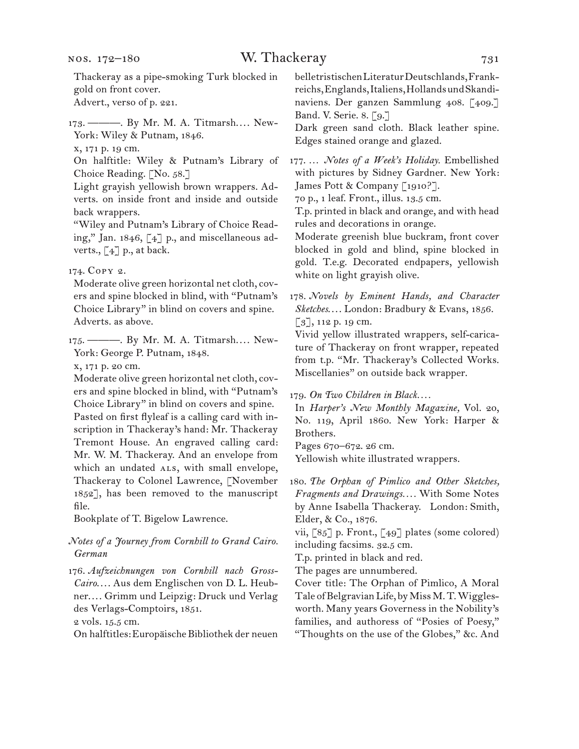#### nos. 172–180

### W. Thackeray 731

Thackeray as a pipe-smoking Turk blocked in gold on front cover. Advert., verso of p. 221.

173. ———. By Mr. M. A. Titmarsh.... New-York: Wiley & Putnam, 1846.

x, 171 p. 19 cm.

On halftitle: Wiley & Putnam's Library of Choice Reading. [No. 58.]

Light grayish yellowish brown wrappers. Adverts. on inside front and inside and outside back wrappers.

"Wiley and Putnam's Library of Choice Reading," Jan. 1846, [4] p., and miscellaneous adverts.,  $\lceil 4 \rceil$  p., at back.

174. Copy 2.

Moderate olive green horizontal net cloth, covers and spine blocked in blind, with "Putnam's Choice Library" in blind on covers and spine. Adverts. as above.

175. ———. By Mr. M. A. Titmarsh.... New-York: George P. Putnam, 1848.

x, 171 p. 20 cm.

Moderate olive green horizontal net cloth, covers and spine blocked in blind, with "Putnam's Choice Library" in blind on covers and spine. Pasted on first flyleaf is a calling card with inscription in Thackeray's hand: Mr. Thackeray Tremont House. An engraved calling card: Mr. W. M. Thackeray. And an envelope from which an undated ALS, with small envelope, Thackeray to Colonel Lawrence, [November 1852], has been removed to the manuscript file.

Bookplate of T. Bigelow Lawrence.

#### *Notes of a Journey from Cornhill to Grand Cairo. German*

176. *Aufzeichnungen von Cornhill nach Gross-Cairo*. . . . Aus dem Englischen von D. L. Heubner. . . . Grimm und Leipzig: Druck und Verlag des Verlags-Comptoirs, 1851.

2 vols. 15.5 cm.

On halftitles: Europäische Bibliothek der neuen

belletristischen Literatur Deutschlands, Frankreichs, Englands, Italiens, Hollands und Skandinaviens. Der ganzen Sammlung 408. [409.] Band. V. Serie. 8. [9.]

Dark green sand cloth. Black leather spine. Edges stained orange and glazed.

177. … *Notes of a Week's Holiday.* Embellished with pictures by Sidney Gardner. New York: James Pott & Company [1910?].

70 p., 1 leaf. Front., illus. 13.5 cm.

T.p. printed in black and orange, and with head rules and decorations in orange.

Moderate greenish blue buckram, front cover blocked in gold and blind, spine blocked in gold. T.e.g. Decorated endpapers, yellowish white on light grayish olive.

178. *Novels by Eminent Hands, and Character*  Sketches.... London: Bradbury & Evans, 1856. [3], 112 p. 19 cm.

Vivid yellow illustrated wrappers, self-caricature of Thackeray on front wrapper, repeated from t.p. "Mr. Thackeray's Collected Works. Miscellanies" on outside back wrapper.

179. *On Two Children in Black. . . .*

In *Harper's New Monthly Magazine,* Vol. 20, No. 119, April 1860. New York: Harper & Brothers.

Pages 670–672. 26 cm.

Yellowish white illustrated wrappers.

180. *The Orphan of Pimlico and Other Sketches, Fragments and Drawings. . . .* With Some Notes by Anne Isabella Thackeray. London: Smith, Elder, & Co., 1876.

vii, [85] p. Front., [49] plates (some colored) including facsims. 32.5 cm.

T.p. printed in black and red.

The pages are unnumbered.

Cover title: The Orphan of Pimlico, A Moral Tale of Belgravian Life, by Miss M. T. Wigglesworth. Many years Governess in the Nobility's families, and authoress of "Posies of Poesy," "Thoughts on the use of the Globes," &c. And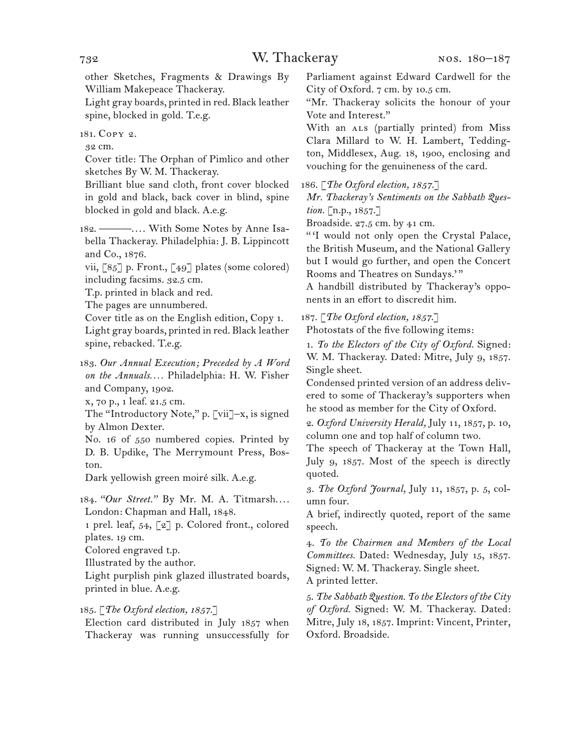other Sketches, Fragments & Drawings By William Makepeace Thackeray.

Light gray boards, printed in red. Black leather spine, blocked in gold. T.e.g.

181. Copy 2.

32 cm.

Cover title: The Orphan of Pimlico and other sketches By W. M. Thackeray.

Brilliant blue sand cloth, front cover blocked in gold and black, back cover in blind, spine blocked in gold and black. A.e.g.

182. ———.... With Some Notes by Anne Isabella Thackeray. Philadelphia: J. B. Lippincott and Co., 1876.

vii, [85] p. Front., [49] plates (some colored) including facsims. 32.5 cm.

T.p. printed in black and red.

The pages are unnumbered.

Cover title as on the English edition, Copy 1. Light gray boards, printed in red. Black leather spine, rebacked. T.e.g.

183. *Our Annual Execution; Preceded by A Word on the Annuals. . . .* Philadelphia: H. W. Fisher and Company, 1902.

x, 70 p., 1 leaf. 21.5 cm.

The "Introductory Note," p. [vii]–x, is signed by Almon Dexter.

No. 16 of 550 numbered copies. Printed by D. B. Updike, The Merrymount Press, Boston.

Dark yellowish green moiré silk. A.e.g.

184. *"Our Street."* By Mr. M. A. Titmarsh.... London: Chapman and Hall, 1848.

1 prel. leaf, 54, [2] p. Colored front., colored plates. 19 cm.

Colored engraved t.p.

Illustrated by the author.

Light purplish pink glazed illustrated boards, printed in blue. A.e.g.

185. [*The Oxford election, 1857*.]

Election card distributed in July 1857 when Thackeray was running unsuccessfully for

Parliament against Edward Cardwell for the City of Oxford. 7 cm. by 10.5 cm.

"Mr. Thackeray solicits the honour of your Vote and Interest."

With an ALS (partially printed) from Miss Clara Millard to W. H. Lambert, Teddington, Middlesex, Aug. 18, 1900, enclosing and vouching for the genuineness of the card.

186. [*The Oxford election, 1857*.]

*Mr. Thackeray's Sentiments on the Sabbath Question.* [n.p., 1857.]

Broadside. 27.5 cm. by 41 cm.

"I would not only open the Crystal Palace, the British Museum, and the National Gallery but I would go further, and open the Concert Rooms and Theatres on Sundays.""

A handbill distributed by Thackeray's opponents in an effort to discredit him.

187. [*The Oxford election, 1857*.]

Photostats of the five following items:

1. *To the Electors of the City of Oxford.* Signed: W. M. Thackeray. Dated: Mitre, July 9, 1857. Single sheet.

Condensed printed version of an address delivered to some of Thackeray's supporters when he stood as member for the City of Oxford.

2. *Oxford University Herald,* July 11, 1857, p. 10, column one and top half of column two.

The speech of Thackeray at the Town Hall, July 9, 1857. Most of the speech is directly quoted.

3. *The Oxford Journal,* July 11, 1857, p. 5, column four.

A brief, indirectly quoted, report of the same speech.

4. *To the Chairmen and Members of the Local Committees.* Dated: Wednesday, July 15, 1857. Signed: W. M. Thackeray. Single sheet. A printed letter.

5. *The Sabbath Question. To the Electors of the City of Oxford.* Signed: W. M. Thackeray. Dated: Mitre, July 18, 1857. Imprint: Vincent, Printer, Oxford. Broadside.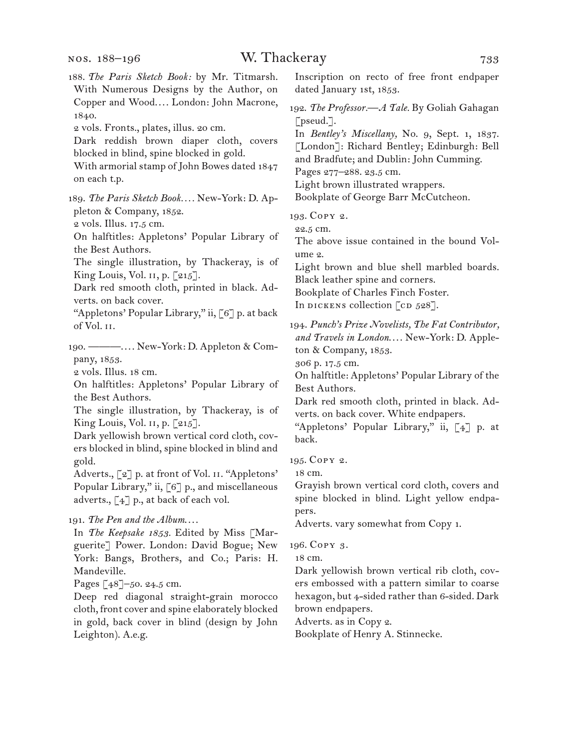188. *The Paris Sketch Book:* by Mr. Titmarsh. With Numerous Designs by the Author, on Copper and Wood.... London: John Macrone, 1840. 2 vols. Fronts., plates, illus. 20 cm. Dark reddish brown diaper cloth, covers blocked in blind, spine blocked in gold. With armorial stamp of John Bowes dated 1847 on each t.p. 189. *The Paris Sketch Book. . . .* New-York: D. Appleton & Company, 1852. 2 vols. Illus. 17.5 cm. On halftitles: Appletons' Popular Library of the Best Authors. The single illustration, by Thackeray, is of King Louis, Vol. 11, p. [215]. Dark red smooth cloth, printed in black. Adverts. on back cover. "Appletons' Popular Library," ii, [6] p. at back of Vol. ii. 190. ———. . . . New-York: D. Appleton & Company, 1853. 2 vols. Illus. 18 cm. On halftitles: Appletons' Popular Library of the Best Authors. The single illustration, by Thackeray, is of King Louis, Vol. ii, p. [215]. Dark yellowish brown vertical cord cloth, covers blocked in blind, spine blocked in blind and gold. Adverts., [2] p. at front of Vol. II. "Appletons' Popular Library," ii, [6] p., and miscellaneous adverts., [4] p., at back of each vol. 191. *The Pen and the Album*. . . . In *The Keepsake 1853.* Edited by Miss [Marguerite] Power. London: David Bogue; New York: Bangs, Brothers, and Co.; Paris: H. Mandeville. Pages [48]–50. 24.5 cm. Deep red diagonal straight-grain morocco cloth, front cover and spine elaborately blocked in gold, back cover in blind (design by John Leighton). A.e.g.

Inscription on recto of free front endpaper dated January 1st, 1853.

192. *The Professor.—A Tale.* By Goliah Gahagan [pseud.].

In *Bentley's Miscellany,* No. 9, Sept. 1, 1837. [London]: Richard Bentley; Edinburgh: Bell

and Bradfute; and Dublin: John Cumming.

Pages 277–288. 23.5 cm.

Light brown illustrated wrappers.

Bookplate of George Barr McCutcheon.

193. Copy 2.

22.5 cm.

The above issue contained in the bound Volume 2.

Light brown and blue shell marbled boards. Black leather spine and corners.

Bookplate of Charles Finch Foster.

In DICKENS collection  $\lceil$  cD 528].

194. *Punch's Prize Novelists, The Fat Contributor,*  and Travels in London.... New-York: D. Appleton & Company, 1853.

306 p. 17.5 cm.

On halftitle: Appletons' Popular Library of the Best Authors.

Dark red smooth cloth, printed in black. Adverts. on back cover. White endpapers.

"Appletons' Popular Library," ii,  $\lceil 4 \rceil$  p. at back.

195. Copy 2.

18 cm.

Grayish brown vertical cord cloth, covers and spine blocked in blind. Light yellow endpapers.

Adverts. vary somewhat from Copy 1.

196. Copy 3.

18 cm.

Dark yellowish brown vertical rib cloth, covers embossed with a pattern similar to coarse hexagon, but 4-sided rather than 6-sided. Dark brown endpapers.

Adverts. as in Copy 2.

Bookplate of Henry A. Stinnecke.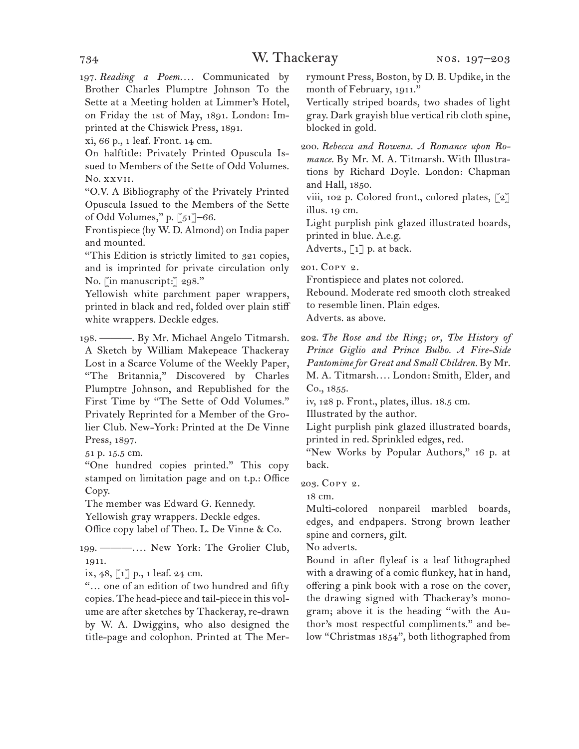197. *Reading a Poem....* Communicated by Brother Charles Plumptre Johnson To the Sette at a Meeting holden at Limmer's Hotel, on Friday the 1st of May, 1891. London: Imprinted at the Chiswick Press, 1891.

xi, 66 p., 1 leaf. Front. 14 cm.

On halftitle: Privately Printed Opuscula Issued to Members of the Sette of Odd Volumes. No. xxvii.

"O.V. A Bibliography of the Privately Printed Opuscula Issued to the Members of the Sette of Odd Volumes," p. [51]–66.

Frontispiece (by W. D. Almond) on India paper and mounted.

"This Edition is strictly limited to 321 copies, and is imprinted for private circulation only No. [in manuscript:] 298."

Yellowish white parchment paper wrappers, printed in black and red, folded over plain stiff white wrappers. Deckle edges.

198. ———. By Mr. Michael Angelo Titmarsh. A Sketch by William Makepeace Thackeray Lost in a Scarce Volume of the Weekly Paper, "The Britannia," Discovered by Charles Plumptre Johnson, and Republished for the First Time by "The Sette of Odd Volumes." Privately Reprinted for a Member of the Grolier Club. New-York: Printed at the De Vinne Press, 1897.

51 p. 15.5 cm.

"One hundred copies printed." This copy stamped on limitation page and on t.p.: Office Copy.

The member was Edward G. Kennedy.

Yellowish gray wrappers. Deckle edges.

Office copy label of Theo. L. De Vinne & Co.

199. ———.... New York: The Grolier Club, 1911.

ix,  $48, 1$ ] p., 1 leaf. 24 cm.

"… one of an edition of two hundred and fifty copies. The head-piece and tail-piece in this volume are after sketches by Thackeray, re-drawn by W. A. Dwiggins, who also designed the title-page and colophon. Printed at The Merrymount Press, Boston, by D. B. Updike, in the month of February, 1911."

Vertically striped boards, two shades of light gray. Dark grayish blue vertical rib cloth spine, blocked in gold.

200. *Rebecca and Rowena. A Romance upon Romance.* By Mr. M. A. Titmarsh. With Illustrations by Richard Doyle. London: Chapman and Hall, 1850.

viii, 102 p. Colored front., colored plates, [2] illus. 19 cm.

Light purplish pink glazed illustrated boards, printed in blue. A.e.g.

Adverts.,  $\lceil 1 \rceil$  p. at back.

201. Copy 2.

Frontispiece and plates not colored.

Rebound. Moderate red smooth cloth streaked to resemble linen. Plain edges. Adverts. as above.

202. *The Rose and the Ring; or, The History of Prince Giglio and Prince Bulbo. A Fire-Side Pantomime for Great and Small Children.* By Mr. M. A. Titmarsh.... London: Smith, Elder, and

Co., 1855.

iv, 128 p. Front., plates, illus. 18.5 cm.

Illustrated by the author.

Light purplish pink glazed illustrated boards, printed in red. Sprinkled edges, red.

"New Works by Popular Authors," 16 p. at back.

203. Copy 2.

18 cm.

Multi-colored nonpareil marbled boards, edges, and endpapers. Strong brown leather spine and corners, gilt.

No adverts.

Bound in after flyleaf is a leaf lithographed with a drawing of a comic flunkey, hat in hand, offering a pink book with a rose on the cover, the drawing signed with Thackeray's monogram; above it is the heading "with the Author's most respectful compliments." and below "Christmas 1854", both lithographed from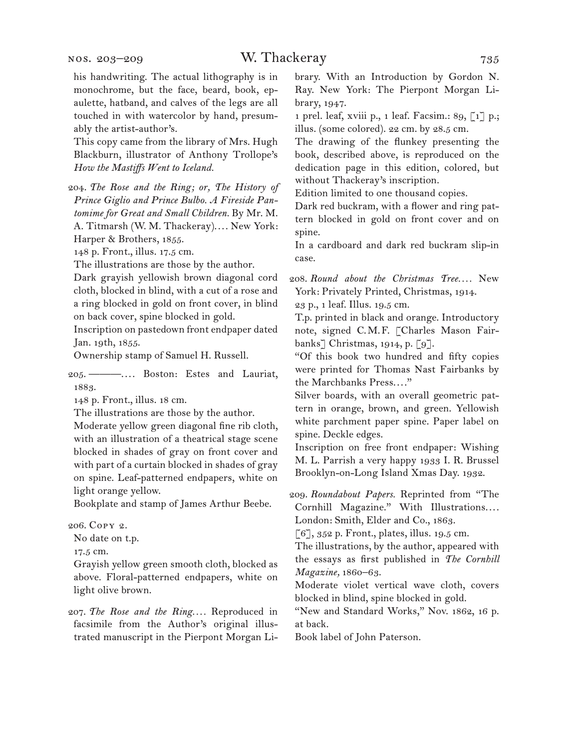This copy came from the library of Mrs. Hugh Blackburn, illustrator of Anthony Trollope's *How the Mastiffs Went to Iceland.*

204. *The Rose and the Ring; or, The History of Prince Giglio and Prince Bulbo. A Fireside Pantomime for Great and Small Children.* By Mr. M. A. Titmarsh (W. M. Thackeray).... New York: Harper & Brothers, 1855.

148 p. Front., illus. 17.5 cm.

The illustrations are those by the author.

Dark grayish yellowish brown diagonal cord cloth, blocked in blind, with a cut of a rose and a ring blocked in gold on front cover, in blind on back cover, spine blocked in gold.

Inscription on pastedown front endpaper dated Jan. 19th, 1855.

Ownership stamp of Samuel H. Russell.

205. ———. . . . Boston: Estes and Lauriat, 1883.

148 p. Front., illus. 18 cm.

The illustrations are those by the author.

Moderate yellow green diagonal fine rib cloth, with an illustration of a theatrical stage scene blocked in shades of gray on front cover and with part of a curtain blocked in shades of gray on spine. Leaf-patterned endpapers, white on light orange yellow.

Bookplate and stamp of James Arthur Beebe.

206. Copy 2.

No date on t.p.

17.5 cm.

Grayish yellow green smooth cloth, blocked as above. Floral-patterned endpapers, white on light olive brown.

207. *The Rose and the Ring. . . .* Reproduced in facsimile from the Author's original illustrated manuscript in the Pierpont Morgan Library. With an Introduction by Gordon N. Ray. New York: The Pierpont Morgan Library, 1947.

1 prel. leaf, xviii p., 1 leaf. Facsim.: 89, [1] p.; illus. (some colored). 22 cm. by 28.5 cm.

The drawing of the flunkey presenting the book, described above, is reproduced on the dedication page in this edition, colored, but without Thackeray's inscription.

Edition limited to one thousand copies.

Dark red buckram, with a flower and ring pattern blocked in gold on front cover and on spine.

In a cardboard and dark red buckram slip-in case.

208. *Round about the Christmas Tree. . . .* New York: Privately Printed, Christmas, 1914.

23 p., 1 leaf. Illus. 19.5 cm.

T.p. printed in black and orange. Introductory note, signed C.M.F. [Charles Mason Fairbanks] Christmas, 1914, p. [9].

"Of this book two hundred and fifty copies were printed for Thomas Nast Fairbanks by the Marchbanks Press. . . ."

Silver boards, with an overall geometric pattern in orange, brown, and green. Yellowish white parchment paper spine. Paper label on spine. Deckle edges.

Inscription on free front endpaper: Wishing M. L. Parrish a very happy 1933 I. R. Brussel Brooklyn-on-Long Island Xmas Day. 1932.

209. *Roundabout Papers.* Reprinted from "The Cornhill Magazine." With Illustrations.... London: Smith, Elder and Co., 1863.

[6], 352 p. Front., plates, illus. 19.5 cm.

The illustrations, by the author, appeared with the essays as first published in *The Cornhill Magazine,* 1860–63.

Moderate violet vertical wave cloth, covers blocked in blind, spine blocked in gold.

"New and Standard Works," Nov. 1862, 16 p. at back.

Book label of John Paterson.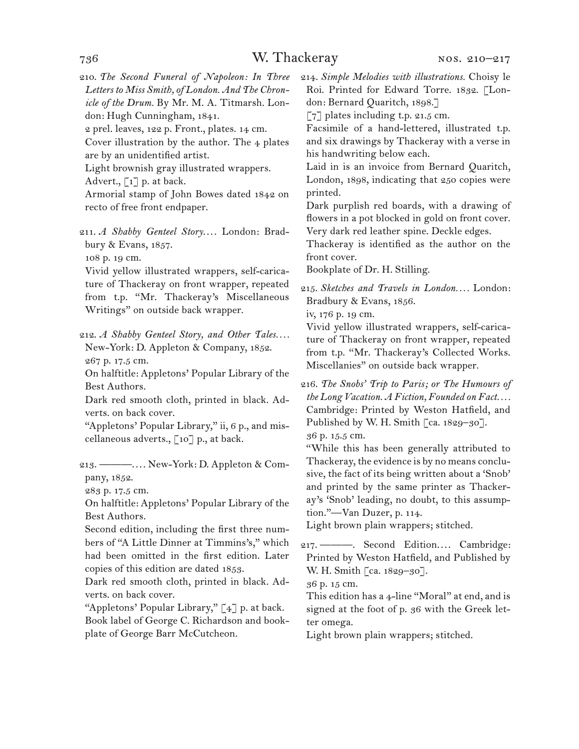210. *The Second Funeral of Napoleon: In Three Letters to Miss Smith, of London. And The Chronicle of the Drum.* By Mr. M. A. Titmarsh. London: Hugh Cunningham, 1841.

2 prel. leaves, 122 p. Front., plates. 14 cm.

Cover illustration by the author. The 4 plates are by an unidentified artist.

Light brownish gray illustrated wrappers. Advert.,  $\lceil 1 \rceil$  p. at back.

Armorial stamp of John Bowes dated 1842 on recto of free front endpaper.

211. *A Shabby Genteel Story....* London: Bradbury & Evans, 1857.

108 p. 19 cm.

Vivid yellow illustrated wrappers, self-caricature of Thackeray on front wrapper, repeated from t.p. "Mr. Thackeray's Miscellaneous Writings" on outside back wrapper.

212. *A Shabby Genteel Story, and Other Tales....* New-York: D. Appleton & Company, 1852. 267 p. 17.5 cm.

On halftitle: Appletons' Popular Library of the Best Authors.

Dark red smooth cloth, printed in black. Adverts. on back cover.

"Appletons' Popular Library," ii, 6 p., and miscellaneous adverts.,  $\lceil 10 \rceil$  p., at back.

213. ———. . . . New-York: D. Appleton & Company, 1852.

283 p. 17.5 cm.

On halftitle: Appletons' Popular Library of the Best Authors.

Second edition, including the first three numbers of "A Little Dinner at Timmins's," which had been omitted in the first edition. Later copies of this edition are dated 1853.

Dark red smooth cloth, printed in black. Adverts. on back cover.

"Appletons' Popular Library," [4] p. at back. Book label of George C. Richardson and bookplate of George Barr McCutcheon.

214. *Simple Melodies with illustrations.* Choisy le Roi. Printed for Edward Torre. 1832. [London: Bernard Quaritch, 1898.]

 $\lceil 7 \rceil$  plates including t.p. 21.5 cm.

Facsimile of a hand-lettered, illustrated t.p. and six drawings by Thackeray with a verse in his handwriting below each.

Laid in is an invoice from Bernard Quaritch, London, 1898, indicating that 250 copies were printed.

Dark purplish red boards, with a drawing of flowers in a pot blocked in gold on front cover. Very dark red leather spine. Deckle edges.

Thackeray is identified as the author on the front cover.

Bookplate of Dr. H. Stilling.

215. *Sketches and Travels in London. . . .* London: Bradbury & Evans, 1856.

iv, 176 p. 19 cm.

Vivid yellow illustrated wrappers, self-caricature of Thackeray on front wrapper, repeated from t.p. "Mr. Thackeray's Collected Works. Miscellanies" on outside back wrapper.

216. *The Snobs' Trip to Paris; or The Humours of the Long Vacation. A Fiction, Founded on Fact. . . .* Cambridge: Printed by Weston Hatfield, and Published by W. H. Smith [ca. 1829-30].

36 p. 15.5 cm.

"While this has been generally attributed to Thackeray, the evidence is by no means conclusive, the fact of its being written about a 'Snob' and printed by the same printer as Thackeray's 'Snob' leading, no doubt, to this assumption."—Van Duzer, p. 114.

Light brown plain wrappers; stitched.

217. ------ Second Edition.... Cambridge: Printed by Weston Hatfield, and Published by W. H. Smith [ca. 1829–30].

36 p. 15 cm.

This edition has a 4-line "Moral" at end, and is signed at the foot of p. 36 with the Greek letter omega.

Light brown plain wrappers; stitched.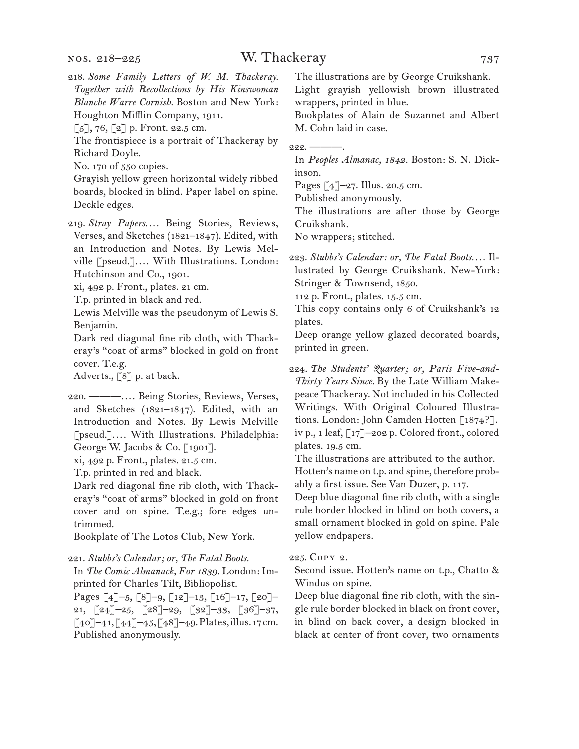### W. Thackeray 737

- 218. *Some Family Letters of W. M. Thackeray. Together with Recollections by His Kinswoman Blanche Warre Cornish.* Boston and New York: Houghton Mifflin Company, 1911.
- $[5]$ , 76,  $[2]$  p. Front. 22.5 cm.

The frontispiece is a portrait of Thackeray by Richard Doyle.

No. 170 of 550 copies.

Grayish yellow green horizontal widely ribbed boards, blocked in blind. Paper label on spine. Deckle edges.

219. *Stray Papers. . . .* Being Stories, Reviews, Verses, and Sketches (1821–1847). Edited, with an Introduction and Notes. By Lewis Melville [pseud.].... With Illustrations. London: Hutchinson and Co., 1901.

xi, 492 p. Front., plates. 21 cm.

T.p. printed in black and red.

Lewis Melville was the pseudonym of Lewis S. Benjamin.

Dark red diagonal fine rib cloth, with Thackeray's "coat of arms" blocked in gold on front cover. T.e.g.

Adverts., [8] p. at back.

220. ———. . . . Being Stories, Reviews, Verses, and Sketches (1821–1847). Edited, with an Introduction and Notes. By Lewis Melville [pseud.].... With Illustrations. Philadelphia: George W. Jacobs & Co. [1901].

xi, 492 p. Front., plates. 21.5 cm.

T.p. printed in red and black.

Dark red diagonal fine rib cloth, with Thackeray's "coat of arms" blocked in gold on front cover and on spine. T.e.g.; fore edges untrimmed.

Bookplate of The Lotos Club, New York.

#### 221. *Stubbs's Calendar; or, The Fatal Boots.*

In *The Comic Almanack, For 1839.* London: Imprinted for Charles Tilt, Bibliopolist.

Pages  $\left[4\right]-5$ ,  $\left[8\right]-9$ ,  $\left[12\right]-13$ ,  $\left[16\right]-17$ ,  $\left[20\right]-$ 21, [24]–25, [28]–29, [32]–33, [36]–37,  $[40]$ –41,  $[44]$ –45,  $[48]$ –49. Plates, illus. 17 cm. Published anonymously.

The illustrations are by George Cruikshank.

Light grayish yellowish brown illustrated wrappers, printed in blue.

Bookplates of Alain de Suzannet and Albert M. Cohn laid in case.

 $222. -$ 

In *Peoples Almanac, 1842.* Boston: S. N. Dickinson.

Pages [4]–27. Illus. 20.5 cm.

Published anonymously.

The illustrations are after those by George Cruikshank.

No wrappers; stitched.

223. *Stubbs's Calendar: or, The Fatal Boots. . . .* Illustrated by George Cruikshank. New-York: Stringer & Townsend, 1850.

112 p. Front., plates. 15.5 cm.

This copy contains only 6 of Cruikshank's 12 plates.

Deep orange yellow glazed decorated boards, printed in green.

224. *The Students' Quarter; or, Paris Five-and-Thirty Years Since.* By the Late William Makepeace Thackeray. Not included in his Collected Writings. With Original Coloured Illustrations. London: John Camden Hotten [1874?]. iv p., 1 leaf, [17]–202 p. Colored front., colored plates. 19.5 cm.

The illustrations are attributed to the author. Hotten's name on t.p. and spine, therefore probably a first issue. See Van Duzer, p. 117.

Deep blue diagonal fine rib cloth, with a single rule border blocked in blind on both covers, a small ornament blocked in gold on spine. Pale yellow endpapers.

#### 225. Copy 2.

Second issue. Hotten's name on t.p., Chatto & Windus on spine.

Deep blue diagonal fine rib cloth, with the single rule border blocked in black on front cover, in blind on back cover, a design blocked in black at center of front cover, two ornaments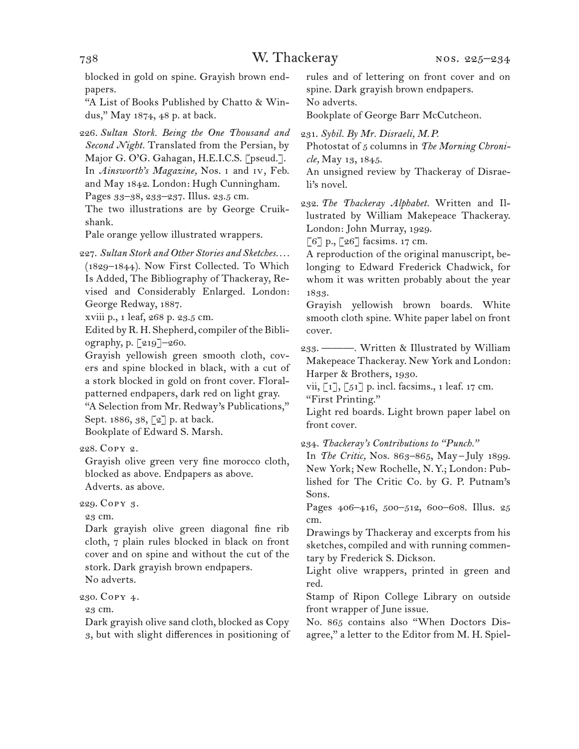blocked in gold on spine. Grayish brown endpapers.

"A List of Books Published by Chatto & Windus," May 1874, 48 p. at back.

226. *Sultan Stork. Being the One Thousand and Second Night.* Translated from the Persian, by Major G. O'G. Gahagan, H.E.I.C.S. [pseud.]. In *Ainsworth's Magazine,* Nos. i and iv, Feb. and May 1842. London: Hugh Cunningham. Pages 33–38, 233–237. Illus. 23.5 cm. The two illustrations are by George Cruikshank.

Pale orange yellow illustrated wrappers.

227. *Sultan Stork and Other Stories and Sketches. . . .* (1829–1844). Now First Collected. To Which Is Added, The Bibliography of Thackeray, Revised and Considerably Enlarged. London: George Redway, 1887.

xviii p., 1 leaf, 268 p. 23.5 cm.

Edited by R. H. Shepherd, compiler of the Bibliography, p. [219]–260.

Grayish yellowish green smooth cloth, covers and spine blocked in black, with a cut of a stork blocked in gold on front cover. Floralpatterned endpapers, dark red on light gray. "A Selection from Mr. Redway's Publications,"

Sept. 1886, 38, [2] p. at back.

Bookplate of Edward S. Marsh.

228. Copy 2.

Grayish olive green very fine morocco cloth, blocked as above. Endpapers as above. Adverts. as above.

229. Copy 3.

23 cm.

Dark grayish olive green diagonal fine rib cloth, 7 plain rules blocked in black on front cover and on spine and without the cut of the stork. Dark grayish brown endpapers. No adverts.

230. Copy 4.

23 cm.

Dark grayish olive sand cloth, blocked as Copy 3, but with slight differences in positioning of rules and of lettering on front cover and on spine. Dark grayish brown endpapers.

No adverts.

Bookplate of George Barr McCutcheon.

231. *Sybil. By Mr. Disraeli, M.P.*

Photostat of 5 columns in *The Morning Chronicle,* May 13, 1845.

An unsigned review by Thackeray of Disraeli's novel.

232. *The Thackeray Alphabet.* Written and Illustrated by William Makepeace Thackeray. London: John Murray, 1929.

[6] p., [26] facsims. 17 cm.

A reproduction of the original manuscript, belonging to Edward Frederick Chadwick, for whom it was written probably about the year 1833.

Grayish yellowish brown boards. White smooth cloth spine. White paper label on front cover.

233. ———. Written & Illustrated by William Makepeace Thackeray. New York and London: Harper & Brothers, 1930.

vii,  $\begin{bmatrix} 1 \end{bmatrix}$ ,  $\begin{bmatrix} 51 \end{bmatrix}$  p. incl. facsims., 1 leaf. 17 cm. "First Printing."

Light red boards. Light brown paper label on front cover.

234. *Thackeray's Contributions to "Punch."*

In *The Critic*, Nos. 863–865, May-July 1899. New York; New Rochelle, N.Y.; London: Published for The Critic Co. by G. P. Putnam's Sons.

Pages 406–416, 500–512, 600–608. Illus. 25 cm.

Drawings by Thackeray and excerpts from his sketches, compiled and with running commentary by Frederick S. Dickson.

Light olive wrappers, printed in green and red.

Stamp of Ripon College Library on outside front wrapper of June issue.

No. 865 contains also "When Doctors Disagree," a letter to the Editor from M. H. Spiel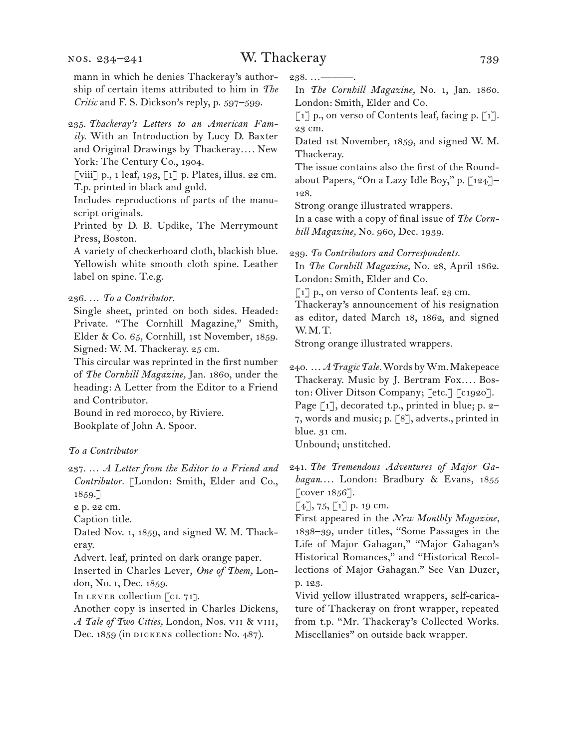mann in which he denies Thackeray's authorship of certain items attributed to him in *The Critic* and F. S. Dickson's reply, p. 597–599.

235. *Thackeray's Letters to an American Family.* With an Introduction by Lucy D. Baxter and Original Drawings by Thackeray*. . . .* New York: The Century Co., 1904.

[viii] p., 1 leaf, 193, [1] p. Plates, illus. 22 cm. T.p. printed in black and gold.

Includes reproductions of parts of the manuscript originals.

Printed by D. B. Updike, The Merrymount Press, Boston.

A variety of checkerboard cloth, blackish blue. Yellowish white smooth cloth spine. Leather label on spine. T.e.g.

236. … *To a Contributor.*

Single sheet, printed on both sides. Headed: Private. "The Cornhill Magazine," Smith, Elder & Co. 65, Cornhill, 1st November, 1859. Signed: W. M. Thackeray. 25 cm.

This circular was reprinted in the first number of *The Cornhill Magazine,* Jan. 1860, under the heading: A Letter from the Editor to a Friend and Contributor.

Bound in red morocco, by Riviere. Bookplate of John A. Spoor.

#### *To a Contributor*

237. … *A Letter from the Editor to a Friend and Contributor.* [London: Smith, Elder and Co., 1859.]

2 p. 22 cm.

Caption title.

Dated Nov. 1, 1859, and signed W. M. Thackeray.

Advert. leaf, printed on dark orange paper.

Inserted in Charles Lever, *One of Them,* London, No. i, Dec. 1859.

In LEVER collection [CL 71].

Another copy is inserted in Charles Dickens, *A Tale of Two Cities,* London, Nos. vii & viii, Dec. 1859 (in DICKENS collection: No. 487).

 $238...$ 

In *The Cornhill Magazine,* No. 1, Jan. 1860. London: Smith, Elder and Co.

 $\lceil 1 \rceil$  p., on verso of Contents leaf, facing p.  $\lceil 1 \rceil$ . 23 cm.

Dated 1st November, 1859, and signed W. M. Thackeray.

The issue contains also the first of the Roundabout Papers, "On a Lazy Idle Boy," p. [124]– 128.

Strong orange illustrated wrappers.

In a case with a copy of final issue of *The Cornhill Magazine,* No. 960, Dec. 1939.

239. *To Contributors and Correspondents.*

In *The Cornhill Magazine,* No. 28, April 1862. London: Smith, Elder and Co.

[1] p., on verso of Contents leaf. 23 cm.

Thackeray's announcement of his resignation as editor, dated March 18, 1862, and signed W.M.T.

Strong orange illustrated wrappers.

240. … *A Tragic Tale.* Words by Wm. Makepeace Thackeray. Music by J. Bertram Fox.... Boston: Oliver Ditson Company; [etc.] [c1920]. Page [1], decorated t.p., printed in blue; p. 2-7, words and music; p. [8], adverts., printed in blue. 31 cm.

Unbound; unstitched.

241. *The Tremendous Adventures of Major Ga*hagan.... London: Bradbury & Evans, 1855  $\lceil$  cover 1856].

 $[4]$ , 75,  $[1]$  p. 19 cm.

First appeared in the *New Monthly Magazine,*  1838–39, under titles, "Some Passages in the Life of Major Gahagan," "Major Gahagan's Historical Romances," and "Historical Recollections of Major Gahagan." See Van Duzer, p. 123.

Vivid yellow illustrated wrappers, self-caricature of Thackeray on front wrapper, repeated from t.p. "Mr. Thackeray's Collected Works. Miscellanies" on outside back wrapper.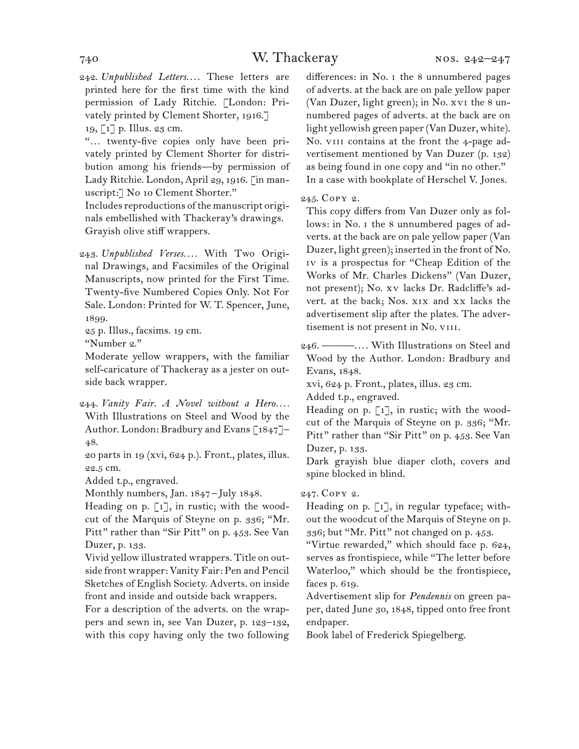242. *Unpublished Letters...*. These letters are printed here for the first time with the kind permission of Lady Ritchie. [London: Privately printed by Clement Shorter, 1916.] 19, [1] p. Illus. 23 cm.

"… twenty-five copies only have been privately printed by Clement Shorter for distribution among his friends—by permission of Lady Ritchie. London, April 29, 1916. [in manuscript:] No 10 Clement Shorter."

Includes reproductions of the manuscript originals embellished with Thackeray's drawings. Grayish olive stiff wrappers.

243. *Unpublished Verses. . . .* With Two Original Drawings, and Facsimiles of the Original Manuscripts, now printed for the First Time. Twenty-five Numbered Copies Only. Not For Sale. London: Printed for W. T. Spencer, June, 1899.

25 p. Illus., facsims. 19 cm.

"Number 2."

Moderate yellow wrappers, with the familiar self-caricature of Thackeray as a jester on outside back wrapper.

244. *Vanity Fair. A Novel without a Hero....* With Illustrations on Steel and Wood by the Author. London: Bradbury and Evans [1847]– 48.

20 parts in 19 (xvi, 624 p.). Front., plates, illus. 22.5 cm.

Added t.p., engraved.

Monthly numbers, Jan. 1847 – July 1848.

Heading on p.  $\lceil 1 \rceil$ , in rustic; with the woodcut of the Marquis of Steyne on p. 336; "Mr. Pitt" rather than "Sir Pitt" on p. 453. See Van Duzer, p. 133.

Vivid yellow illustrated wrappers. Title on outside front wrapper: Vanity Fair: Pen and Pencil Sketches of English Society. Adverts. on inside front and inside and outside back wrappers.

For a description of the adverts. on the wrappers and sewn in, see Van Duzer, p. 123–132, with this copy having only the two following differences: in No. i the 8 unnumbered pages of adverts. at the back are on pale yellow paper (Van Duzer, light green); in No. xvi the 8 unnumbered pages of adverts. at the back are on light yellowish green paper (Van Duzer, white). No. VIII contains at the front the 4-page advertisement mentioned by Van Duzer (p. 132) as being found in one copy and "in no other." In a case with bookplate of Herschel V. Jones.

245. Copy 2.

This copy differs from Van Duzer only as follows: in No. i the 8 unnumbered pages of adverts. at the back are on pale yellow paper (Van Duzer, light green); inserted in the front of No. iv is a prospectus for "Cheap Edition of the Works of Mr. Charles Dickens" (Van Duzer, not present); No. xv lacks Dr. Radcliffe's advert. at the back; Nos. xix and xx lacks the advertisement slip after the plates. The advertisement is not present in No. VIII.

246. ———. . . . With Illustrations on Steel and Wood by the Author. London: Bradbury and Evans, 1848.

xvi, 624 p. Front., plates, illus. 23 cm.

Added t.p., engraved.

Heading on p.  $\lceil 1 \rceil$ , in rustic; with the woodcut of the Marquis of Steyne on p. 336; "Mr. Pitt" rather than "Sir Pitt" on p. 453. See Van Duzer, p. 133.

Dark grayish blue diaper cloth, covers and spine blocked in blind.

#### 247. Copy 2.

Heading on p. [1], in regular typeface; without the woodcut of the Marquis of Steyne on p. 336; but "Mr. Pitt" not changed on p. 453.

"Virtue rewarded," which should face p. 624, serves as frontispiece, while "The letter before Waterloo," which should be the frontispiece, faces p. 619.

Advertisement slip for *Pendennis* on green paper, dated June 30, 1848, tipped onto free front endpaper.

Book label of Frederick Spiegelberg.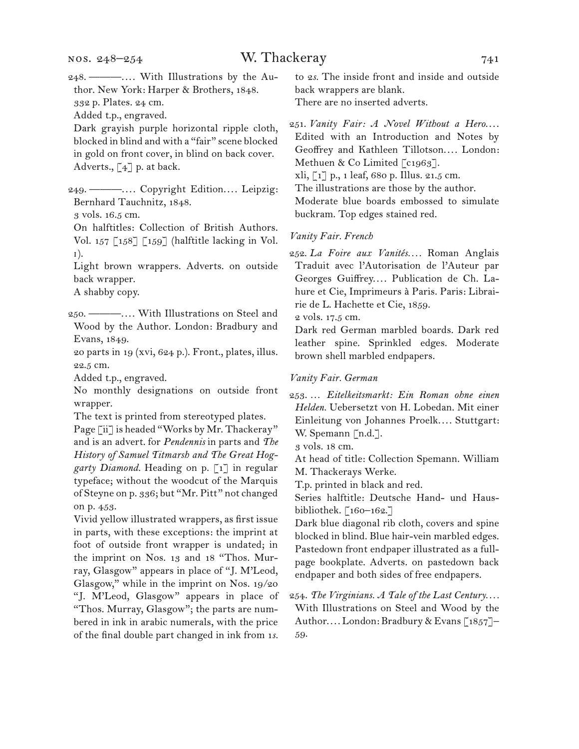### W. Thackeray 741

Added t.p., engraved.

Dark grayish purple horizontal ripple cloth, blocked in blind and with a "fair" scene blocked in gold on front cover, in blind on back cover. Adverts., [4] p. at back.

249. ———.... Copyright Edition.... Leipzig: Bernhard Tauchnitz, 1848.

3 vols. 16.5 cm.

On halftitles: Collection of British Authors. Vol. 157  $\lceil 158 \rceil$   $\lceil 159 \rceil$  (halftitle lacking in Vol. i).

Light brown wrappers. Adverts. on outside back wrapper.

A shabby copy.

- 250. ———. . . . With Illustrations on Steel and Wood by the Author. London: Bradbury and Evans, 1849.
- 20 parts in 19 (xvi, 624 p.). Front., plates, illus. 22.5 cm.

Added t.p., engraved.

No monthly designations on outside front wrapper.

The text is printed from stereotyped plates. Page [ii] is headed "Works by Mr. Thackeray" and is an advert. for *Pendennis* in parts and *The History of Samuel Titmarsh and The Great Hoggarty Diamond.* Heading on p. [1] in regular typeface; without the woodcut of the Marquis of Steyne on p. 336; but "Mr. Pitt" not changed on p. 453.

Vivid yellow illustrated wrappers, as first issue in parts, with these exceptions: the imprint at foot of outside front wrapper is undated; in the imprint on Nos. 13 and 18 "Thos. Murray, Glasgow" appears in place of "J. M'Leod, Glasgow," while in the imprint on Nos. 19/20 "J. M'Leod, Glasgow" appears in place of "Thos. Murray, Glasgow"; the parts are numbered in ink in arabic numerals, with the price of the final double part changed in ink from 1*s.* 

to 2*s.* The inside front and inside and outside back wrappers are blank.

There are no inserted adverts.

251. Vanity Fair: A Novel Without a Hero.... Edited with an Introduction and Notes by Geoffrey and Kathleen Tillotson.... London: Methuen & Co Limited [c1963]. xli, [1] p., 1 leaf, 680 p. Illus. 21.5 cm. The illustrations are those by the author. Moderate blue boards embossed to simulate buckram. Top edges stained red.

#### *Vanity Fair. French*

252. *La Foire aux Vanités. . . .* Roman Anglais Traduit avec l'Autorisation de l'Auteur par Georges Guiffrey.... Publication de Ch. Lahure et Cie, Imprimeurs à Paris. Paris: Librairie de L. Hachette et Cie, 1859.

2 vols. 17.5 cm.

Dark red German marbled boards. Dark red leather spine. Sprinkled edges. Moderate brown shell marbled endpapers.

#### *Vanity Fair. German*

253. … *Eitelkeitsmarkt: Ein Roman ohne einen Helden.* Uebersetzt von H. Lobedan. Mit einer Einleitung von Johannes Proelk.... Stuttgart: W. Spemann [n.d.].

3 vols. 18 cm.

At head of title: Collection Spemann. William M. Thackerays Werke.

T.p. printed in black and red.

Series halftitle: Deutsche Hand- und Hausbibliothek. [160-162.]

Dark blue diagonal rib cloth, covers and spine blocked in blind. Blue hair-vein marbled edges. Pastedown front endpaper illustrated as a fullpage bookplate. Adverts. on pastedown back endpaper and both sides of free endpapers.

254. *The Virginians. A Tale of the Last Century. . . .* With Illustrations on Steel and Wood by the Author.... London: Bradbury & Evans [1857]-59.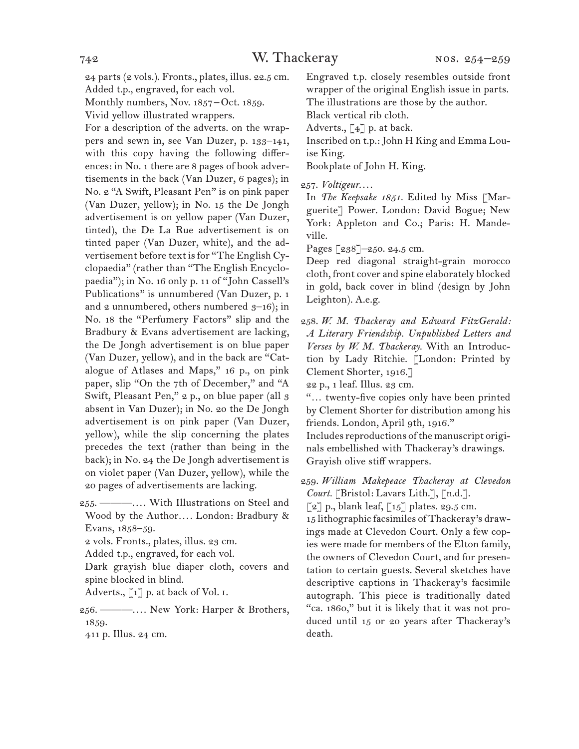24 parts (2 vols.). Fronts., plates, illus. 22.5 cm. Added t.p., engraved, for each vol.

Monthly numbers, Nov. 1857-Oct. 1859.

Vivid yellow illustrated wrappers.

For a description of the adverts. on the wrappers and sewn in, see Van Duzer, p. 133–141, with this copy having the following differences: in No. 1 there are 8 pages of book advertisements in the back (Van Duzer, 6 pages); in No. 2 "A Swift, Pleasant Pen" is on pink paper (Van Duzer, yellow); in No. 15 the De Jongh advertisement is on yellow paper (Van Duzer, tinted), the De La Rue advertisement is on tinted paper (Van Duzer, white), and the advertisement before text is for "The English Cyclopaedia" (rather than "The English Encyclopaedia"); in No. 16 only p. 11 of "John Cassell's Publications" is unnumbered (Van Duzer, p. 1 and  $2$  unnumbered, others numbered  $3-16$ ; in No. 18 the "Perfumery Factors" slip and the Bradbury & Evans advertisement are lacking, the De Jongh advertisement is on blue paper (Van Duzer, yellow), and in the back are "Catalogue of Atlases and Maps," 16 p., on pink paper, slip "On the 7th of December," and "A Swift, Pleasant Pen," 2 p., on blue paper (all 3 absent in Van Duzer); in No. 20 the De Jongh advertisement is on pink paper (Van Duzer, yellow), while the slip concerning the plates precedes the text (rather than being in the back); in No. 24 the De Jongh advertisement is on violet paper (Van Duzer, yellow), while the 20 pages of advertisements are lacking.

255. ———. . . . With Illustrations on Steel and Wood by the Author*. . . .* London: Bradbury & Evans, 1858–59.

2 vols. Fronts., plates, illus. 23 cm.

Added t.p., engraved, for each vol.

Dark grayish blue diaper cloth, covers and spine blocked in blind.

Adverts., [1] p. at back of Vol. I.

256. ———. . . . New York: Harper & Brothers, 1859.

411 p. Illus. 24 cm.

Engraved t.p. closely resembles outside front wrapper of the original English issue in parts. The illustrations are those by the author.

Black vertical rib cloth.

Adverts.,  $\lceil 4 \rceil$  p. at back.

Inscribed on t.p.: John H King and Emma Louise King.

Bookplate of John H. King.

257. *Voltigeur*. . . .

In *The Keepsake 1851.* Edited by Miss [Marguerite] Power. London: David Bogue; New York: Appleton and Co.; Paris: H. Mandeville.

Pages [238]-250. 24.5 cm.

Deep red diagonal straight-grain morocco cloth, front cover and spine elaborately blocked in gold, back cover in blind (design by John Leighton). A.e.g.

258. *W. M. Thackeray and Edward FitzGerald: A Literary Friendship. Unpublished Letters and Verses by W. M. Thackeray.* With an Introduction by Lady Ritchie. [London: Printed by Clement Shorter, 1916.]

22 p., 1 leaf. Illus. 23 cm.

"… twenty-five copies only have been printed by Clement Shorter for distribution among his friends. London, April 9th, 1916."

Includes reproductions of the manuscript originals embellished with Thackeray's drawings. Grayish olive stiff wrappers.

259. *William Makepeace Thackeray at Clevedon*  Court. [Bristol: Lavars Lith.], [n.d.].

 $\lceil 2 \rceil$  p., blank leaf,  $\lceil 15 \rceil$  plates. 29.5 cm.

15 lithographic facsimiles of Thackeray's drawings made at Clevedon Court. Only a few copies were made for members of the Elton family, the owners of Clevedon Court, and for presentation to certain guests. Several sketches have descriptive captions in Thackeray's facsimile autograph. This piece is traditionally dated "ca. 1860," but it is likely that it was not produced until 15 or 20 years after Thackeray's death.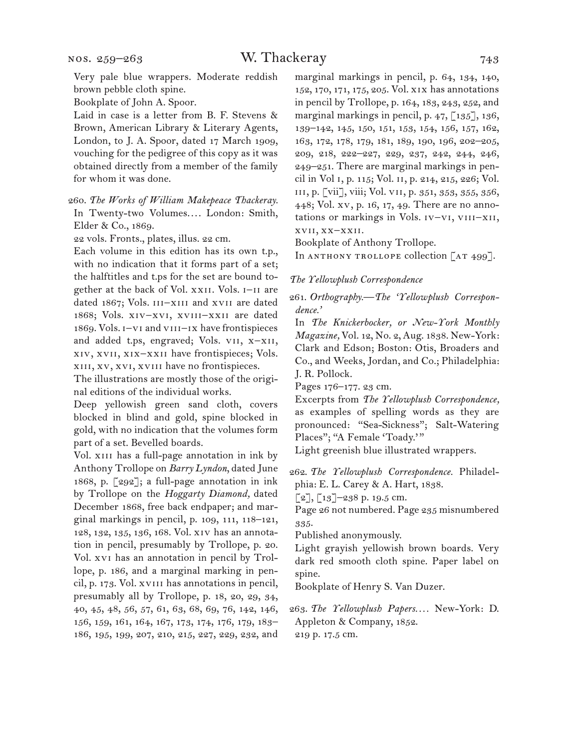Very pale blue wrappers. Moderate reddish brown pebble cloth spine.

Bookplate of John A. Spoor.

Laid in case is a letter from B. F. Stevens & Brown, American Library & Literary Agents, London, to J. A. Spoor, dated 17 March 1909, vouching for the pedigree of this copy as it was obtained directly from a member of the family for whom it was done.

260. *The Works of William Makepeace Thackeray.* In Twenty-two Volumes.... London: Smith, Elder & Co., 1869.

22 vols. Fronts., plates, illus. 22 cm.

Each volume in this edition has its own t.p., with no indication that it forms part of a set; the halftitles and t.ps for the set are bound together at the back of Vol. xxii. Vols. i–ii are dated 1867; Vols. III-XIII and XVII are dated 1868; Vols. xiv–xvi, xviii–xxii are dated 1869. Vols. i–vi and viii–ix have frontispieces and added t.ps, engraved; Vols. vii, x–xii, xiv, xvii, xix–xxii have frontispieces; Vols. xiii, xv, xvi, xviii have no frontispieces.

The illustrations are mostly those of the original editions of the individual works.

Deep yellowish green sand cloth, covers blocked in blind and gold, spine blocked in gold, with no indication that the volumes form part of a set. Bevelled boards.

Vol. XIII has a full-page annotation in ink by Anthony Trollope on *Barry Lyndon*, dated June 1868, p. [292]; a full-page annotation in ink by Trollope on the *Hoggarty Diamond,* dated December 1868, free back endpaper; and marginal markings in pencil, p. 109, 111, 118–121, 128, 132, 135, 136, 168. Vol. xiv has an annotation in pencil, presumably by Trollope, p. 20. Vol. xvi has an annotation in pencil by Trollope, p. 186, and a marginal marking in pencil, p. 173. Vol. xviii has annotations in pencil, presumably all by Trollope, p. 18, 20, 29, 34, 40, 45, 48, 56, 57, 61, 63, 68, 69, 76, 142, 146, 156, 159, 161, 164, 167, 173, 174, 176, 179, 183– 186, 195, 199, 207, 210, 215, 227, 229, 232, and marginal markings in pencil, p. 64, 134, 140, 152, 170, 171, 175, 205. Vol. xix has annotations in pencil by Trollope, p. 164, 183, 243, 252, and marginal markings in pencil, p.  $47,$  [135], 136, 139–142, 145, 150, 151, 153, 154, 156, 157, 162, 163, 172, 178, 179, 181, 189, 190, 196, 202–205, 209, 218, 222–227, 229, 237, 242, 244, 246, 249–251. There are marginal markings in pencil in Vol i, p. 115; Vol. ii, p. 214, 215, 226; Vol. iii, p. [vii], viii; Vol. vii, p. 351, 353, 355, 356, 448; Vol. xv, p. 16, 17, 49. There are no annotations or markings in Vols. IV-VI, VIII-XII, xvii, xx–xxii.

Bookplate of Anthony Trollope.

In ANTHONY TROLLOPE collection  $[AT 499]$ .

#### *The Yellowplush Correspondence*

261. *Orthography.—The 'Yellowplush Correspondence.'*

In *The Knickerbocker, or New-York Monthly Magazine,* Vol. 12, No. 2, Aug. 1838. New-York: Clark and Edson; Boston: Otis, Broaders and Co., and Weeks, Jordan, and Co.; Philadelphia: J. R. Pollock.

Pages 176–177. 23 cm.

Excerpts from *The Yellowplush Correspondence,*  as examples of spelling words as they are pronounced: "Sea-Sickness"; Salt-Watering Places"; "A Female 'Toady.'"

Light greenish blue illustrated wrappers.

262. *The Yellowplush Correspondence.* Philadelphia: E. L. Carey & A. Hart, 1838.

 $[2]$ ,  $[13]$ –238 p. 19.5 cm.

Page 26 not numbered. Page 235 misnumbered 335.

Published anonymously.

Light grayish yellowish brown boards. Very dark red smooth cloth spine. Paper label on spine.

Bookplate of Henry S. Van Duzer.

263. *The Yellowplush Papers. . . .* New-York: D. Appleton & Company, 1852. 219 p. 17.5 cm.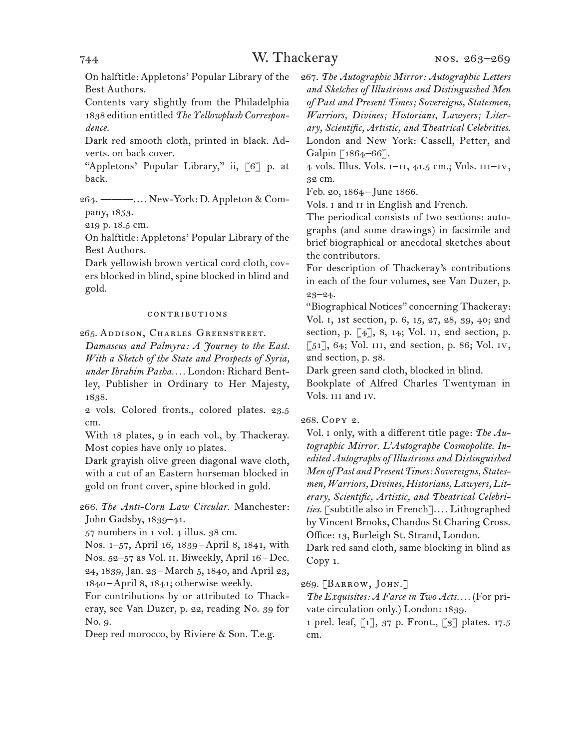On halftitle: Appletons' Popular Library of the Best Authors.

Contents vary slightly from the Philadelphia 1838 edition entitled *The Yellowplush Correspondence.* 

Dark red smooth cloth, printed in black. Adverts. on back cover.

"Appletons' Popular Library," ii, [6] p. at back.

264. ———. . . . New-York: D. Appleton & Company, 1853.

219 p. 18.5 cm.

On halftitle: Appletons' Popular Library of the Best Authors.

Dark yellowish brown vertical cord cloth, covers blocked in blind, spine blocked in blind and gold.

#### contributions

265. Addison, Charles Greenstreet.

*Damascus and Palmyra: A Journey to the East. With a Sketch of the State and Prospects of Syria, under Ibrahim Pasha. . . .* London: Richard Bentley, Publisher in Ordinary to Her Majesty, 1838.

2 vols. Colored fronts., colored plates. 23.5 cm.

With 18 plates, 9 in each vol., by Thackeray. Most copies have only 10 plates.

Dark grayish olive green diagonal wave cloth, with a cut of an Eastern horseman blocked in gold on front cover, spine blocked in gold.

266. *The Anti-Corn Law Circular.* Manchester: John Gadsby, 1839–41.

57 numbers in 1 vol. 4 illus. 38 cm.

Nos. 1–57, April 16, 1839–April 8, 1841, with Nos. 52-57 as Vol. II. Biweekly, April 16-Dec. 24, 1839, Jan. 23–March 5, 1840, and April 23, 1840 –April 8, 1841; otherwise weekly.

For contributions by or attributed to Thackeray, see Van Duzer, p. 22, reading No. 39 for No. 9.

Deep red morocco, by Riviere & Son. T.e.g.

267. *The Autographic Mirror: Autographic Letters and Sketches of Illustrious and Distinguished Men of Past and Present Times; Sovereigns, Statesmen, Warriors, Divines; Historians, Lawyers; Literary, Scientific, Artistic, and Theatrical Celebrities.* London and New York: Cassell, Petter, and Galpin [1864–66].

4 vols. Illus. Vols. i–ii, 41.5 cm.; Vols. iii–iv, 32 cm.

Feb. 20, 1864– June 1866.

Vols. I and II in English and French.

The periodical consists of two sections: autographs (and some drawings) in facsimile and brief biographical or anecdotal sketches about the contributors.

For description of Thackeray's contributions in each of the four volumes, see Van Duzer, p. 23–24.

"Biographical Notices" concerning Thackeray: Vol. i, 1st section, p. 6, 15, 27, 28, 39, 40; 2nd section, p. [4], 8, 14; Vol. ii, 2nd section, p. [51], 64; Vol. III, 2nd section, p. 86; Vol. IV, 2nd section, p. 38.

Dark green sand cloth, blocked in blind.

Bookplate of Alfred Charles Twentyman in Vols. iii and iv.

#### 268. Copy 2.

Vol. i only, with a different title page: *The Autographic Mirror. L'Autographe Cosmopolite. Inedited Autographs of Illustrious and Distinguished Men of Past and Present Times: Sovereigns, Statesmen, Warriors, Divines, Historians, Lawyers, Literary, Scientific, Artistic, and Theatrical Celebri*ties. [subtitle also in French].... Lithographed by Vincent Brooks, Chandos St Charing Cross. Office: 13, Burleigh St. Strand, London.

Dark red sand cloth, same blocking in blind as Copy 1.

#### 269. [BARROW, JOHN.]

*The Exquisites: A Farce in Two Acts. . . .* (For private circulation only.) London: 1839.

1 prel. leaf, [1], 37 p. Front., [3] plates. 17.5 cm.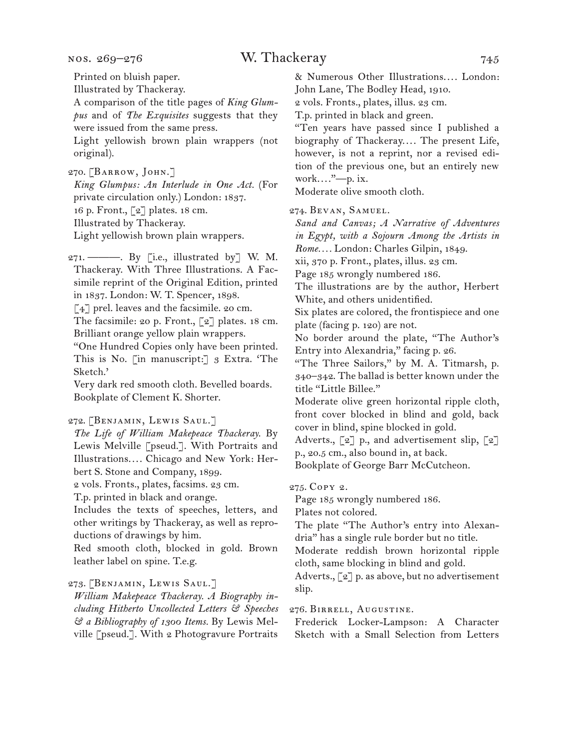nos. 269–276

Printed on bluish paper.

Illustrated by Thackeray.

A comparison of the title pages of *King Glumpus* and of *The Exquisites* suggests that they were issued from the same press.

Light yellowish brown plain wrappers (not original).

270. [BARROW, JOHN.]

*King Glumpus: An Interlude in One Act.* (For private circulation only.) London: 1837. 16 p. Front., [2] plates. 18 cm. Illustrated by Thackeray. Light yellowish brown plain wrappers.

271. ———. By [i.e., illustrated by] W. M. Thackeray. With Three Illustrations. A Facsimile reprint of the Original Edition, printed in 1837. London: W. T. Spencer, 1898.

[4] prel. leaves and the facsimile. 20 cm.

The facsimile: 20 p. Front., [2] plates. 18 cm. Brilliant orange yellow plain wrappers.

"One Hundred Copies only have been printed. This is No. [in manuscript:] 3 Extra. 'The Sketch.'

Very dark red smooth cloth. Bevelled boards. Bookplate of Clement K. Shorter.

272. [Benjamin, Lewis Saul.]

*The Life of William Makepeace Thackeray.* By Lewis Melville [pseud.]. With Portraits and Illustrations.... Chicago and New York: Herbert S. Stone and Company, 1899.

2 vols. Fronts., plates, facsims. 23 cm.

T.p. printed in black and orange.

Includes the texts of speeches, letters, and other writings by Thackeray, as well as reproductions of drawings by him.

Red smooth cloth, blocked in gold. Brown leather label on spine. T.e.g.

273. [Benjamin, Lewis Saul.]

*William Makepeace Thackeray. A Biography including Hitherto Uncollected Letters & Speeches & a Bibliography of 1300 Items.* By Lewis Melville [pseud.]. With 2 Photogravure Portraits

& Numerous Other Illustrations.... London: John Lane, The Bodley Head, 1910.

2 vols. Fronts., plates, illus. 23 cm.

T.p. printed in black and green.

"Ten years have passed since I published a biography of Thackeray.... The present Life, however, is not a reprint, nor a revised edition of the previous one, but an entirely new work...."-p. ix.

Moderate olive smooth cloth.

274. Bevan, Samuel.

*Sand and Canvas; A Narrative of Adventures in Egypt, with a Sojourn Among the Artists in Rome. . . .* London: Charles Gilpin, 1849.

xii, 370 p. Front., plates, illus. 23 cm.

Page 185 wrongly numbered 186.

The illustrations are by the author, Herbert White, and others unidentified.

Six plates are colored, the frontispiece and one plate (facing p. 120) are not.

No border around the plate, "The Author's Entry into Alexandria," facing p. 26.

"The Three Sailors," by M. A. Titmarsh, p. 340–342. The ballad is better known under the title "Little Billee."

Moderate olive green horizontal ripple cloth, front cover blocked in blind and gold, back cover in blind, spine blocked in gold.

Adverts., [2] p., and advertisement slip, [2] p., 20.5 cm., also bound in, at back.

Bookplate of George Barr McCutcheon.

275. Copy 2.

Page 185 wrongly numbered 186.

Plates not colored.

The plate "The Author's entry into Alexandria" has a single rule border but no title.

Moderate reddish brown horizontal ripple cloth, same blocking in blind and gold.

Adverts., [2] p. as above, but no advertisement slip.

276. Birrell, Augustine.

Frederick Locker-Lampson: A Character Sketch with a Small Selection from Letters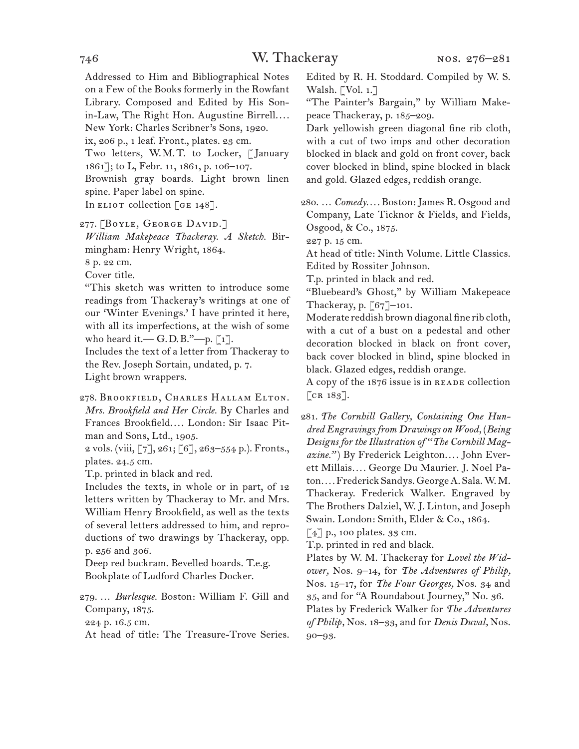Addressed to Him and Bibliographical Notes on a Few of the Books formerly in the Rowfant Library. Composed and Edited by His Sonin-Law, The Right Hon. Augustine Birrell.... New York: Charles Scribner's Sons, 1920. ix, 206 p., 1 leaf. Front., plates. 23 cm. Two letters, W.M.T. to Locker, [January 1861]; to L, Febr. 11, 1861, p. 106–107. Brownish gray boards. Light brown linen spine. Paper label on spine. In ELIOT collection [GE  $148$ ].

277. [BOYLE, GEORGE DAVID.]

*William Makepeace Thackeray. A Sketch.* Birmingham: Henry Wright, 1864.

8 p. 22 cm.

Cover title.

"This sketch was written to introduce some readings from Thackeray's writings at one of our 'Winter Evenings.' I have printed it here, with all its imperfections, at the wish of some who heard it.  $-G.D.B.''—p.[1].$ 

Includes the text of a letter from Thackeray to the Rev. Joseph Sortain, undated, p. 7. Light brown wrappers.

278. Brookfield, Charles Hallam Elton. *Mrs. Brookfield and Her Circle.* By Charles and Frances Brookfield.... London: Sir Isaac Pitman and Sons, Ltd., 1905.

2 vols. (viii, [7], 261; [6], 263–554 p.). Fronts., plates. 24.5 cm.

T.p. printed in black and red.

Includes the texts, in whole or in part, of 12 letters written by Thackeray to Mr. and Mrs. William Henry Brookfield, as well as the texts of several letters addressed to him, and reproductions of two drawings by Thackeray, opp. p. 256 and 306.

Deep red buckram. Bevelled boards. T.e.g. Bookplate of Ludford Charles Docker.

279. … *Burlesque.* Boston: William F. Gill and Company, 1875.

224 p. 16.5 cm.

At head of title: The Treasure-Trove Series.

Edited by R. H. Stoddard. Compiled by W. S. Walsh. [Vol. 1.]

"The Painter's Bargain," by William Makepeace Thackeray, p. 185–209.

Dark yellowish green diagonal fine rib cloth, with a cut of two imps and other decoration blocked in black and gold on front cover, back cover blocked in blind, spine blocked in black and gold. Glazed edges, reddish orange.

280. … *Comedy. . . .* Boston: James R. Osgood and Company, Late Ticknor & Fields, and Fields, Osgood, & Co., 1875.

227 p. 15 cm.

At head of title: Ninth Volume. Little Classics. Edited by Rossiter Johnson.

T.p. printed in black and red.

"Bluebeard's Ghost," by William Makepeace Thackeray, p. [67]–101.

Moderate reddish brown diagonal fine rib cloth, with a cut of a bust on a pedestal and other decoration blocked in black on front cover, back cover blocked in blind, spine blocked in black. Glazed edges, reddish orange.

A copy of the  $1876$  issue is in READE collection  $[CR 183].$ 

281. *The Cornhill Gallery, Containing One Hundred Engravings from Drawings on Wood,* (*Being Designs for the Illustration of "The Cornhill Magazine."*) By Frederick Leighton.... John Everett Millais*. . . .* George Du Maurier. J. Noel Paton*. . . .* Frederick Sandys. George A. Sala. W. M. Thackeray. Frederick Walker. Engraved by The Brothers Dalziel, W. J. Linton, and Joseph Swain. London: Smith, Elder & Co., 1864.

[4] p., 100 plates. 33 cm.

T.p. printed in red and black.

Plates by W. M. Thackeray for *Lovel the Widower,* Nos. 9–14, for *The Adventures of Philip,*  Nos. 15–17, for *The Four Georges,* Nos. 34 and 35, and for "A Roundabout Journey," No. 36. Plates by Frederick Walker for *The Adventures of Philip,* Nos. 18–33, and for *Denis Duval,* Nos. 90–93.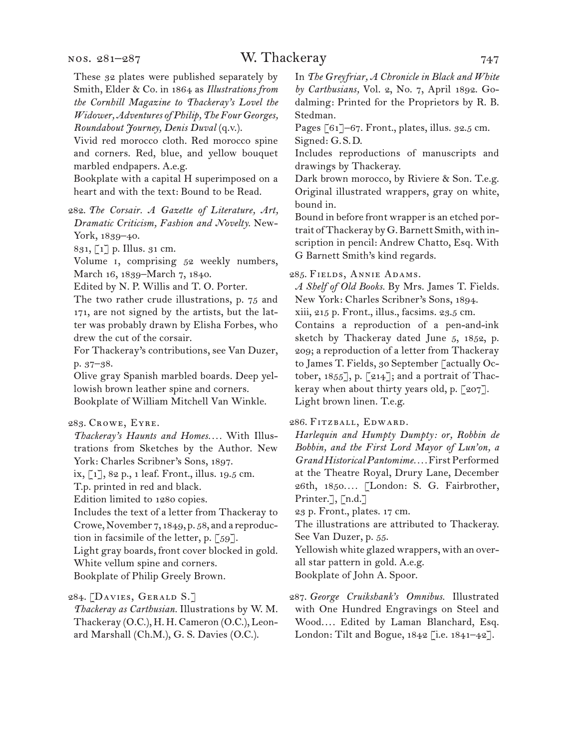These 32 plates were published separately by Smith, Elder & Co. in 1864 as *Illustrations from the Cornhill Magazine to Thackeray's Lovel the Widower, Adventures of Philip, The Four Georges, Roundabout Journey, Denis Duval* (q.v.).

Vivid red morocco cloth. Red morocco spine and corners. Red, blue, and yellow bouquet marbled endpapers. A.e.g.

Bookplate with a capital H superimposed on a heart and with the text: Bound to be Read.

#### 282. *The Corsair. A Gazette of Literature, Art, Dramatic Criticism, Fashion and Novelty.* New-York, 1839–40.

831, [1] p. Illus. 31 cm.

Volume i, comprising 52 weekly numbers, March 16, 1839–March 7, 1840.

Edited by N. P. Willis and T. O. Porter.

The two rather crude illustrations, p. 75 and 171, are not signed by the artists, but the latter was probably drawn by Elisha Forbes, who drew the cut of the corsair.

For Thackeray's contributions, see Van Duzer, p. 37–38.

Olive gray Spanish marbled boards. Deep yellowish brown leather spine and corners. Bookplate of William Mitchell Van Winkle.

#### 283. Crowe, Eyre.

*Thackeray's Haunts and Homes. . . .* With Illustrations from Sketches by the Author. New York: Charles Scribner's Sons, 1897.

ix, [1], 82 p., 1 leaf. Front., illus. 19.5 cm.

T.p. printed in red and black.

Edition limited to 1280 copies.

Includes the text of a letter from Thackeray to Crowe, November 7, 1849, p. 58, and a reproduction in facsimile of the letter, p. [59].

Light gray boards, front cover blocked in gold. White vellum spine and corners.

Bookplate of Philip Greely Brown.

284. [Davies, Gerald S.]

*Thackeray as Carthusian.* Illustrations by W. M. Thackeray (O.C.), H. H. Cameron (O.C.), Leonard Marshall (Ch.M.), G. S. Davies (O.C.).

In *The Greyfriar, A Chronicle in Black and White by Carthusians,* Vol. 2, No. 7, April 1892. Godalming: Printed for the Proprietors by R. B. Stedman.

Pages [61]–67. Front., plates, illus. 32.5 cm. Signed: G.S.D.

Includes reproductions of manuscripts and drawings by Thackeray.

Dark brown morocco, by Riviere & Son. T.e.g. Original illustrated wrappers, gray on white, bound in.

Bound in before front wrapper is an etched portrait of Thackeray by G. Barnett Smith, with inscription in pencil: Andrew Chatto, Esq. With G Barnett Smith's kind regards.

285. Fields, Annie Adams.

*A Shelf of Old Books.* By Mrs. James T. Fields. New York: Charles Scribner's Sons, 1894.

xiii, 215 p. Front., illus., facsims. 23.5 cm.

Contains a reproduction of a pen-and-ink sketch by Thackeray dated June 5, 1852, p. 209; a reproduction of a letter from Thackeray to James T. Fields, 30 September [actually October, 1855], p. [214]; and a portrait of Thackeray when about thirty years old, p. [207]. Light brown linen. T.e.g.

286. Fitzball, Edward.

*Harlequin and Humpty Dumpty: or, Robbin de Bobbin, and the First Lord Mayor of Lun'on, a Grand Historical Pantomime. . . .* First Performed at the Theatre Royal, Drury Lane, December 26th, 1850*. . . .* [London: S. G. Fairbrother, Printer.], [n.d.]

23 p. Front., plates. 17 cm.

The illustrations are attributed to Thackeray. See Van Duzer, p. 55.

Yellowish white glazed wrappers, with an overall star pattern in gold. A.e.g.

Bookplate of John A. Spoor.

287. *George Cruikshank's Omnibus.* Illustrated with One Hundred Engravings on Steel and Wood.... Edited by Laman Blanchard, Esq. London: Tilt and Bogue, 1842 [i.e. 1841–42].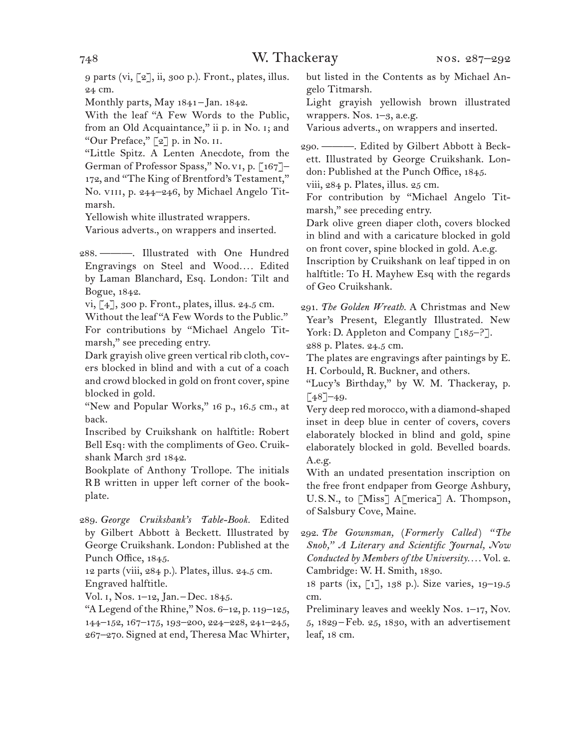9 parts (vi, [2], ii, 300 p.). Front., plates, illus. 24 cm.

Monthly parts, May 1841–Jan. 1842.

With the leaf "A Few Words to the Public, from an Old Acquaintance," ii p. in No. i; and "Our Preface," [2] p. in No. ii.

"Little Spitz. A Lenten Anecdote, from the German of Professor Spass," No.vi, p. [167]– 172, and "The King of Brentford's Testament," No. VIII, p. 244-246, by Michael Angelo Titmarsh.

Yellowish white illustrated wrappers.

Various adverts., on wrappers and inserted.

288. ———. Illustrated with One Hundred Engravings on Steel and Wood*. . . .* Edited by Laman Blanchard, Esq. London: Tilt and Bogue, 1842.

vi, [4], 300 p. Front., plates, illus. 24.5 cm.

Without the leaf "A Few Words to the Public." For contributions by "Michael Angelo Titmarsh," see preceding entry.

Dark grayish olive green vertical rib cloth, covers blocked in blind and with a cut of a coach and crowd blocked in gold on front cover, spine blocked in gold.

"New and Popular Works," 16 p., 16.5 cm., at back.

Inscribed by Cruikshank on halftitle: Robert Bell Esq: with the compliments of Geo. Cruikshank March 3rd 1842.

Bookplate of Anthony Trollope. The initials RB written in upper left corner of the bookplate.

289. *George Cruikshank's Table-Book.* Edited by Gilbert Abbott à Beckett. Illustrated by George Cruikshank. London: Published at the Punch Office, 1845.

12 parts (viii, 284 p.). Plates, illus. 24.5 cm. Engraved halftitle.

Vol. 1, Nos. 1–12, Jan. – Dec. 1845.

"A Legend of the Rhine," Nos. 6–12, p. 119–125, 144–152, 167–175, 193–200, 224–228, 241–245, 267–270. Signed at end, Theresa Mac Whirter, but listed in the Contents as by Michael Angelo Titmarsh.

Light grayish yellowish brown illustrated wrappers. Nos.  $1-3$ , a.e.g.

Various adverts., on wrappers and inserted.

290. ———. Edited by Gilbert Abbott à Beckett. Illustrated by George Cruikshank. London: Published at the Punch Office, 1845.

viii, 284 p. Plates, illus. 25 cm.

For contribution by "Michael Angelo Titmarsh," see preceding entry.

Dark olive green diaper cloth, covers blocked in blind and with a caricature blocked in gold on front cover, spine blocked in gold. A.e.g.

Inscription by Cruikshank on leaf tipped in on halftitle: To H. Mayhew Esq with the regards of Geo Cruikshank.

291. *The Golden Wreath.* A Christmas and New Year's Present, Elegantly Illustrated. New York: D. Appleton and Company [185-?]. 288 p. Plates. 24.5 cm.

The plates are engravings after paintings by E. H. Corbould, R. Buckner, and others.

"Lucy's Birthday," by W. M. Thackeray, p.  $\lceil 48 \rceil$ –49.

Very deep red morocco, with a diamond-shaped inset in deep blue in center of covers, covers elaborately blocked in blind and gold, spine elaborately blocked in gold. Bevelled boards. A.e.g.

With an undated presentation inscription on the free front endpaper from George Ashbury, U.S.N., to [Miss] A[merica] A. Thompson, of Salsbury Cove, Maine.

292. *The Gownsman,* (*Formerly Called* ) *"The Snob," A Literary and Scientific Journal, Now Conducted by Members of the University. . . .* Vol. 2. Cambridge: W. H. Smith, 1830.

18 parts (ix, [1], 138 p.). Size varies, 19–19.5 cm.

Preliminary leaves and weekly Nos. 1–17, Nov. 5, 1829–Feb. 25, 1830, with an advertisement leaf, 18 cm.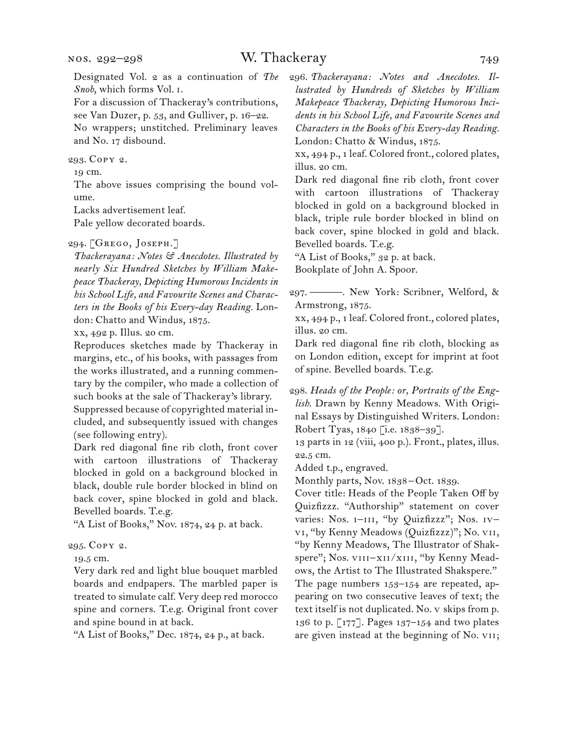Designated Vol. 2 as a continuation of *The Snob*, which forms Vol. i.

For a discussion of Thackeray's contributions, see Van Duzer, p. 53, and Gulliver, p. 16–22. No wrappers; unstitched. Preliminary leaves

and No. 17 disbound.

293. Copy 2.

19 cm.

The above issues comprising the bound volume.

Lacks advertisement leaf.

Pale yellow decorated boards.

#### 294. [Grego, Joseph.]

*Thackerayana: Notes & Anecdotes. Illustrated by nearly Six Hundred Sketches by William Makepeace Thackeray, Depicting Humorous Incidents in his School Life, and Favourite Scenes and Characters in the Books of his Every-day Reading.* London: Chatto and Windus, 1875.

xx, 492 p. Illus. 20 cm.

Reproduces sketches made by Thackeray in margins, etc., of his books, with passages from the works illustrated, and a running commentary by the compiler, who made a collection of such books at the sale of Thackeray's library.

Suppressed because of copyrighted material included, and subsequently issued with changes (see following entry).

Dark red diagonal fine rib cloth, front cover with cartoon illustrations of Thackeray blocked in gold on a background blocked in black, double rule border blocked in blind on back cover, spine blocked in gold and black. Bevelled boards. T.e.g.

"A List of Books," Nov. 1874, 24 p. at back.

#### 295. Copy 2.

19.5 cm.

Very dark red and light blue bouquet marbled boards and endpapers. The marbled paper is treated to simulate calf. Very deep red morocco spine and corners. T.e.g. Original front cover and spine bound in at back.

"A List of Books," Dec. 1874, 24 p., at back.

296. *Thackerayana: Notes and Anecdotes. Illustrated by Hundreds of Sketches by William Makepeace Thackeray, Depicting Humorous Incidents in his School Life, and Favourite Scenes and Characters in the Books of his Every-day Reading.* London: Chatto & Windus, 1875.

xx, 494 p., 1 leaf. Colored front., colored plates, illus. 20 cm.

Dark red diagonal fine rib cloth, front cover with cartoon illustrations of Thackeray blocked in gold on a background blocked in black, triple rule border blocked in blind on back cover, spine blocked in gold and black. Bevelled boards. T.e.g.

"A List of Books," 32 p. at back. Bookplate of John A. Spoor.

297. ———. New York: Scribner, Welford, & Armstrong, 1875.

xx, 494 p., 1 leaf. Colored front., colored plates, illus. 20 cm.

Dark red diagonal fine rib cloth, blocking as on London edition, except for imprint at foot of spine. Bevelled boards. T.e.g.

298. *Heads of the People: or, Portraits of the English.* Drawn by Kenny Meadows. With Original Essays by Distinguished Writers. London: Robert Tyas, 1840 [i.e. 1838–39].

13 parts in 12 (viii, 400 p.). Front., plates, illus. 22.5 cm.

Added t.p., engraved.

Monthly parts, Nov. 1838–Oct. 1839.

Cover title: Heads of the People Taken Off by Quizfizzz. "Authorship" statement on cover varies: Nos. I-III, "by Quizfizzz"; Nos. IVvi, "by Kenny Meadows (Quizfizzz)"; No. vii, "by Kenny Meadows, The Illustrator of Shakspere"; Nos. VIII-XII/XIII, "by Kenny Meadows, the Artist to The Illustrated Shakspere." The page numbers 153–154 are repeated, appearing on two consecutive leaves of text; the text itself is not duplicated. No. v skips from p. 136 to p. [177]. Pages 137–154 and two plates are given instead at the beginning of No. vii;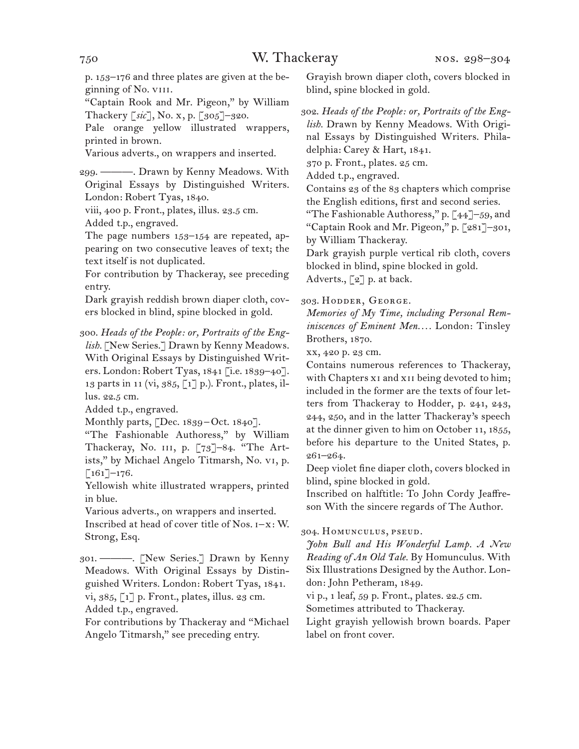p. 153–176 and three plates are given at the beginning of No. viii.

"Captain Rook and Mr. Pigeon," by William Thackery [*sic*], No. x, p. [305]–320.

Pale orange yellow illustrated wrappers, printed in brown.

Various adverts., on wrappers and inserted.

299. ———. Drawn by Kenny Meadows. With Original Essays by Distinguished Writers. London: Robert Tyas, 1840.

viii, 400 p. Front., plates, illus. 23.5 cm.

Added t.p., engraved.

The page numbers 153–154 are repeated, appearing on two consecutive leaves of text; the text itself is not duplicated.

For contribution by Thackeray, see preceding entry.

Dark grayish reddish brown diaper cloth, covers blocked in blind, spine blocked in gold.

300. *Heads of the People: or, Portraits of the English.* [New Series.] Drawn by Kenny Meadows. With Original Essays by Distinguished Writers. London: Robert Tyas, 1841 [i.e. 1839–40]. 13 parts in 11 (vi, 385, [1] p.). Front., plates, illus. 22.5 cm.

Added t.p., engraved.

Monthly parts, [Dec. 1839–Oct. 1840].

"The Fashionable Authoress," by William Thackeray, No. III, p. [73]-84. "The Artists," by Michael Angelo Titmarsh, No. vi, p.  $[161]$ –176.

Yellowish white illustrated wrappers, printed in blue.

Various adverts., on wrappers and inserted.

Inscribed at head of cover title of Nos. i–x: W. Strong, Esq.

301. ———. [New Series.] Drawn by Kenny Meadows. With Original Essays by Distinguished Writers. London: Robert Tyas, 1841. vi, 385, [1] p. Front., plates, illus. 23 cm. Added t.p., engraved.

For contributions by Thackeray and "Michael Angelo Titmarsh," see preceding entry.

Grayish brown diaper cloth, covers blocked in blind, spine blocked in gold.

302. *Heads of the People: or, Portraits of the English.* Drawn by Kenny Meadows. With Original Essays by Distinguished Writers. Phila-

delphia: Carey & Hart, 1841. 370 p. Front., plates. 25 cm.

Added t.p., engraved.

Contains 23 of the 83 chapters which comprise the English editions, first and second series.

"The Fashionable Authoress," p. [44]–59, and "Captain Rook and Mr. Pigeon," p. [281]–301, by William Thackeray.

Dark grayish purple vertical rib cloth, covers blocked in blind, spine blocked in gold. Adverts., [2] p. at back.

303. Hodder, George.

*Memories of My Time, including Personal Reminiscences of Eminent Men. . . .* London: Tinsley Brothers, 1870.

xx, 420 p. 23 cm.

Contains numerous references to Thackeray, with Chapters x<sub>1</sub> and x<sub>11</sub> being devoted to him; included in the former are the texts of four letters from Thackeray to Hodder, p. 241, 243, 244, 250, and in the latter Thackeray's speech at the dinner given to him on October 11, 1855, before his departure to the United States, p. 261–264.

Deep violet fine diaper cloth, covers blocked in blind, spine blocked in gold.

Inscribed on halftitle: To John Cordy Jeaffreson With the sincere regards of The Author.

304. Homunculus, pseud.

*John Bull and His Wonderful Lamp. A New Reading of An Old Tale.* By Homunculus. With Six Illustrations Designed by the Author. London: John Petheram, 1849.

vi p., 1 leaf, 59 p. Front., plates. 22.5 cm.

Sometimes attributed to Thackeray.

Light grayish yellowish brown boards. Paper label on front cover.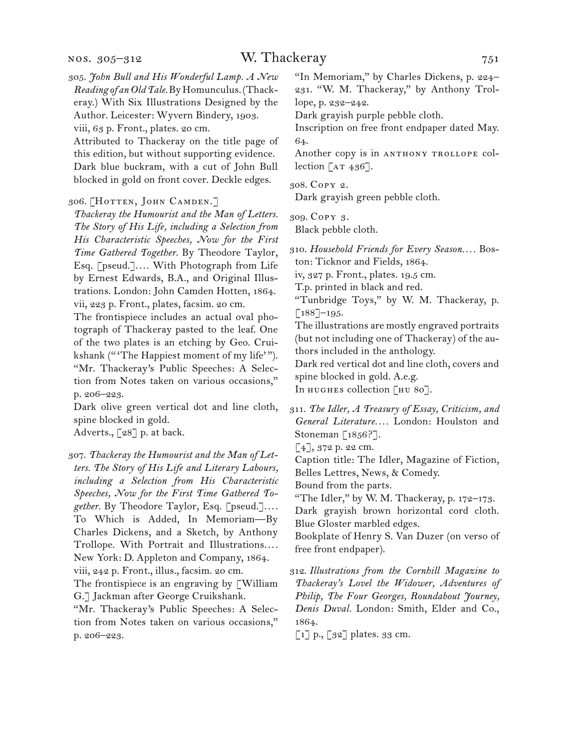#### nos. 305–312

viii, 63 p. Front., plates. 20 cm.

Attributed to Thackeray on the title page of this edition, but without supporting evidence. Dark blue buckram, with a cut of John Bull blocked in gold on front cover. Deckle edges.

#### 306. [Hotten, John Camden.]

*Thackeray the Humourist and the Man of Letters. The Story of His Life, including a Selection from His Characteristic Speeches, Now for the First Time Gathered Together.* By Theodore Taylor, Esq. [pseud.].... With Photograph from Life by Ernest Edwards, B.A., and Original Illustrations. London: John Camden Hotten, 1864. vii, 223 p. Front., plates, facsim. 20 cm.

The frontispiece includes an actual oval photograph of Thackeray pasted to the leaf. One of the two plates is an etching by Geo. Cruikshank ("'The Happiest moment of my life'"). "Mr. Thackeray's Public Speeches: A Selection from Notes taken on various occasions," p. 206–223.

Dark olive green vertical dot and line cloth, spine blocked in gold.

Adverts., [28] p. at back.

307. *Thackeray the Humourist and the Man of Letters. The Story of His Life and Literary Labours, including a Selection from His Characteristic Speeches, Now for the First Time Gathered Together.* By Theodore Taylor, Esq. [pseud.].... To Which is Added, In Memoriam—By Charles Dickens, and a Sketch, by Anthony Trollope. With Portrait and Illustrations.... New York: D. Appleton and Company, 1864. viii, 242 p. Front., illus., facsim. 20 cm. The frontispiece is an engraving by  $\ulcorner$  William G.] Jackman after George Cruikshank.

"Mr. Thackeray's Public Speeches: A Selection from Notes taken on various occasions," p. 206–223.

"In Memoriam," by Charles Dickens, p. 224– 231. "W. M. Thackeray," by Anthony Trollope, p. 232–242.

Dark grayish purple pebble cloth.

Inscription on free front endpaper dated May. 64.

Another copy is in ANTHONY TROLLOPE collection  $\lceil$  AT 436].

308. Copy 2.

Dark grayish green pebble cloth.

309. Copy 3.

Black pebble cloth.

310. *Household Friends for Every Season. . . .* Boston: Ticknor and Fields, 1864.

iv, 327 p. Front., plates. 19.5 cm.

T.p. printed in black and red.

"Tunbridge Toys," by W. M. Thackeray, p.  $[188]$ –195.

The illustrations are mostly engraved portraits (but not including one of Thackeray) of the authors included in the anthology.

Dark red vertical dot and line cloth, covers and spine blocked in gold. A.e.g.

In HUGHES collection [HU 80].

311. *The Idler, A Treasury of Essay, Criticism, and General Literature. . . .* London: Houlston and Stoneman  $[1856$ ?].

[4], 372 p. 22 cm.

Caption title: The Idler, Magazine of Fiction, Belles Lettres, News, & Comedy.

Bound from the parts.

"The Idler," by W. M. Thackeray, p. 172–173. Dark grayish brown horizontal cord cloth. Blue Gloster marbled edges.

Bookplate of Henry S. Van Duzer (on verso of free front endpaper).

312. *Illustrations from the Cornhill Magazine to Thackeray's Lovel the Widower, Adventures of Philip, The Four Georges, Roundabout Journey, Denis Duval.* London: Smith, Elder and Co., 1864.

[1] p., [32] plates. 33 cm.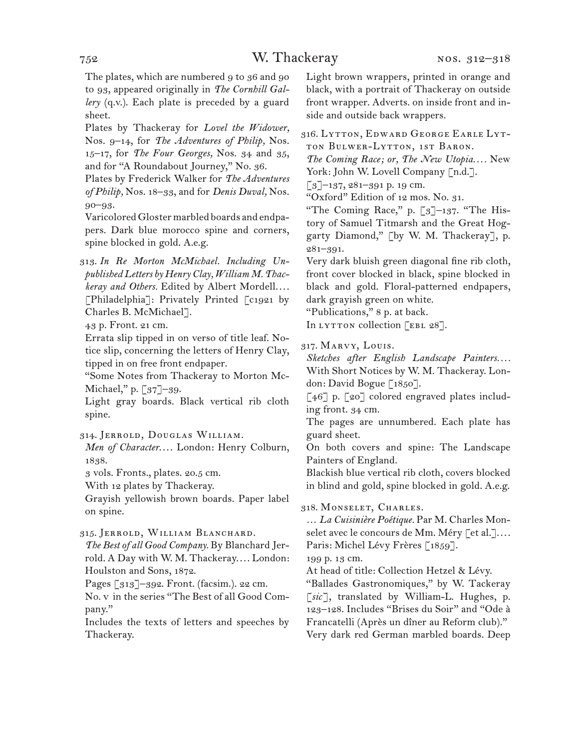### 752 W. Thackeray

The plates, which are numbered 9 to 36 and 90 to 93, appeared originally in *The Cornhill Gallery* (q.v.). Each plate is preceded by a guard sheet.

Plates by Thackeray for *Lovel the Widower,*  Nos. 9–14, for *The Adventures of Philip,* Nos. 15–17, for *The Four Georges,* Nos. 34 and 35, and for "A Roundabout Journey," No. 36.

Plates by Frederick Walker for *The Adventures of Philip,* Nos. 18–33, and for *Denis Duval,* Nos. 90–93.

Varicolored Gloster marbled boards and endpapers. Dark blue morocco spine and corners, spine blocked in gold. A.e.g.

313. *In Re Morton McMichael. Including Unpublished Letters by Henry Clay, William M. Thackeray and Others.* Edited by Albert Mordell.... [Philadelphia]: Privately Printed [c1921 by Charles B. McMichael].

43 p. Front. 21 cm.

Errata slip tipped in on verso of title leaf. Notice slip, concerning the letters of Henry Clay, tipped in on free front endpaper.

"Some Notes from Thackeray to Morton Mc-Michael," p. [37]-39.

Light gray boards. Black vertical rib cloth spine.

314. Jerrold, Douglas William.

*Men of Character....* London: Henry Colburn, 1838.

3 vols. Fronts., plates. 20.5 cm.

With 12 plates by Thackeray.

Grayish yellowish brown boards. Paper label on spine.

315. Jerrold, William Blanchard.

*The Best of all Good Company.* By Blanchard Jerrold. A Day with W. M. Thackeray.... London: Houlston and Sons, 1872.

Pages [313]–392. Front. (facsim.). 22 cm.

No. v in the series "The Best of all Good Company."

Includes the texts of letters and speeches by Thackeray.

Light brown wrappers, printed in orange and black, with a portrait of Thackeray on outside front wrapper. Adverts. on inside front and inside and outside back wrappers.

316. Lytton, Edward George Earle Lytton Bulwer-Lytton, 1st Baron.

*The Coming Race; or, The New Utopia. . . .* New York: John W. Lovell Company [n.d.].

 $\lceil 3 \rceil$ –137, 281–391 p. 19 cm.

"Oxford" Edition of 12 mos. No. 31.

"The Coming Race," p. [3]–137. "The History of Samuel Titmarsh and the Great Hoggarty Diamond," [by W. M. Thackeray], p. 281–391.

Very dark bluish green diagonal fine rib cloth, front cover blocked in black, spine blocked in black and gold. Floral-patterned endpapers, dark grayish green on white.

"Publications," 8 p. at back.

In LYTTON collection [EBL 28].

317. Marvy, Louis.

*Sketches after English Landscape Painters. . . .* With Short Notices by W. M. Thackeray. London: David Bogue [1850].

[46] p. [20] colored engraved plates including front. 34 cm.

The pages are unnumbered. Each plate has guard sheet.

On both covers and spine: The Landscape Painters of England.

Blackish blue vertical rib cloth, covers blocked in blind and gold, spine blocked in gold. A.e.g.

318. Monselet, Charles.

… *La Cuisinière Poétique.* Par M. Charles Monselet avec le concours de Mm. Méry [et al.].... Paris: Michel Lévy Frères [1859].

199 p. 13 cm.

At head of title: Collection Hetzel & Lévy.

"Ballades Gastronomiques," by W. Tackeray [*sic*], translated by William-L. Hughes, p. 123–128. Includes "Brises du Soir" and "Ode à Francatelli (Après un dîner au Reform club)." Very dark red German marbled boards. Deep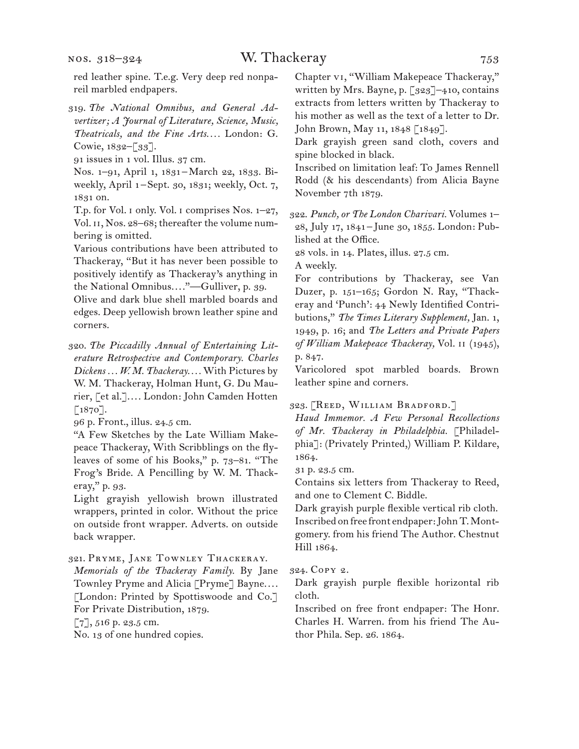nos. 318–324

red leather spine. T.e.g. Very deep red nonpareil marbled endpapers.

319. *The National Omnibus, and General Advertizer; A Journal of Literature, Science, Music, Theatricals, and the Fine Arts. . . .* London: G. Cowie, 1832–[33].

91 issues in 1 vol. Illus. 37 cm.

Nos. 1–91, April 1, 1831 –March 22, 1833. Biweekly, April 1-Sept. 30, 1831; weekly, Oct. 7, 1831 on.

T.p. for Vol. i only. Vol. i comprises Nos. 1–27, Vol. 11, Nos. 28-68; thereafter the volume numbering is omitted.

Various contributions have been attributed to Thackeray, "But it has never been possible to positively identify as Thackeray's anything in the National Omnibus...."—Gulliver, p. 39.

Olive and dark blue shell marbled boards and edges. Deep yellowish brown leather spine and corners.

320. *The Piccadilly Annual of Entertaining Literature Retrospective and Contemporary. Charles Dickens . . . W. M. Thackeray. . . .* With Pictures by W. M. Thackeray, Holman Hunt, G. Du Maurier, [et al.].... London: John Camden Hotten [1870].

96 p. Front., illus. 24.5 cm.

"A Few Sketches by the Late William Makepeace Thackeray, With Scribblings on the flyleaves of some of his Books," p. 73–81. "The Frog's Bride. A Pencilling by W. M. Thackeray," p. 93.

Light grayish yellowish brown illustrated wrappers, printed in color. Without the price on outside front wrapper. Adverts. on outside back wrapper.

321. Pryme, Jane Townley Thackeray.

*Memorials of the Thackeray Family.* By Jane Townley Pryme and Alicia [Pryme] Bayne. . . . [London: Printed by Spottiswoode and Co.] For Private Distribution, 1879.

[7], 516 p. 23.5 cm.

No. 13 of one hundred copies.

Chapter vi, "William Makepeace Thackeray," written by Mrs. Bayne, p. [323]–410, contains extracts from letters written by Thackeray to his mother as well as the text of a letter to Dr. John Brown, May 11, 1848 [1849].

Dark grayish green sand cloth, covers and spine blocked in black.

Inscribed on limitation leaf: To James Rennell Rodd (& his descendants) from Alicia Bayne November 7th 1879.

322. *Punch, or The London Charivari.* Volumes 1– 28, July 17, 1841–June 30, 1855. London: Published at the Office.

28 vols. in 14. Plates, illus. 27.5 cm. A weekly.

For contributions by Thackeray, see Van Duzer, p. 151–165; Gordon N. Ray, "Thackeray and 'Punch': 44 Newly Identified Contributions," *The Times Literary Supplement,* Jan. 1, 1949, p. 16; and *The Letters and Private Papers of William Makepeace Thackeray,* Vol. ii (1945), p. 847.

Varicolored spot marbled boards. Brown leather spine and corners.

323. [Reed, William Bradford.]

*Haud Immemor. A Few Personal Recollections of Mr. Thackeray in Philadelphia.* [Philadelphia]: (Privately Printed,) William P. Kildare, 1864.

31 p. 23.5 cm.

Contains six letters from Thackeray to Reed, and one to Clement C. Biddle.

Dark grayish purple flexible vertical rib cloth. Inscribed on free front endpaper: John T. Montgomery. from his friend The Author. Chestnut Hill 1864.

324. Copy 2.

Dark grayish purple flexible horizontal rib cloth.

Inscribed on free front endpaper: The Honr. Charles H. Warren. from his friend The Author Phila. Sep. 26. 1864.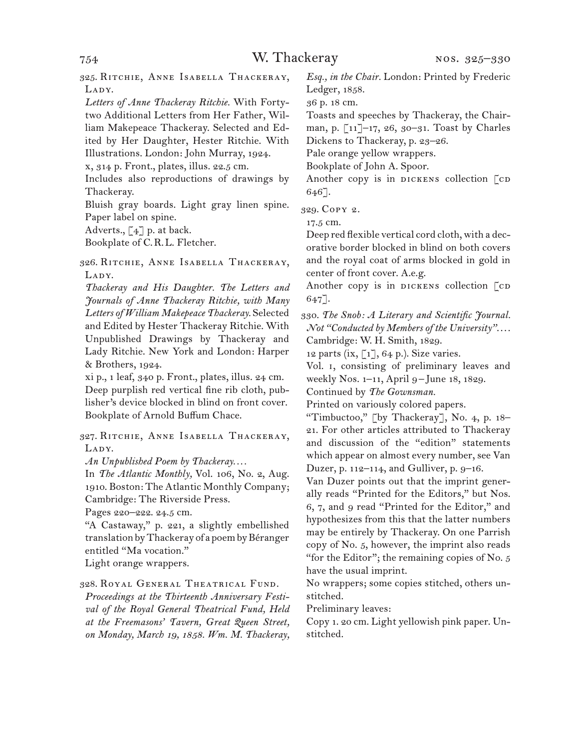325. Ritchie, Anne Isabella Thackeray, LADY.

*Letters of Anne Thackeray Ritchie.* With Fortytwo Additional Letters from Her Father, William Makepeace Thackeray. Selected and Edited by Her Daughter, Hester Ritchie. With Illustrations. London: John Murray, 1924.

x, 314 p. Front., plates, illus. 22.5 cm.

Includes also reproductions of drawings by Thackeray.

Bluish gray boards. Light gray linen spine. Paper label on spine.

Adverts.,  $\lceil 4 \rceil$  p. at back.

Bookplate of C.R.L. Fletcher.

326. Ritchie, Anne Isabella Thackeray, LADY.

*Thackeray and His Daughter. The Letters and Journals of Anne Thackeray Ritchie, with Many Letters of William Makepeace Thackeray.* Selected and Edited by Hester Thackeray Ritchie. With Unpublished Drawings by Thackeray and Lady Ritchie. New York and London: Harper & Brothers, 1924.

xi p., 1 leaf, 340 p. Front., plates, illus. 24 cm. Deep purplish red vertical fine rib cloth, publisher's device blocked in blind on front cover. Bookplate of Arnold Buffum Chace.

327. Ritchie, Anne Isabella Thackeray, LADY.

*An Unpublished Poem by Thackeray. . . .*

In *The Atlantic Monthly,* Vol. 106, No. 2, Aug. 1910. Boston: The Atlantic Monthly Company; Cambridge: The Riverside Press.

Pages 220–222. 24.5 cm.

"A Castaway," p. 221, a slightly embellished translation by Thackeray of a poem by Béranger entitled "Ma vocation."

Light orange wrappers.

#### 328. Royal General Theatrical Fund.

*Proceedings at the Thirteenth Anniversary Festival of the Royal General Theatrical Fund, Held at the Freemasons' Tavern, Great Queen Street, on Monday, March 19, 1858. Wm. M. Thackeray,*  *Esq., in the Chair.* London: Printed by Frederic Ledger, 1858.

36 p. 18 cm.

Toasts and speeches by Thackeray, the Chairman, p. [11]–17, 26, 30–31. Toast by Charles Dickens to Thackeray, p. 23–26.

Pale orange yellow wrappers.

Bookplate of John A. Spoor.

Another copy is in DICKENS collection  $\lceil$  CD 646].

329. Copy 2.

17.5 cm.

Deep red flexible vertical cord cloth, with a decorative border blocked in blind on both covers and the royal coat of arms blocked in gold in center of front cover. A.e.g.

Another copy is in DICKENS collection [CD 647].

330. *The Snob: A Literary and Scientific Journal. Not "Conducted by Members of the University"*. . . . Cambridge: W. H. Smith, 1829.

12 parts (ix,  $\lbrack 1 \rbrack$ , 64 p.). Size varies.

Vol. i, consisting of preliminary leaves and weekly Nos. 1–11, April 9–June 18, 1829.

Continued by *The Gownsman.*

Printed on variously colored papers.

"Timbuctoo," [by Thackeray], No. 4, p.  $18-$ 21. For other articles attributed to Thackeray and discussion of the "edition" statements which appear on almost every number, see Van Duzer, p. 112–114, and Gulliver, p. 9–16.

Van Duzer points out that the imprint generally reads "Printed for the Editors," but Nos. 6, 7, and 9 read "Printed for the Editor," and hypothesizes from this that the latter numbers may be entirely by Thackeray. On one Parrish copy of No. 5, however, the imprint also reads "for the Editor"; the remaining copies of No. 5 have the usual imprint.

No wrappers; some copies stitched, others unstitched.

Preliminary leaves:

Copy 1. 20 cm. Light yellowish pink paper. Unstitched.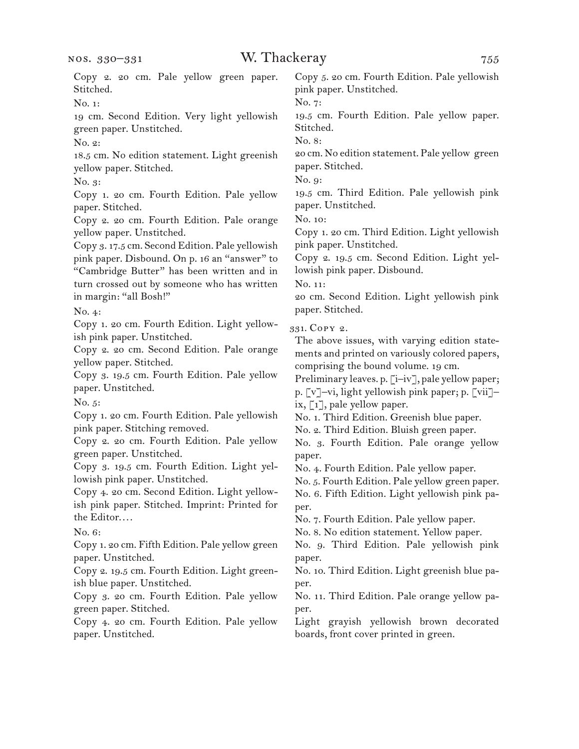| Copy 2. 20 cm. Pale yellow green paper.<br>Stitched.           | Copy 5. 20 cm. Fourth Edition. Pale yellowish<br>pink paper. Unstitched.                        |
|----------------------------------------------------------------|-------------------------------------------------------------------------------------------------|
| No. 1:                                                         | No. 7:                                                                                          |
| 19 cm. Second Edition. Very light yellowish                    | 19.5 cm. Fourth Edition. Pale yellow paper.                                                     |
| green paper. Unstitched.                                       | Stitched.                                                                                       |
| No. 2:                                                         | No. 8:                                                                                          |
| 18.5 cm. No edition statement. Light greenish                  | 20 cm. No edition statement. Pale yellow green                                                  |
| yellow paper. Stitched.                                        | paper. Stitched.                                                                                |
| No. 3:                                                         | No. 9:                                                                                          |
| Copy 1. 20 cm. Fourth Edition. Pale yellow<br>paper. Stitched. | 19.5 cm. Third Edition. Pale yellowish pink<br>paper. Unstitched.                               |
| Copy 2. 20 cm. Fourth Edition. Pale orange                     | No. 10:                                                                                         |
| yellow paper. Unstitched.                                      | Copy 1. 20 cm. Third Edition. Light yellowish                                                   |
| Copy 3. 17.5 cm. Second Edition. Pale yellowish                | pink paper. Unstitched.                                                                         |
| pink paper. Disbound. On p. 16 an "answer" to                  | Copy 2. 19.5 cm. Second Edition. Light yel-                                                     |
| "Cambridge Butter" has been written and in                     | lowish pink paper. Disbound.                                                                    |
| turn crossed out by someone who has written                    | No. 11:                                                                                         |
| in margin: "all Bosh!"                                         | 20 cm. Second Edition. Light yellowish pink                                                     |
| No. 4:                                                         | paper. Stitched.                                                                                |
| Copy 1. 20 cm. Fourth Edition. Light yellow-                   |                                                                                                 |
| ish pink paper. Unstitched.                                    | 331. Copy 2.                                                                                    |
| Copy 2. 20 cm. Second Edition. Pale orange                     | The above issues, with varying edition state-<br>ments and printed on variously colored papers, |
| yellow paper. Stitched.                                        | comprising the bound volume. 19 cm.                                                             |
| Copy 3. 19.5 cm. Fourth Edition. Pale yellow                   | Preliminary leaves. p. [i-iv], pale yellow paper;                                               |
| paper. Unstitched.                                             | p. [v]-vi, light yellowish pink paper; p. [vii]-                                                |
| No. $5$ :                                                      | ix, $\lceil 1 \rceil$ , pale yellow paper.                                                      |
| Copy 1. 20 cm. Fourth Edition. Pale yellowish                  | No. 1. Third Edition. Greenish blue paper.                                                      |
| pink paper. Stitching removed.                                 | No. 2. Third Edition. Bluish green paper.                                                       |
| Copy 2. 20 cm. Fourth Edition. Pale yellow                     | No. 3. Fourth Edition. Pale orange yellow                                                       |
| green paper. Unstitched.                                       | paper.                                                                                          |
| Copy 3. 19.5 cm. Fourth Edition. Light yel-                    | No. 4. Fourth Edition. Pale yellow paper.                                                       |
| lowish pink paper. Unstitched.                                 | No. 5. Fourth Edition. Pale yellow green paper.                                                 |
| Copy 4. 20 cm. Second Edition. Light yellow-                   | No. 6. Fifth Edition. Light yellowish pink pa-                                                  |
| ish pink paper. Stitched. Imprint: Printed for                 | per.                                                                                            |
| the Editor                                                     | No. 7. Fourth Edition. Pale yellow paper.                                                       |
| No. 6:                                                         | No. 8. No edition statement. Yellow paper.                                                      |
| Copy 1. 20 cm. Fifth Edition. Pale yellow green                | No. 9. Third Edition. Pale yellowish pink                                                       |
| paper. Unstitched.                                             | paper.                                                                                          |
| Copy 2. 19.5 cm. Fourth Edition. Light green-                  | No. 10. Third Edition. Light greenish blue pa-                                                  |
| ish blue paper. Unstitched.                                    | per.                                                                                            |
| Copy 3. 20 cm. Fourth Edition. Pale yellow                     | No. 11. Third Edition. Pale orange yellow pa-                                                   |
| green paper. Stitched.                                         | per.                                                                                            |
| Copy 4. 20 cm. Fourth Edition. Pale yellow                     | Light grayish yellowish brown decorated                                                         |
| paper. Unstitched.                                             | boards, front cover printed in green.                                                           |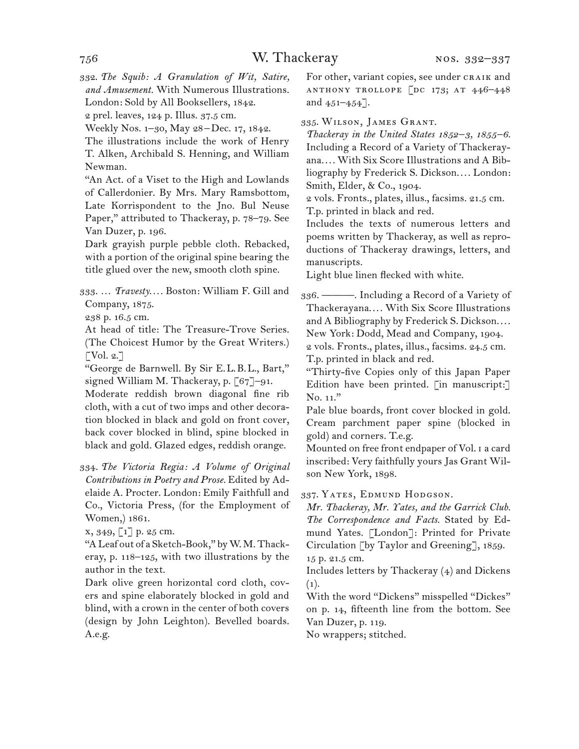332. *The Squib: A Granulation of Wit, Satire, and Amusement.* With Numerous Illustrations. London: Sold by All Booksellers, 1842.

2 prel. leaves, 124 p. Illus. 37.5 cm.

Weekly Nos. 1–30, May 28–Dec. 17, 1842.

The illustrations include the work of Henry T. Alken, Archibald S. Henning, and William Newman.

"An Act. of a Viset to the High and Lowlands of Callerdonier. By Mrs. Mary Ramsbottom, Late Korrispondent to the Jno. Bul Neuse Paper," attributed to Thackeray, p. 78–79. See Van Duzer, p. 196.

Dark grayish purple pebble cloth. Rebacked, with a portion of the original spine bearing the title glued over the new, smooth cloth spine.

333. … *Travesty. . . .* Boston: William F. Gill and Company, 1875.

238 p. 16.5 cm.

At head of title: The Treasure-Trove Series. (The Choicest Humor by the Great Writers.)  $\lceil \text{Vol. } 2. \rceil$ 

"George de Barnwell. By Sir E.L.B.L., Bart," signed William M. Thackeray, p. [67]–91.

Moderate reddish brown diagonal fine rib cloth, with a cut of two imps and other decoration blocked in black and gold on front cover, back cover blocked in blind, spine blocked in black and gold. Glazed edges, reddish orange.

334. *The Victoria Regia: A Volume of Original Contributions in Poetry and Prose.* Edited by Adelaide A. Procter. London: Emily Faithfull and Co., Victoria Press, (for the Employment of Women,) 1861.

x, 349, [1] p. 25 cm.

"A Leaf out of a Sketch-Book," by W. M. Thackeray, p. 118–125, with two illustrations by the author in the text.

Dark olive green horizontal cord cloth, covers and spine elaborately blocked in gold and blind, with a crown in the center of both covers (design by John Leighton). Bevelled boards. A.e.g.

For other, variant copies, see under CRAIK and anthony trollope [dc 173; at 446–448 and 451–454].

335. Wilson, James Grant.

*Thackeray in the United States 1852–3, 1855–6.*  Including a Record of a Variety of Thackerayana.... With Six Score Illustrations and A Bibliography by Frederick S. Dickson.... London: Smith, Elder, & Co., 1904.

2 vols. Fronts., plates, illus., facsims. 21.5 cm. T.p. printed in black and red.

Includes the texts of numerous letters and poems written by Thackeray, as well as reproductions of Thackeray drawings, letters, and manuscripts.

Light blue linen flecked with white.

336. ———. Including a Record of a Variety of Thackerayana.... With Six Score Illustrations and A Bibliography by Frederick S. Dickson.... New York: Dodd, Mead and Company, 1904.

2 vols. Fronts., plates, illus., facsims. 24.5 cm. T.p. printed in black and red.

"Thirty-five Copies only of this Japan Paper Edition have been printed. [in manuscript:] No. 11."

Pale blue boards, front cover blocked in gold. Cream parchment paper spine (blocked in gold) and corners. T.e.g.

Mounted on free front endpaper of Vol. i a card inscribed: Very faithfully yours Jas Grant Wilson New York, 1898.

337. Yates, Edmund Hodgson.

*Mr. Thackeray, Mr. Yates, and the Garrick Club. The Correspondence and Facts.* Stated by Edmund Yates. [London]: Printed for Private Circulation [by Taylor and Greening], 1859. 15 p. 21.5 cm.

Includes letters by Thackeray (4) and Dickens  $(1).$ 

With the word "Dickens" misspelled "Dickes" on p. 14, fifteenth line from the bottom. See Van Duzer, p. 119.

No wrappers; stitched.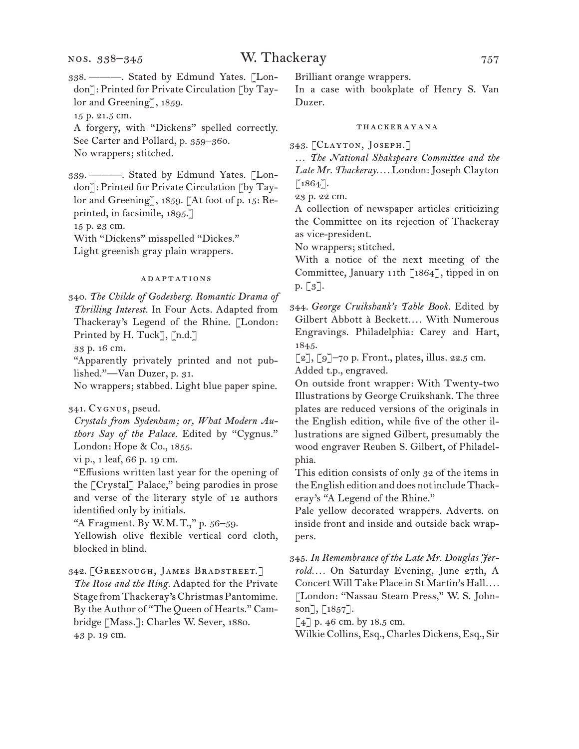338. ———. Stated by Edmund Yates. [London]: Printed for Private Circulation [by Taylor and Greening], 1859.

15 p. 21.5 cm.

A forgery, with "Dickens" spelled correctly. See Carter and Pollard, p. 359–360. No wrappers; stitched.

339. ———. Stated by Edmund Yates. [London]: Printed for Private Circulation [by Taylor and Greening], 1859. [At foot of p. 15: Reprinted, in facsimile, 1895.]

15 p. 23 cm.

With "Dickens" misspelled "Dickes."

Light greenish gray plain wrappers.

#### adaptations

340. *The Childe of Godesberg. Romantic Drama of Thrilling Interest.* In Four Acts. Adapted from Thackeray's Legend of the Rhine. [London: Printed by H. Tuck], [n.d.]

33 p. 16 cm.

"Apparently privately printed and not published."—Van Duzer, p. 31.

No wrappers; stabbed. Light blue paper spine.

341. Cygnus, pseud.

*Crystals from Sydenham; or, What Modern Authors Say of the Palace.* Edited by "Cygnus." London: Hope & Co., 1855.

vi p., 1 leaf, 66 p. 19 cm.

"Effusions written last year for the opening of the [Crystal] Palace," being parodies in prose and verse of the literary style of 12 authors identified only by initials.

"A Fragment. By W.M.T.," p. 56–59.

Yellowish olive flexible vertical cord cloth, blocked in blind.

342. [Greenough, James Bradstreet.] *The Rose and the Ring.* Adapted for the Private Stage from Thackeray's Christmas Pantomime. By the Author of "The Queen of Hearts." Cambridge [Mass.]: Charles W. Sever, 1880. 43 p. 19 cm.

Brilliant orange wrappers.

In a case with bookplate of Henry S. Van Duzer.

#### thackerayana

343. [Clayton, Joseph.]

… *The National Shakspeare Committee and the Late Mr. Thackeray. . . .* London: Joseph Clayton  $\lceil 1864 \rceil$ .

23 p. 22 cm.

A collection of newspaper articles criticizing the Committee on its rejection of Thackeray as vice-president.

No wrappers; stitched.

With a notice of the next meeting of the Committee, January 11th [1864], tipped in on p. [3].

344. *George Cruikshank's Table Book.* Edited by Gilbert Abbott à Beckett.... With Numerous Engravings. Philadelphia: Carey and Hart, 1845.

[2], [9]–70 p. Front., plates, illus. 22.5 cm. Added t.p., engraved.

On outside front wrapper: With Twenty-two Illustrations by George Cruikshank. The three plates are reduced versions of the originals in the English edition, while five of the other illustrations are signed Gilbert, presumably the wood engraver Reuben S. Gilbert, of Philadelphia.

This edition consists of only 32 of the items in the English edition and does not include Thackeray's "A Legend of the Rhine."

Pale yellow decorated wrappers. Adverts. on inside front and inside and outside back wrappers.

345. *In Remembrance of the Late Mr. Douglas Jerrold. . . .* On Saturday Evening, June 27th, A Concert Will Take Place in St Martin's Hall*. . . .* [London: "Nassau Steam Press," W. S. Johnson], [1857].

[4] p. 46 cm. by 18.5 cm.

Wilkie Collins, Esq., Charles Dickens, Esq., Sir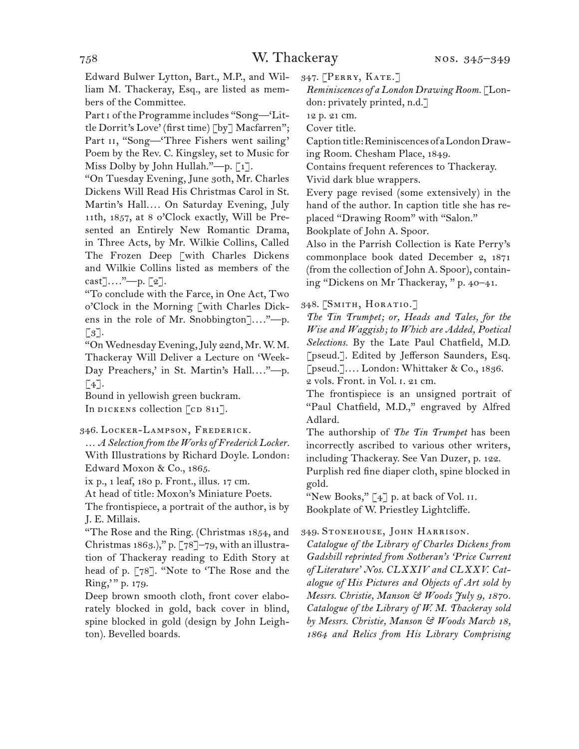Edward Bulwer Lytton, Bart., M.P., and William M. Thackeray, Esq., are listed as members of the Committee.

Part i of the Programme includes "Song—'Little Dorrit's Love' (first time) [by] Macfarren"; Part II, "Song-'Three Fishers went sailing' Poem by the Rev. C. Kingsley, set to Music for Miss Dolby by John Hullah."—p. [1].

"On Tuesday Evening, June 30th, Mr. Charles Dickens Will Read His Christmas Carol in St. Martin's Hall.... On Saturday Evening, July 11th, 1857, at 8 o'Clock exactly, Will be Presented an Entirely New Romantic Drama, in Three Acts, by Mr. Wilkie Collins, Called The Frozen Deep [with Charles Dickens and Wilkie Collins listed as members of the  $\text{cast}$ ....."—p. [2].

"To conclude with the Farce, in One Act, Two o'Clock in the Morning [with Charles Dickens in the role of Mr. Snobbington]...."—p.  $\lceil 3 \rceil$ .

"On Wednesday Evening, July 22nd, Mr. W. M. Thackeray Will Deliver a Lecture on 'Week-Day Preachers,' in St. Martin's Hall...."--- p.  $\lceil 4 \rceil$ .

Bound in yellowish green buckram. In DICKENS collection  $\lceil$  cD 811].

346. Locker-Lampson, Frederick.

… *A Selection from the Works of Frederick Locker.* With Illustrations by Richard Doyle. London: Edward Moxon & Co., 1865.

ix p., 1 leaf, 180 p. Front., illus. 17 cm.

At head of title: Moxon's Miniature Poets.

The frontispiece, a portrait of the author, is by J. E. Millais.

"The Rose and the Ring. (Christmas 1854, and Christmas 1863.)," p.  $[78]$ -79, with an illustration of Thackeray reading to Edith Story at head of p. [78]. "Note to 'The Rose and the Ring," p. 179.

Deep brown smooth cloth, front cover elaborately blocked in gold, back cover in blind, spine blocked in gold (design by John Leighton). Bevelled boards.

347. [Perry, Kate.]

*Reminiscences of a London Drawing Room.* [London: privately printed, n.d.]

12 p. 21 cm.

Cover title.

Caption title: Reminiscences of a London Draw-

ing Room. Chesham Place, 1849.

Contains frequent references to Thackeray.

Vivid dark blue wrappers.

Every page revised (some extensively) in the hand of the author. In caption title she has replaced "Drawing Room" with "Salon."

Bookplate of John A. Spoor.

Also in the Parrish Collection is Kate Perry's commonplace book dated December 2, 1871 (from the collection of John A. Spoor), containing "Dickens on Mr Thackeray, " p. 40–41.

348. [Smith, Horatio.]

*The Tin Trumpet; or, Heads and Tales, for the Wise and Waggish; to Which are Added, Poetical Selections.* By the Late Paul Chatfield, M.D. [pseud.]. Edited by Jefferson Saunders, Esq. [pseud.].... London: Whittaker & Co., 1836.

2 vols. Front. in Vol. i. 21 cm. The frontispiece is an unsigned portrait of

"Paul Chatfield, M.D.," engraved by Alfred Adlard.

The authorship of *The Tin Trumpet* has been incorrectly ascribed to various other writers, including Thackeray. See Van Duzer, p. 122.

Purplish red fine diaper cloth, spine blocked in gold.

"New Books,"  $\lceil 4 \rceil$  p. at back of Vol. II. Bookplate of W. Priestley Lightcliffe.

349. Stonehouse, John Harrison.

*Catalogue of the Library of Charles Dickens from Gadshill reprinted from Sotheran's 'Price Current of Literature' Nos. CLXXIV and CLXXV. Catalogue of His Pictures and Objects of Art sold by Messrs. Christie, Manson & Woods July 9, 1870. Catalogue of the Library of W. M. Thackeray sold by Messrs. Christie, Manson & Woods March 18, 1864 and Relics from His Library Comprising*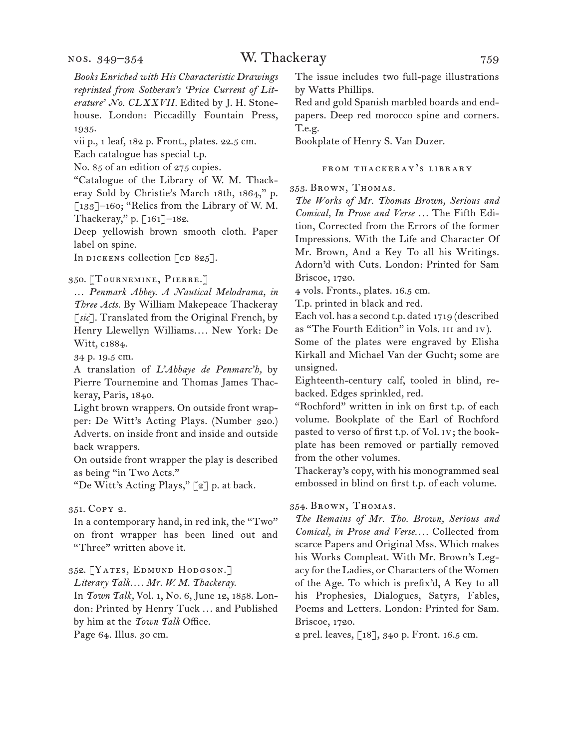vii p., 1 leaf, 182 p. Front., plates. 22.5 cm.

Each catalogue has special t.p.

No. 85 of an edition of 275 copies.

"Catalogue of the Library of W. M. Thackeray Sold by Christie's March 18th, 1864," p. [133]–160; "Relics from the Library of W. M. Thackeray," p. [161]–182.

Deep yellowish brown smooth cloth. Paper label on spine.

In DICKENS collection  $[CD 825]$ .

350. [Tournemine, Pierre.]

… *Penmark Abbey. A Nautical Melodrama, in Three Acts.* By William Makepeace Thackeray [*sic*]. Translated from the Original French, by Henry Llewellyn Williams.... New York: De Witt, c1884.

34 p. 19.5 cm.

A translation of *L'Abbaye de Penmarc'h,* by Pierre Tournemine and Thomas James Thackeray, Paris, 1840.

Light brown wrappers. On outside front wrapper: De Witt's Acting Plays. (Number 320.) Adverts. on inside front and inside and outside back wrappers.

On outside front wrapper the play is described as being "in Two Acts."

"De Witt's Acting Plays," [2] p. at back.

#### 351. Copy 2.

In a contemporary hand, in red ink, the "Two" on front wrapper has been lined out and "Three" written above it.

#### 352. [Yates, Edmund Hodgson.]

*Literary Talk. . . . Mr. W. M. Thackeray.*

In *Town Talk,* Vol. 1, No. 6, June 12, 1858. London: Printed by Henry Tuck ... and Published by him at the *Town Talk* Office. Page 64. Illus. 30 cm.

The issue includes two full-page illustrations by Watts Phillips.

Red and gold Spanish marbled boards and endpapers. Deep red morocco spine and corners. T.e.g.

Bookplate of Henry S. Van Duzer.

#### from thackeray's library

353. Brown, Thomas.

*The Works of Mr. Thomas Brown, Serious and Comical, In Prose and Verse ...* The Fifth Edition, Corrected from the Errors of the former Impressions. With the Life and Character Of Mr. Brown, And a Key To all his Writings. Adorn'd with Cuts. London: Printed for Sam Briscoe, 1720.

4 vols. Fronts., plates. 16.5 cm.

T.p. printed in black and red.

Each vol. has a second t.p. dated 1719 (described as "The Fourth Edition" in Vols. iii and iv).

Some of the plates were engraved by Elisha Kirkall and Michael Van der Gucht; some are unsigned.

Eighteenth-century calf, tooled in blind, rebacked. Edges sprinkled, red.

"Rochford" written in ink on first t.p. of each volume. Bookplate of the Earl of Rochford pasted to verso of first t.p. of Vol. iv; the bookplate has been removed or partially removed from the other volumes.

Thackeray's copy, with his monogrammed seal embossed in blind on first t.p. of each volume.

#### 354. Brown, Thomas.

*The Remains of Mr. Tho. Brown, Serious and Comical, in Prose and Verse. . . .* Collected from scarce Papers and Original Mss. Which makes his Works Compleat. With Mr. Brown's Legacy for the Ladies, or Characters of the Women of the Age. To which is prefix'd, A Key to all his Prophesies, Dialogues, Satyrs, Fables, Poems and Letters. London: Printed for Sam. Briscoe, 1720.

2 prel. leaves, [18], 340 p. Front. 16.5 cm.